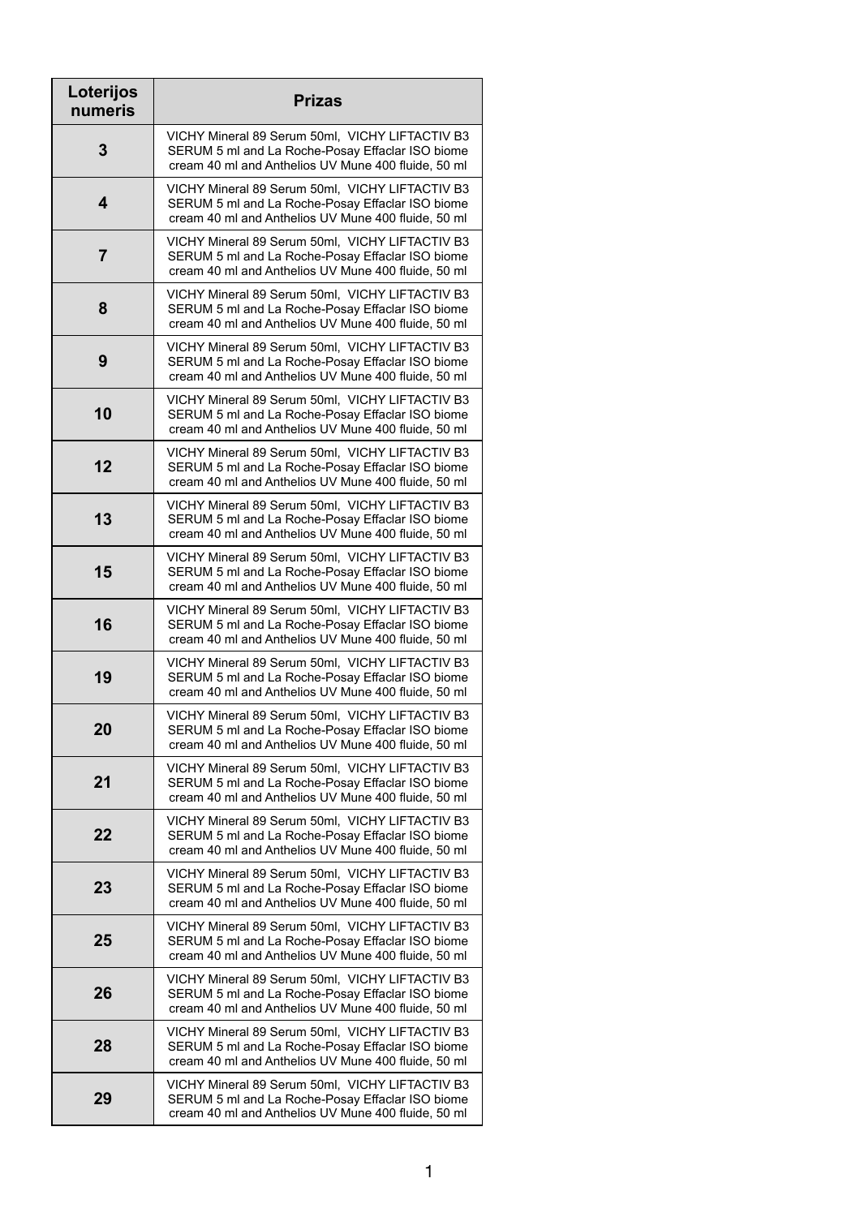| Loterijos<br>numeris    | <b>Prizas</b>                                                                                                                                              |
|-------------------------|------------------------------------------------------------------------------------------------------------------------------------------------------------|
| 3                       | VICHY Mineral 89 Serum 50ml, VICHY LIFTACTIV B3<br>SERUM 5 ml and La Roche-Posay Effaclar ISO biome<br>cream 40 ml and Anthelios UV Mune 400 fluide, 50 ml |
| 4                       | VICHY Mineral 89 Serum 50ml, VICHY LIFTACTIV B3<br>SERUM 5 ml and La Roche-Posay Effaclar ISO biome<br>cream 40 ml and Anthelios UV Mune 400 fluide, 50 ml |
| $\overline{\mathbf{7}}$ | VICHY Mineral 89 Serum 50ml, VICHY LIFTACTIV B3<br>SERUM 5 ml and La Roche-Posay Effaclar ISO biome<br>cream 40 ml and Anthelios UV Mune 400 fluide, 50 ml |
| 8                       | VICHY Mineral 89 Serum 50ml, VICHY LIFTACTIV B3<br>SERUM 5 ml and La Roche-Posay Effaclar ISO biome<br>cream 40 ml and Anthelios UV Mune 400 fluide, 50 ml |
| 9                       | VICHY Mineral 89 Serum 50ml, VICHY LIFTACTIV B3<br>SERUM 5 ml and La Roche-Posay Effaclar ISO biome<br>cream 40 ml and Anthelios UV Mune 400 fluide, 50 ml |
| 10                      | VICHY Mineral 89 Serum 50ml, VICHY LIFTACTIV B3<br>SERUM 5 ml and La Roche-Posay Effaclar ISO biome<br>cream 40 ml and Anthelios UV Mune 400 fluide, 50 ml |
| 12                      | VICHY Mineral 89 Serum 50ml, VICHY LIFTACTIV B3<br>SERUM 5 ml and La Roche-Posay Effaclar ISO biome<br>cream 40 ml and Anthelios UV Mune 400 fluide, 50 ml |
| 13                      | VICHY Mineral 89 Serum 50ml, VICHY LIFTACTIV B3<br>SERUM 5 ml and La Roche-Posay Effaclar ISO biome<br>cream 40 ml and Anthelios UV Mune 400 fluide, 50 ml |
| 15                      | VICHY Mineral 89 Serum 50ml, VICHY LIFTACTIV B3<br>SERUM 5 ml and La Roche-Posay Effaclar ISO biome<br>cream 40 ml and Anthelios UV Mune 400 fluide, 50 ml |
| 16                      | VICHY Mineral 89 Serum 50ml, VICHY LIFTACTIV B3<br>SERUM 5 ml and La Roche-Posay Effaclar ISO biome<br>cream 40 ml and Anthelios UV Mune 400 fluide, 50 ml |
| 19                      | VICHY Mineral 89 Serum 50ml, VICHY LIFTACTIV B3<br>SERUM 5 ml and La Roche-Posay Effaclar ISO biome<br>cream 40 ml and Anthelios UV Mune 400 fluide, 50 ml |
| 20                      | VICHY Mineral 89 Serum 50ml, VICHY LIFTACTIV B3<br>SERUM 5 ml and La Roche-Posay Effaclar ISO biome<br>cream 40 ml and Anthelios UV Mune 400 fluide, 50 ml |
| 21                      | VICHY Mineral 89 Serum 50ml, VICHY LIFTACTIV B3<br>SERUM 5 ml and La Roche-Posay Effaclar ISO biome<br>cream 40 ml and Anthelios UV Mune 400 fluide, 50 ml |
| 22                      | VICHY Mineral 89 Serum 50ml, VICHY LIFTACTIV B3<br>SERUM 5 ml and La Roche-Posay Effaclar ISO biome<br>cream 40 ml and Anthelios UV Mune 400 fluide, 50 ml |
| 23                      | VICHY Mineral 89 Serum 50ml, VICHY LIFTACTIV B3<br>SERUM 5 ml and La Roche-Posay Effaclar ISO biome<br>cream 40 ml and Anthelios UV Mune 400 fluide, 50 ml |
| 25                      | VICHY Mineral 89 Serum 50ml, VICHY LIFTACTIV B3<br>SERUM 5 ml and La Roche-Posay Effaclar ISO biome<br>cream 40 ml and Anthelios UV Mune 400 fluide, 50 ml |
| 26                      | VICHY Mineral 89 Serum 50ml, VICHY LIFTACTIV B3<br>SERUM 5 ml and La Roche-Posay Effaclar ISO biome<br>cream 40 ml and Anthelios UV Mune 400 fluide, 50 ml |
| 28                      | VICHY Mineral 89 Serum 50ml, VICHY LIFTACTIV B3<br>SERUM 5 ml and La Roche-Posay Effaclar ISO biome<br>cream 40 ml and Anthelios UV Mune 400 fluide, 50 ml |
| 29                      | VICHY Mineral 89 Serum 50ml, VICHY LIFTACTIV B3<br>SERUM 5 ml and La Roche-Posay Effaclar ISO biome<br>cream 40 ml and Anthelios UV Mune 400 fluide, 50 ml |

1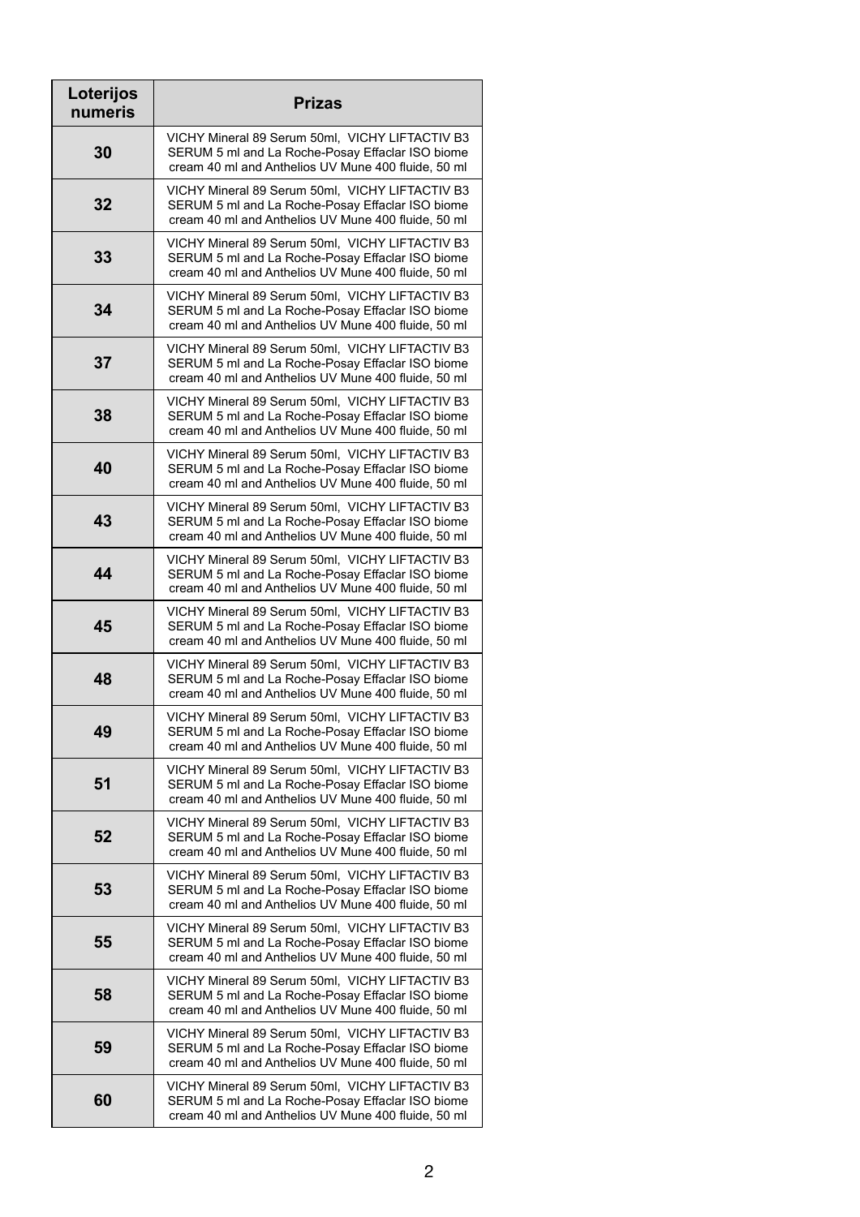| Loterijos<br>numeris | <b>Prizas</b>                                                                                                                                              |
|----------------------|------------------------------------------------------------------------------------------------------------------------------------------------------------|
| 30                   | VICHY Mineral 89 Serum 50ml, VICHY LIFTACTIV B3<br>SERUM 5 ml and La Roche-Posay Effaclar ISO biome<br>cream 40 ml and Anthelios UV Mune 400 fluide, 50 ml |
| 32                   | VICHY Mineral 89 Serum 50ml, VICHY LIFTACTIV B3<br>SERUM 5 ml and La Roche-Posay Effaclar ISO biome<br>cream 40 ml and Anthelios UV Mune 400 fluide, 50 ml |
| 33                   | VICHY Mineral 89 Serum 50ml, VICHY LIFTACTIV B3<br>SERUM 5 ml and La Roche-Posay Effaclar ISO biome<br>cream 40 ml and Anthelios UV Mune 400 fluide, 50 ml |
| 34                   | VICHY Mineral 89 Serum 50ml, VICHY LIFTACTIV B3<br>SERUM 5 ml and La Roche-Posay Effaclar ISO biome<br>cream 40 ml and Anthelios UV Mune 400 fluide, 50 ml |
| 37                   | VICHY Mineral 89 Serum 50ml, VICHY LIFTACTIV B3<br>SERUM 5 ml and La Roche-Posay Effaclar ISO biome<br>cream 40 ml and Anthelios UV Mune 400 fluide, 50 ml |
| 38                   | VICHY Mineral 89 Serum 50ml, VICHY LIFTACTIV B3<br>SERUM 5 ml and La Roche-Posay Effaclar ISO biome<br>cream 40 ml and Anthelios UV Mune 400 fluide, 50 ml |
| 40                   | VICHY Mineral 89 Serum 50ml, VICHY LIFTACTIV B3<br>SERUM 5 ml and La Roche-Posay Effaclar ISO biome<br>cream 40 ml and Anthelios UV Mune 400 fluide, 50 ml |
| 43                   | VICHY Mineral 89 Serum 50ml, VICHY LIFTACTIV B3<br>SERUM 5 ml and La Roche-Posay Effaclar ISO biome<br>cream 40 ml and Anthelios UV Mune 400 fluide, 50 ml |
| 44                   | VICHY Mineral 89 Serum 50ml, VICHY LIFTACTIV B3<br>SERUM 5 ml and La Roche-Posay Effaclar ISO biome<br>cream 40 ml and Anthelios UV Mune 400 fluide, 50 ml |
| 45                   | VICHY Mineral 89 Serum 50ml, VICHY LIFTACTIV B3<br>SERUM 5 ml and La Roche-Posay Effaclar ISO biome<br>cream 40 ml and Anthelios UV Mune 400 fluide, 50 ml |
| 48                   | VICHY Mineral 89 Serum 50ml, VICHY LIFTACTIV B3<br>SERUM 5 ml and La Roche-Posay Effaclar ISO biome<br>cream 40 ml and Anthelios UV Mune 400 fluide, 50 ml |
| 49                   | VICHY Mineral 89 Serum 50ml, VICHY LIFTACTIV B3<br>SERUM 5 ml and La Roche-Posay Effaclar ISO biome<br>cream 40 ml and Anthelios UV Mune 400 fluide, 50 ml |
| 51                   | VICHY Mineral 89 Serum 50ml, VICHY LIFTACTIV B3<br>SERUM 5 ml and La Roche-Posay Effaclar ISO biome<br>cream 40 ml and Anthelios UV Mune 400 fluide, 50 ml |
| 52                   | VICHY Mineral 89 Serum 50ml, VICHY LIFTACTIV B3<br>SERUM 5 ml and La Roche-Posay Effaclar ISO biome<br>cream 40 ml and Anthelios UV Mune 400 fluide, 50 ml |
| 53                   | VICHY Mineral 89 Serum 50ml, VICHY LIFTACTIV B3<br>SERUM 5 ml and La Roche-Posay Effaclar ISO biome<br>cream 40 ml and Anthelios UV Mune 400 fluide, 50 ml |
| 55                   | VICHY Mineral 89 Serum 50ml, VICHY LIFTACTIV B3<br>SERUM 5 ml and La Roche-Posay Effaclar ISO biome<br>cream 40 ml and Anthelios UV Mune 400 fluide, 50 ml |
| 58                   | VICHY Mineral 89 Serum 50ml, VICHY LIFTACTIV B3<br>SERUM 5 ml and La Roche-Posay Effaclar ISO biome<br>cream 40 ml and Anthelios UV Mune 400 fluide, 50 ml |
| 59                   | VICHY Mineral 89 Serum 50ml, VICHY LIFTACTIV B3<br>SERUM 5 ml and La Roche-Posay Effaclar ISO biome<br>cream 40 ml and Anthelios UV Mune 400 fluide, 50 ml |
| 60                   | VICHY Mineral 89 Serum 50ml, VICHY LIFTACTIV B3<br>SERUM 5 ml and La Roche-Posay Effaclar ISO biome<br>cream 40 ml and Anthelios UV Mune 400 fluide, 50 ml |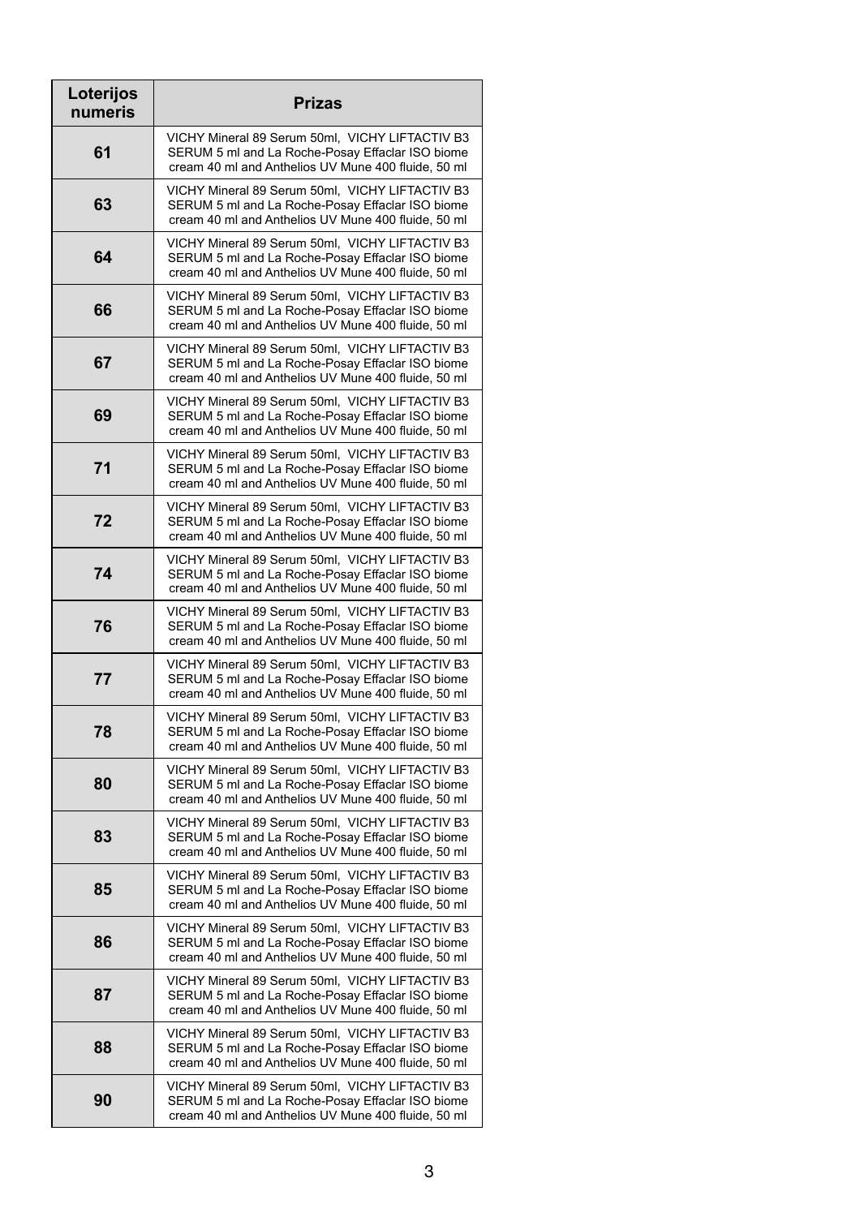| Loterijos<br>numeris | <b>Prizas</b>                                                                                                                                              |
|----------------------|------------------------------------------------------------------------------------------------------------------------------------------------------------|
| 61                   | VICHY Mineral 89 Serum 50ml, VICHY LIFTACTIV B3<br>SERUM 5 ml and La Roche-Posay Effaclar ISO biome<br>cream 40 ml and Anthelios UV Mune 400 fluide, 50 ml |
| 63                   | VICHY Mineral 89 Serum 50ml, VICHY LIFTACTIV B3<br>SERUM 5 ml and La Roche-Posay Effaclar ISO biome<br>cream 40 ml and Anthelios UV Mune 400 fluide, 50 ml |
| 64                   | VICHY Mineral 89 Serum 50ml, VICHY LIFTACTIV B3<br>SERUM 5 ml and La Roche-Posay Effaclar ISO biome<br>cream 40 ml and Anthelios UV Mune 400 fluide, 50 ml |
| 66                   | VICHY Mineral 89 Serum 50ml, VICHY LIFTACTIV B3<br>SERUM 5 ml and La Roche-Posay Effaclar ISO biome<br>cream 40 ml and Anthelios UV Mune 400 fluide, 50 ml |
| 67                   | VICHY Mineral 89 Serum 50ml, VICHY LIFTACTIV B3<br>SERUM 5 ml and La Roche-Posay Effaclar ISO biome<br>cream 40 ml and Anthelios UV Mune 400 fluide, 50 ml |
| 69                   | VICHY Mineral 89 Serum 50ml, VICHY LIFTACTIV B3<br>SERUM 5 ml and La Roche-Posay Effaclar ISO biome<br>cream 40 ml and Anthelios UV Mune 400 fluide, 50 ml |
| 71                   | VICHY Mineral 89 Serum 50ml, VICHY LIFTACTIV B3<br>SERUM 5 ml and La Roche-Posay Effaclar ISO biome<br>cream 40 ml and Anthelios UV Mune 400 fluide, 50 ml |
| 72                   | VICHY Mineral 89 Serum 50ml, VICHY LIFTACTIV B3<br>SERUM 5 ml and La Roche-Posay Effaclar ISO biome<br>cream 40 ml and Anthelios UV Mune 400 fluide, 50 ml |
| 74                   | VICHY Mineral 89 Serum 50ml, VICHY LIFTACTIV B3<br>SERUM 5 ml and La Roche-Posay Effaclar ISO biome<br>cream 40 ml and Anthelios UV Mune 400 fluide, 50 ml |
| 76                   | VICHY Mineral 89 Serum 50ml, VICHY LIFTACTIV B3<br>SERUM 5 ml and La Roche-Posay Effaclar ISO biome<br>cream 40 ml and Anthelios UV Mune 400 fluide, 50 ml |
| 77                   | VICHY Mineral 89 Serum 50ml, VICHY LIFTACTIV B3<br>SERUM 5 ml and La Roche-Posay Effaclar ISO biome<br>cream 40 ml and Anthelios UV Mune 400 fluide, 50 ml |
| 78                   | VICHY Mineral 89 Serum 50ml, VICHY LIFTACTIV B3<br>SERUM 5 ml and La Roche-Posay Effaclar ISO biome<br>cream 40 ml and Anthelios UV Mune 400 fluide, 50 ml |
| 80                   | VICHY Mineral 89 Serum 50ml, VICHY LIFTACTIV B3<br>SERUM 5 ml and La Roche-Posay Effaclar ISO biome<br>cream 40 ml and Anthelios UV Mune 400 fluide, 50 ml |
| 83                   | VICHY Mineral 89 Serum 50ml, VICHY LIFTACTIV B3<br>SERUM 5 ml and La Roche-Posay Effaclar ISO biome<br>cream 40 ml and Anthelios UV Mune 400 fluide, 50 ml |
| 85                   | VICHY Mineral 89 Serum 50ml, VICHY LIFTACTIV B3<br>SERUM 5 ml and La Roche-Posay Effaclar ISO biome<br>cream 40 ml and Anthelios UV Mune 400 fluide, 50 ml |
| 86                   | VICHY Mineral 89 Serum 50ml, VICHY LIFTACTIV B3<br>SERUM 5 ml and La Roche-Posay Effaclar ISO biome<br>cream 40 ml and Anthelios UV Mune 400 fluide, 50 ml |
| 87                   | VICHY Mineral 89 Serum 50ml, VICHY LIFTACTIV B3<br>SERUM 5 ml and La Roche-Posay Effaclar ISO biome<br>cream 40 ml and Anthelios UV Mune 400 fluide, 50 ml |
| 88                   | VICHY Mineral 89 Serum 50ml, VICHY LIFTACTIV B3<br>SERUM 5 ml and La Roche-Posay Effaclar ISO biome<br>cream 40 ml and Anthelios UV Mune 400 fluide, 50 ml |
| 90                   | VICHY Mineral 89 Serum 50ml, VICHY LIFTACTIV B3<br>SERUM 5 ml and La Roche-Posay Effaclar ISO biome<br>cream 40 ml and Anthelios UV Mune 400 fluide, 50 ml |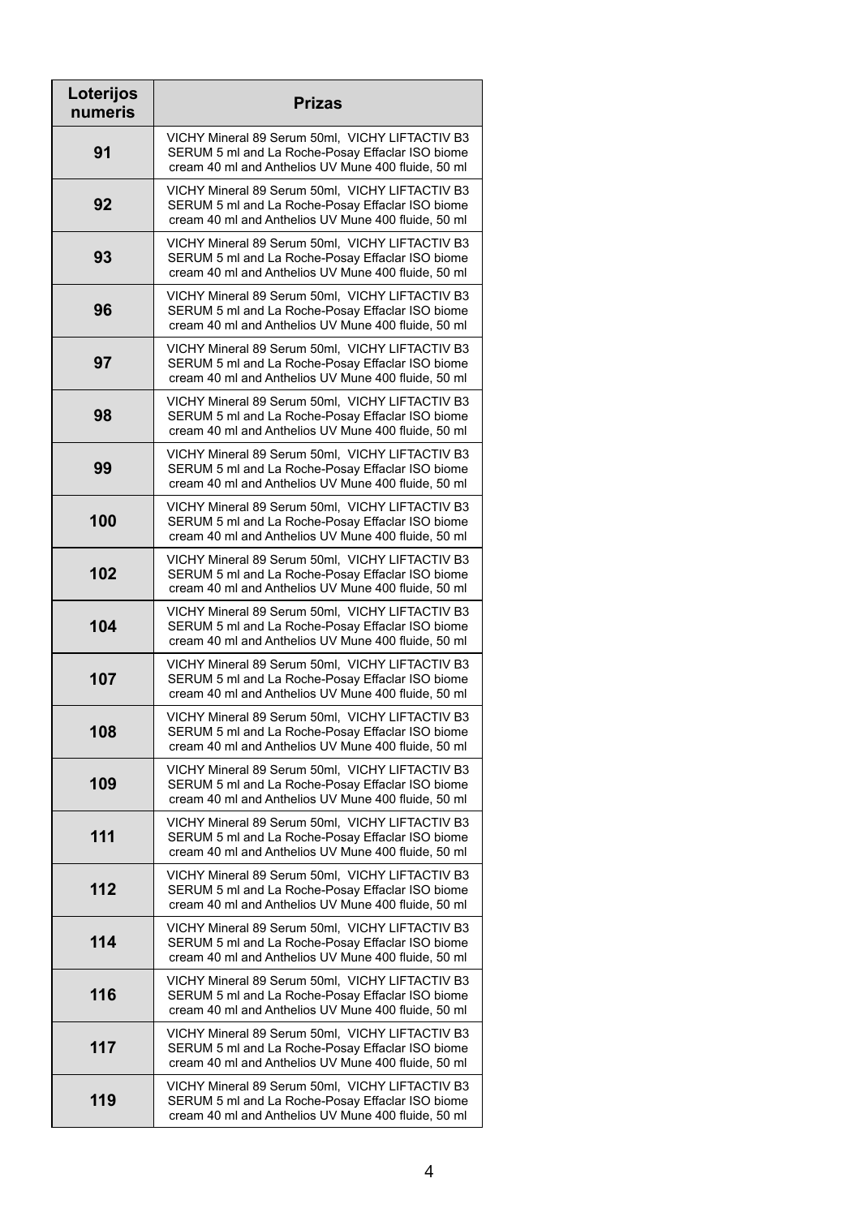| Loterijos<br>numeris | <b>Prizas</b>                                                                                                                                              |
|----------------------|------------------------------------------------------------------------------------------------------------------------------------------------------------|
| 91                   | VICHY Mineral 89 Serum 50ml, VICHY LIFTACTIV B3<br>SERUM 5 ml and La Roche-Posay Effaclar ISO biome<br>cream 40 ml and Anthelios UV Mune 400 fluide, 50 ml |
| 92                   | VICHY Mineral 89 Serum 50ml, VICHY LIFTACTIV B3<br>SERUM 5 ml and La Roche-Posay Effaclar ISO biome<br>cream 40 ml and Anthelios UV Mune 400 fluide, 50 ml |
| 93                   | VICHY Mineral 89 Serum 50ml, VICHY LIFTACTIV B3<br>SERUM 5 ml and La Roche-Posay Effaclar ISO biome<br>cream 40 ml and Anthelios UV Mune 400 fluide, 50 ml |
| 96                   | VICHY Mineral 89 Serum 50ml, VICHY LIFTACTIV B3<br>SERUM 5 ml and La Roche-Posay Effaclar ISO biome<br>cream 40 ml and Anthelios UV Mune 400 fluide, 50 ml |
| 97                   | VICHY Mineral 89 Serum 50ml, VICHY LIFTACTIV B3<br>SERUM 5 ml and La Roche-Posay Effaclar ISO biome<br>cream 40 ml and Anthelios UV Mune 400 fluide, 50 ml |
| 98                   | VICHY Mineral 89 Serum 50ml, VICHY LIFTACTIV B3<br>SERUM 5 ml and La Roche-Posay Effaclar ISO biome<br>cream 40 ml and Anthelios UV Mune 400 fluide, 50 ml |
| 99                   | VICHY Mineral 89 Serum 50ml, VICHY LIFTACTIV B3<br>SERUM 5 ml and La Roche-Posay Effaclar ISO biome<br>cream 40 ml and Anthelios UV Mune 400 fluide, 50 ml |
| 100                  | VICHY Mineral 89 Serum 50ml, VICHY LIFTACTIV B3<br>SERUM 5 ml and La Roche-Posay Effaclar ISO biome<br>cream 40 ml and Anthelios UV Mune 400 fluide, 50 ml |
| 102                  | VICHY Mineral 89 Serum 50ml, VICHY LIFTACTIV B3<br>SERUM 5 ml and La Roche-Posay Effaclar ISO biome<br>cream 40 ml and Anthelios UV Mune 400 fluide, 50 ml |
| 104                  | VICHY Mineral 89 Serum 50ml, VICHY LIFTACTIV B3<br>SERUM 5 ml and La Roche-Posay Effaclar ISO biome<br>cream 40 ml and Anthelios UV Mune 400 fluide, 50 ml |
| 107                  | VICHY Mineral 89 Serum 50ml, VICHY LIFTACTIV B3<br>SERUM 5 ml and La Roche-Posay Effaclar ISO biome<br>cream 40 ml and Anthelios UV Mune 400 fluide, 50 ml |
| 108                  | VICHY Mineral 89 Serum 50ml, VICHY LIFTACTIV B3<br>SERUM 5 ml and La Roche-Posay Effaclar ISO biome<br>cream 40 ml and Anthelios UV Mune 400 fluide, 50 ml |
| 109                  | VICHY Mineral 89 Serum 50ml, VICHY LIFTACTIV B3<br>SERUM 5 ml and La Roche-Posay Effaclar ISO biome<br>cream 40 ml and Anthelios UV Mune 400 fluide, 50 ml |
| 111                  | VICHY Mineral 89 Serum 50ml, VICHY LIFTACTIV B3<br>SERUM 5 ml and La Roche-Posay Effaclar ISO biome<br>cream 40 ml and Anthelios UV Mune 400 fluide, 50 ml |
| 112                  | VICHY Mineral 89 Serum 50ml, VICHY LIFTACTIV B3<br>SERUM 5 ml and La Roche-Posay Effaclar ISO biome<br>cream 40 ml and Anthelios UV Mune 400 fluide, 50 ml |
| 114                  | VICHY Mineral 89 Serum 50ml, VICHY LIFTACTIV B3<br>SERUM 5 ml and La Roche-Posay Effaclar ISO biome<br>cream 40 ml and Anthelios UV Mune 400 fluide, 50 ml |
| 116                  | VICHY Mineral 89 Serum 50ml, VICHY LIFTACTIV B3<br>SERUM 5 ml and La Roche-Posay Effaclar ISO biome<br>cream 40 ml and Anthelios UV Mune 400 fluide, 50 ml |
| 117                  | VICHY Mineral 89 Serum 50ml, VICHY LIFTACTIV B3<br>SERUM 5 ml and La Roche-Posay Effaclar ISO biome<br>cream 40 ml and Anthelios UV Mune 400 fluide, 50 ml |
| 119                  | VICHY Mineral 89 Serum 50ml, VICHY LIFTACTIV B3<br>SERUM 5 ml and La Roche-Posay Effaclar ISO biome<br>cream 40 ml and Anthelios UV Mune 400 fluide, 50 ml |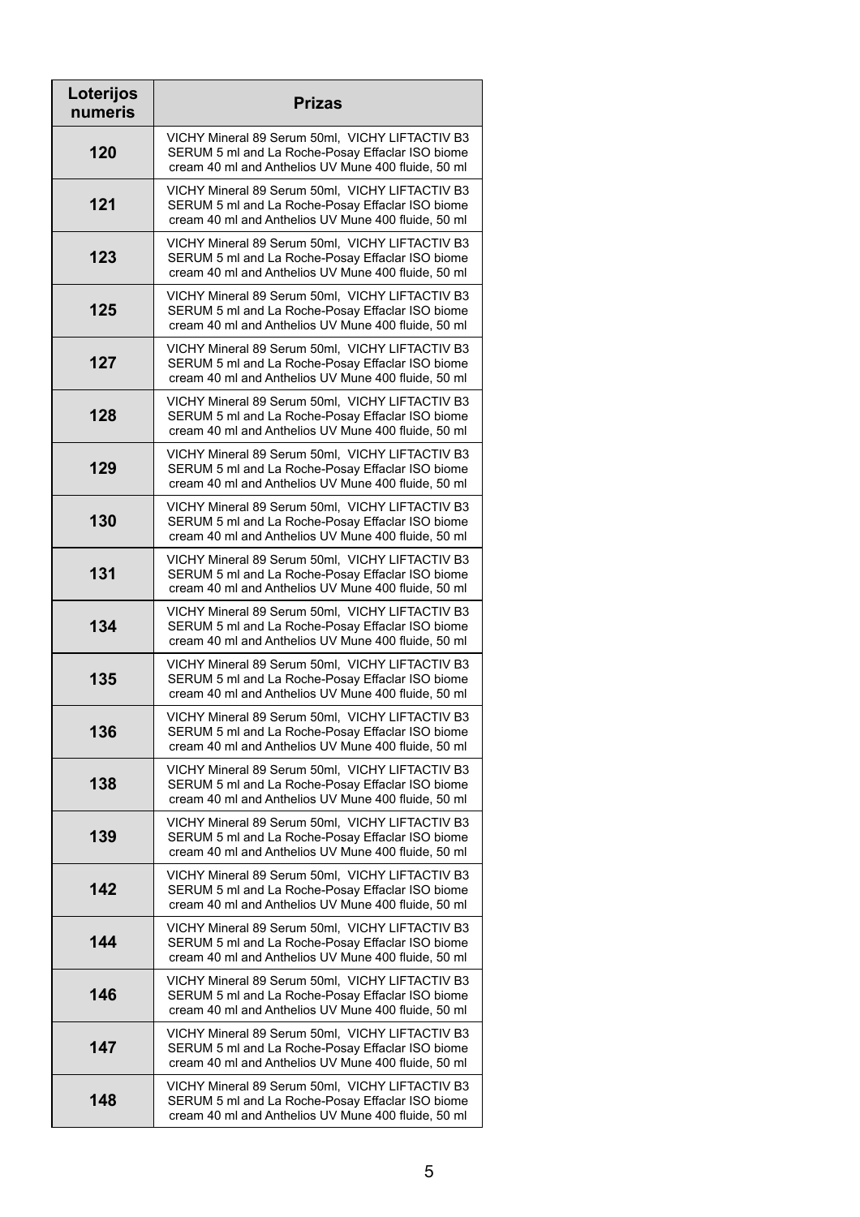| Loterijos<br>numeris | <b>Prizas</b>                                                                                                                                              |
|----------------------|------------------------------------------------------------------------------------------------------------------------------------------------------------|
| 120                  | VICHY Mineral 89 Serum 50ml, VICHY LIFTACTIV B3<br>SERUM 5 ml and La Roche-Posay Effaclar ISO biome<br>cream 40 ml and Anthelios UV Mune 400 fluide, 50 ml |
| 121                  | VICHY Mineral 89 Serum 50ml, VICHY LIFTACTIV B3<br>SERUM 5 ml and La Roche-Posay Effaclar ISO biome<br>cream 40 ml and Anthelios UV Mune 400 fluide, 50 ml |
| 123                  | VICHY Mineral 89 Serum 50ml, VICHY LIFTACTIV B3<br>SERUM 5 ml and La Roche-Posay Effaclar ISO biome<br>cream 40 ml and Anthelios UV Mune 400 fluide, 50 ml |
| 125                  | VICHY Mineral 89 Serum 50ml, VICHY LIFTACTIV B3<br>SERUM 5 ml and La Roche-Posay Effaclar ISO biome<br>cream 40 ml and Anthelios UV Mune 400 fluide, 50 ml |
| 127                  | VICHY Mineral 89 Serum 50ml, VICHY LIFTACTIV B3<br>SERUM 5 ml and La Roche-Posay Effaclar ISO biome<br>cream 40 ml and Anthelios UV Mune 400 fluide, 50 ml |
| 128                  | VICHY Mineral 89 Serum 50ml, VICHY LIFTACTIV B3<br>SERUM 5 ml and La Roche-Posay Effaclar ISO biome<br>cream 40 ml and Anthelios UV Mune 400 fluide, 50 ml |
| 129                  | VICHY Mineral 89 Serum 50ml, VICHY LIFTACTIV B3<br>SERUM 5 ml and La Roche-Posay Effaclar ISO biome<br>cream 40 ml and Anthelios UV Mune 400 fluide, 50 ml |
| 130                  | VICHY Mineral 89 Serum 50ml, VICHY LIFTACTIV B3<br>SERUM 5 ml and La Roche-Posay Effaclar ISO biome<br>cream 40 ml and Anthelios UV Mune 400 fluide, 50 ml |
| 131                  | VICHY Mineral 89 Serum 50ml, VICHY LIFTACTIV B3<br>SERUM 5 ml and La Roche-Posay Effaclar ISO biome<br>cream 40 ml and Anthelios UV Mune 400 fluide, 50 ml |
| 134                  | VICHY Mineral 89 Serum 50ml, VICHY LIFTACTIV B3<br>SERUM 5 ml and La Roche-Posay Effaclar ISO biome<br>cream 40 ml and Anthelios UV Mune 400 fluide, 50 ml |
| 135                  | VICHY Mineral 89 Serum 50ml, VICHY LIFTACTIV B3<br>SERUM 5 ml and La Roche-Posay Effaclar ISO biome<br>cream 40 ml and Anthelios UV Mune 400 fluide, 50 ml |
| 136                  | VICHY Mineral 89 Serum 50ml, VICHY LIFTACTIV B3<br>SERUM 5 ml and La Roche-Posay Effaclar ISO biome<br>cream 40 ml and Anthelios UV Mune 400 fluide, 50 ml |
| 138                  | VICHY Mineral 89 Serum 50ml, VICHY LIFTACTIV B3<br>SERUM 5 ml and La Roche-Posay Effaclar ISO biome<br>cream 40 ml and Anthelios UV Mune 400 fluide, 50 ml |
| 139                  | VICHY Mineral 89 Serum 50ml, VICHY LIFTACTIV B3<br>SERUM 5 ml and La Roche-Posay Effaclar ISO biome<br>cream 40 ml and Anthelios UV Mune 400 fluide, 50 ml |
| 142                  | VICHY Mineral 89 Serum 50ml, VICHY LIFTACTIV B3<br>SERUM 5 ml and La Roche-Posay Effaclar ISO biome<br>cream 40 ml and Anthelios UV Mune 400 fluide, 50 ml |
| 144                  | VICHY Mineral 89 Serum 50ml, VICHY LIFTACTIV B3<br>SERUM 5 ml and La Roche-Posay Effaclar ISO biome<br>cream 40 ml and Anthelios UV Mune 400 fluide, 50 ml |
| 146                  | VICHY Mineral 89 Serum 50ml, VICHY LIFTACTIV B3<br>SERUM 5 ml and La Roche-Posay Effaclar ISO biome<br>cream 40 ml and Anthelios UV Mune 400 fluide, 50 ml |
| 147                  | VICHY Mineral 89 Serum 50ml, VICHY LIFTACTIV B3<br>SERUM 5 ml and La Roche-Posay Effaclar ISO biome<br>cream 40 ml and Anthelios UV Mune 400 fluide, 50 ml |
| 148                  | VICHY Mineral 89 Serum 50ml, VICHY LIFTACTIV B3<br>SERUM 5 ml and La Roche-Posay Effaclar ISO biome<br>cream 40 ml and Anthelios UV Mune 400 fluide, 50 ml |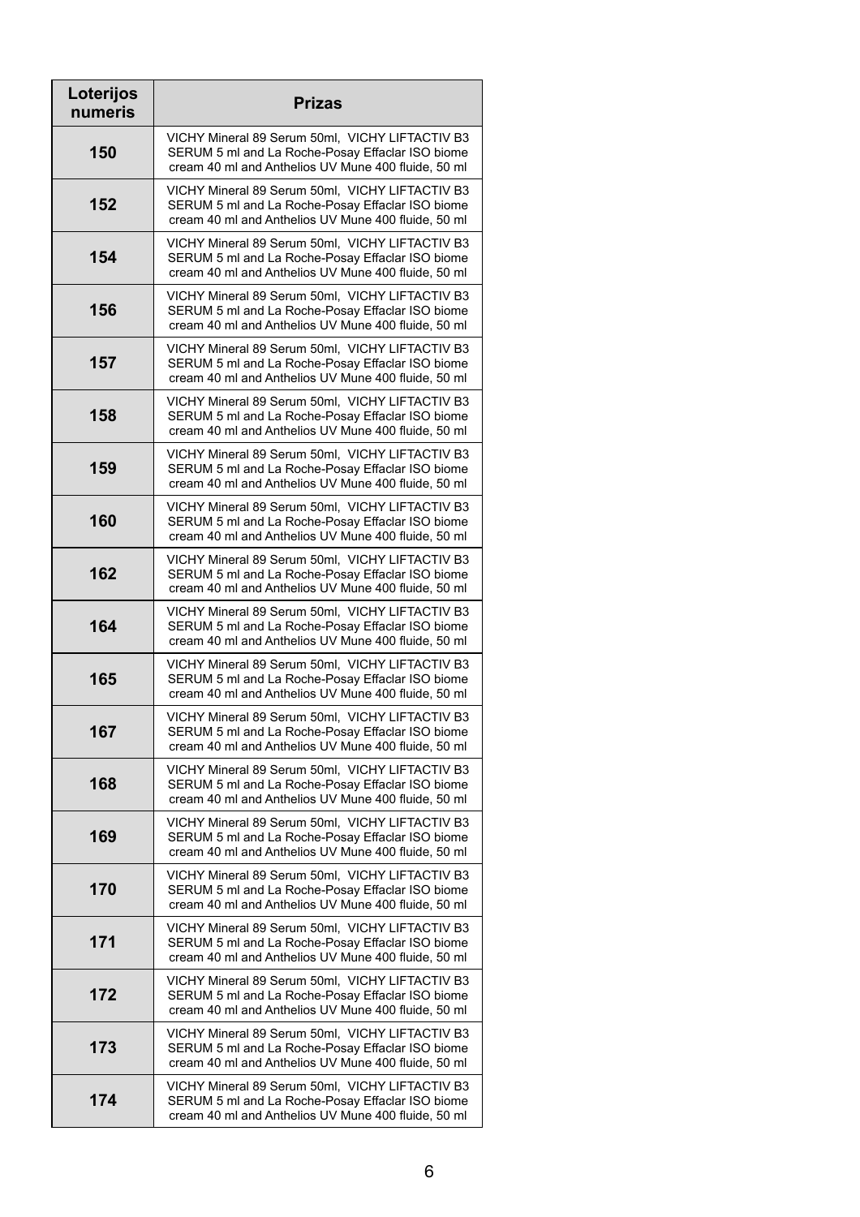| Loterijos<br>numeris | <b>Prizas</b>                                                                                                                                              |
|----------------------|------------------------------------------------------------------------------------------------------------------------------------------------------------|
| 150                  | VICHY Mineral 89 Serum 50ml, VICHY LIFTACTIV B3<br>SERUM 5 ml and La Roche-Posay Effaclar ISO biome<br>cream 40 ml and Anthelios UV Mune 400 fluide, 50 ml |
| 152                  | VICHY Mineral 89 Serum 50ml, VICHY LIFTACTIV B3<br>SERUM 5 ml and La Roche-Posay Effaclar ISO biome<br>cream 40 ml and Anthelios UV Mune 400 fluide, 50 ml |
| 154                  | VICHY Mineral 89 Serum 50ml, VICHY LIFTACTIV B3<br>SERUM 5 ml and La Roche-Posay Effaclar ISO biome<br>cream 40 ml and Anthelios UV Mune 400 fluide, 50 ml |
| 156                  | VICHY Mineral 89 Serum 50ml, VICHY LIFTACTIV B3<br>SERUM 5 ml and La Roche-Posay Effaclar ISO biome<br>cream 40 ml and Anthelios UV Mune 400 fluide, 50 ml |
| 157                  | VICHY Mineral 89 Serum 50ml, VICHY LIFTACTIV B3<br>SERUM 5 ml and La Roche-Posay Effaclar ISO biome<br>cream 40 ml and Anthelios UV Mune 400 fluide, 50 ml |
| 158                  | VICHY Mineral 89 Serum 50ml, VICHY LIFTACTIV B3<br>SERUM 5 ml and La Roche-Posay Effaclar ISO biome<br>cream 40 ml and Anthelios UV Mune 400 fluide, 50 ml |
| 159                  | VICHY Mineral 89 Serum 50ml, VICHY LIFTACTIV B3<br>SERUM 5 ml and La Roche-Posay Effaclar ISO biome<br>cream 40 ml and Anthelios UV Mune 400 fluide, 50 ml |
| 160                  | VICHY Mineral 89 Serum 50ml, VICHY LIFTACTIV B3<br>SERUM 5 ml and La Roche-Posay Effaclar ISO biome<br>cream 40 ml and Anthelios UV Mune 400 fluide, 50 ml |
| 162                  | VICHY Mineral 89 Serum 50ml, VICHY LIFTACTIV B3<br>SERUM 5 ml and La Roche-Posay Effaclar ISO biome<br>cream 40 ml and Anthelios UV Mune 400 fluide, 50 ml |
| 164                  | VICHY Mineral 89 Serum 50ml, VICHY LIFTACTIV B3<br>SERUM 5 ml and La Roche-Posay Effaclar ISO biome<br>cream 40 ml and Anthelios UV Mune 400 fluide, 50 ml |
| 165                  | VICHY Mineral 89 Serum 50ml, VICHY LIFTACTIV B3<br>SERUM 5 ml and La Roche-Posay Effaclar ISO biome<br>cream 40 ml and Anthelios UV Mune 400 fluide, 50 ml |
| 167                  | VICHY Mineral 89 Serum 50ml, VICHY LIFTACTIV B3<br>SERUM 5 ml and La Roche-Posay Effaclar ISO biome<br>cream 40 ml and Anthelios UV Mune 400 fluide, 50 ml |
| 168                  | VICHY Mineral 89 Serum 50ml, VICHY LIFTACTIV B3<br>SERUM 5 ml and La Roche-Posay Effaclar ISO biome<br>cream 40 ml and Anthelios UV Mune 400 fluide, 50 ml |
| 169                  | VICHY Mineral 89 Serum 50ml, VICHY LIFTACTIV B3<br>SERUM 5 ml and La Roche-Posay Effaclar ISO biome<br>cream 40 ml and Anthelios UV Mune 400 fluide, 50 ml |
| 170                  | VICHY Mineral 89 Serum 50ml, VICHY LIFTACTIV B3<br>SERUM 5 ml and La Roche-Posay Effaclar ISO biome<br>cream 40 ml and Anthelios UV Mune 400 fluide, 50 ml |
| 171                  | VICHY Mineral 89 Serum 50ml, VICHY LIFTACTIV B3<br>SERUM 5 ml and La Roche-Posay Effaclar ISO biome<br>cream 40 ml and Anthelios UV Mune 400 fluide, 50 ml |
| 172                  | VICHY Mineral 89 Serum 50ml, VICHY LIFTACTIV B3<br>SERUM 5 ml and La Roche-Posay Effaclar ISO biome<br>cream 40 ml and Anthelios UV Mune 400 fluide, 50 ml |
| 173                  | VICHY Mineral 89 Serum 50ml, VICHY LIFTACTIV B3<br>SERUM 5 ml and La Roche-Posay Effaclar ISO biome<br>cream 40 ml and Anthelios UV Mune 400 fluide, 50 ml |
| 174                  | VICHY Mineral 89 Serum 50ml, VICHY LIFTACTIV B3<br>SERUM 5 ml and La Roche-Posay Effaclar ISO biome<br>cream 40 ml and Anthelios UV Mune 400 fluide, 50 ml |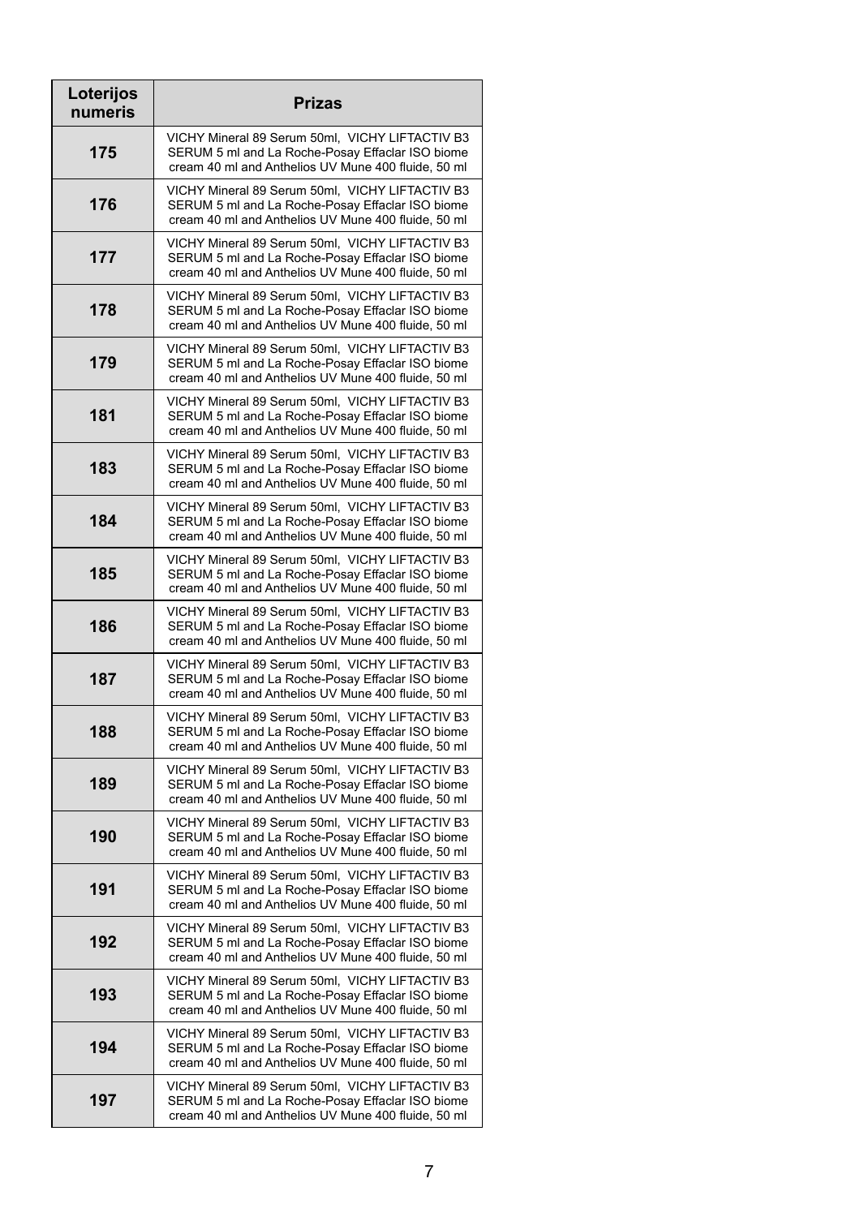| Loterijos<br>numeris | <b>Prizas</b>                                                                                                                                              |
|----------------------|------------------------------------------------------------------------------------------------------------------------------------------------------------|
| 175                  | VICHY Mineral 89 Serum 50ml, VICHY LIFTACTIV B3<br>SERUM 5 ml and La Roche-Posay Effaclar ISO biome<br>cream 40 ml and Anthelios UV Mune 400 fluide, 50 ml |
| 176                  | VICHY Mineral 89 Serum 50ml, VICHY LIFTACTIV B3<br>SERUM 5 ml and La Roche-Posay Effaclar ISO biome<br>cream 40 ml and Anthelios UV Mune 400 fluide, 50 ml |
| 177                  | VICHY Mineral 89 Serum 50ml, VICHY LIFTACTIV B3<br>SERUM 5 ml and La Roche-Posay Effaclar ISO biome<br>cream 40 ml and Anthelios UV Mune 400 fluide, 50 ml |
| 178                  | VICHY Mineral 89 Serum 50ml, VICHY LIFTACTIV B3<br>SERUM 5 ml and La Roche-Posay Effaclar ISO biome<br>cream 40 ml and Anthelios UV Mune 400 fluide, 50 ml |
| 179                  | VICHY Mineral 89 Serum 50ml, VICHY LIFTACTIV B3<br>SERUM 5 ml and La Roche-Posay Effaclar ISO biome<br>cream 40 ml and Anthelios UV Mune 400 fluide, 50 ml |
| 181                  | VICHY Mineral 89 Serum 50ml, VICHY LIFTACTIV B3<br>SERUM 5 ml and La Roche-Posay Effaclar ISO biome<br>cream 40 ml and Anthelios UV Mune 400 fluide, 50 ml |
| 183                  | VICHY Mineral 89 Serum 50ml, VICHY LIFTACTIV B3<br>SERUM 5 ml and La Roche-Posay Effaclar ISO biome<br>cream 40 ml and Anthelios UV Mune 400 fluide, 50 ml |
| 184                  | VICHY Mineral 89 Serum 50ml, VICHY LIFTACTIV B3<br>SERUM 5 ml and La Roche-Posay Effaclar ISO biome<br>cream 40 ml and Anthelios UV Mune 400 fluide, 50 ml |
| 185                  | VICHY Mineral 89 Serum 50ml, VICHY LIFTACTIV B3<br>SERUM 5 ml and La Roche-Posay Effaclar ISO biome<br>cream 40 ml and Anthelios UV Mune 400 fluide, 50 ml |
| 186                  | VICHY Mineral 89 Serum 50ml, VICHY LIFTACTIV B3<br>SERUM 5 ml and La Roche-Posay Effaclar ISO biome<br>cream 40 ml and Anthelios UV Mune 400 fluide, 50 ml |
| 187                  | VICHY Mineral 89 Serum 50ml, VICHY LIFTACTIV B3<br>SERUM 5 ml and La Roche-Posay Effaclar ISO biome<br>cream 40 ml and Anthelios UV Mune 400 fluide, 50 ml |
| 188                  | VICHY Mineral 89 Serum 50ml, VICHY LIFTACTIV B3<br>SERUM 5 ml and La Roche-Posay Effaclar ISO biome<br>cream 40 ml and Anthelios UV Mune 400 fluide, 50 ml |
| 189                  | VICHY Mineral 89 Serum 50ml, VICHY LIFTACTIV B3<br>SERUM 5 ml and La Roche-Posay Effaclar ISO biome<br>cream 40 ml and Anthelios UV Mune 400 fluide, 50 ml |
| 190                  | VICHY Mineral 89 Serum 50ml, VICHY LIFTACTIV B3<br>SERUM 5 ml and La Roche-Posay Effaclar ISO biome<br>cream 40 ml and Anthelios UV Mune 400 fluide, 50 ml |
| 191                  | VICHY Mineral 89 Serum 50ml, VICHY LIFTACTIV B3<br>SERUM 5 ml and La Roche-Posay Effaclar ISO biome<br>cream 40 ml and Anthelios UV Mune 400 fluide, 50 ml |
| 192                  | VICHY Mineral 89 Serum 50ml, VICHY LIFTACTIV B3<br>SERUM 5 ml and La Roche-Posay Effaclar ISO biome<br>cream 40 ml and Anthelios UV Mune 400 fluide, 50 ml |
| 193                  | VICHY Mineral 89 Serum 50ml, VICHY LIFTACTIV B3<br>SERUM 5 ml and La Roche-Posay Effaclar ISO biome<br>cream 40 ml and Anthelios UV Mune 400 fluide, 50 ml |
| 194                  | VICHY Mineral 89 Serum 50ml, VICHY LIFTACTIV B3<br>SERUM 5 ml and La Roche-Posay Effaclar ISO biome<br>cream 40 ml and Anthelios UV Mune 400 fluide, 50 ml |
| 197                  | VICHY Mineral 89 Serum 50ml, VICHY LIFTACTIV B3<br>SERUM 5 ml and La Roche-Posay Effaclar ISO biome<br>cream 40 ml and Anthelios UV Mune 400 fluide, 50 ml |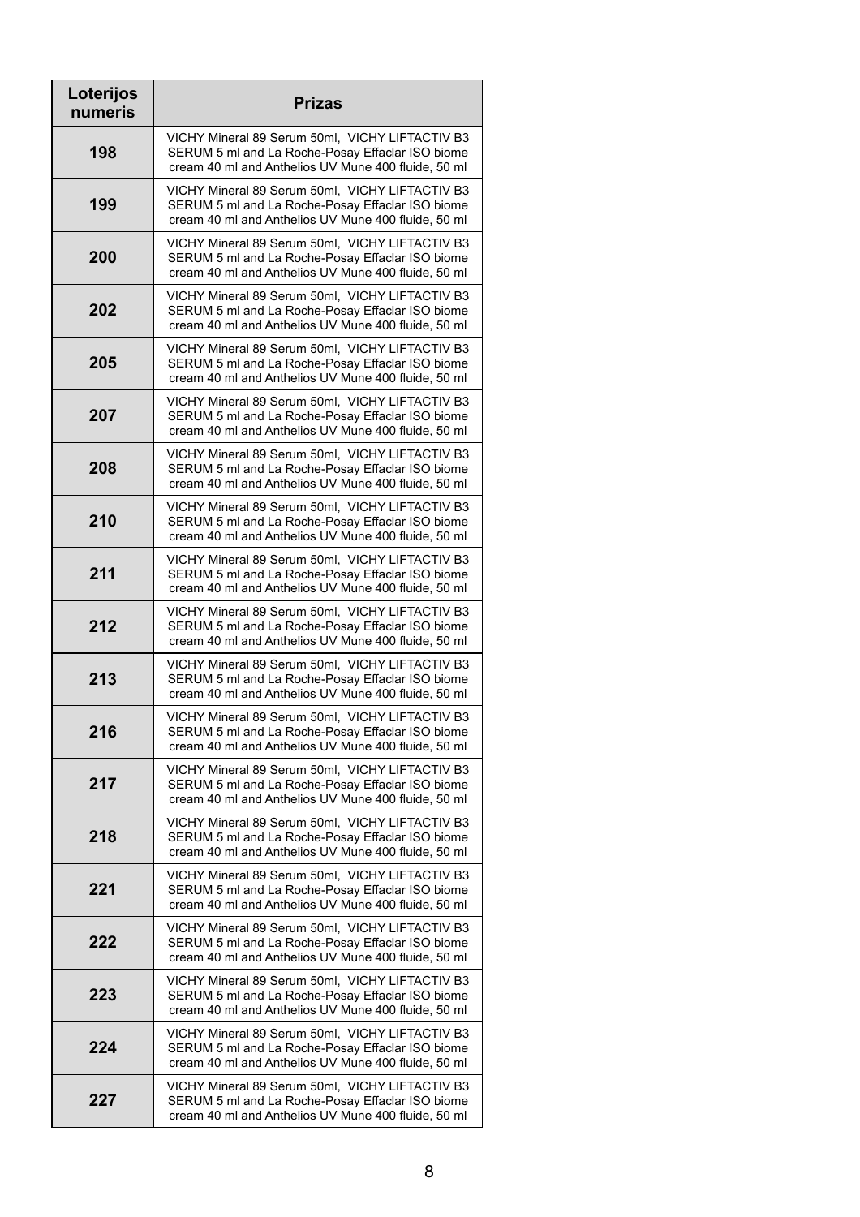| Loterijos<br>numeris | <b>Prizas</b>                                                                                                                                              |
|----------------------|------------------------------------------------------------------------------------------------------------------------------------------------------------|
| 198                  | VICHY Mineral 89 Serum 50ml, VICHY LIFTACTIV B3<br>SERUM 5 ml and La Roche-Posay Effaclar ISO biome<br>cream 40 ml and Anthelios UV Mune 400 fluide, 50 ml |
| 199                  | VICHY Mineral 89 Serum 50ml, VICHY LIFTACTIV B3<br>SERUM 5 ml and La Roche-Posay Effaclar ISO biome<br>cream 40 ml and Anthelios UV Mune 400 fluide, 50 ml |
| 200                  | VICHY Mineral 89 Serum 50ml, VICHY LIFTACTIV B3<br>SERUM 5 ml and La Roche-Posay Effaclar ISO biome<br>cream 40 ml and Anthelios UV Mune 400 fluide, 50 ml |
| 202                  | VICHY Mineral 89 Serum 50ml, VICHY LIFTACTIV B3<br>SERUM 5 ml and La Roche-Posay Effaclar ISO biome<br>cream 40 ml and Anthelios UV Mune 400 fluide, 50 ml |
| 205                  | VICHY Mineral 89 Serum 50ml, VICHY LIFTACTIV B3<br>SERUM 5 ml and La Roche-Posay Effaclar ISO biome<br>cream 40 ml and Anthelios UV Mune 400 fluide, 50 ml |
| 207                  | VICHY Mineral 89 Serum 50ml, VICHY LIFTACTIV B3<br>SERUM 5 ml and La Roche-Posay Effaclar ISO biome<br>cream 40 ml and Anthelios UV Mune 400 fluide, 50 ml |
| 208                  | VICHY Mineral 89 Serum 50ml, VICHY LIFTACTIV B3<br>SERUM 5 ml and La Roche-Posay Effaclar ISO biome<br>cream 40 ml and Anthelios UV Mune 400 fluide, 50 ml |
| 210                  | VICHY Mineral 89 Serum 50ml, VICHY LIFTACTIV B3<br>SERUM 5 ml and La Roche-Posay Effaclar ISO biome<br>cream 40 ml and Anthelios UV Mune 400 fluide, 50 ml |
| 211                  | VICHY Mineral 89 Serum 50ml, VICHY LIFTACTIV B3<br>SERUM 5 ml and La Roche-Posay Effaclar ISO biome<br>cream 40 ml and Anthelios UV Mune 400 fluide, 50 ml |
| 212                  | VICHY Mineral 89 Serum 50ml, VICHY LIFTACTIV B3<br>SERUM 5 ml and La Roche-Posay Effaclar ISO biome<br>cream 40 ml and Anthelios UV Mune 400 fluide, 50 ml |
| 213                  | VICHY Mineral 89 Serum 50ml, VICHY LIFTACTIV B3<br>SERUM 5 ml and La Roche-Posay Effaclar ISO biome<br>cream 40 ml and Anthelios UV Mune 400 fluide, 50 ml |
| 216                  | VICHY Mineral 89 Serum 50ml, VICHY LIFTACTIV B3<br>SERUM 5 ml and La Roche-Posay Effaclar ISO biome<br>cream 40 ml and Anthelios UV Mune 400 fluide, 50 ml |
| 217                  | VICHY Mineral 89 Serum 50ml, VICHY LIFTACTIV B3<br>SERUM 5 ml and La Roche-Posay Effaclar ISO biome<br>cream 40 ml and Anthelios UV Mune 400 fluide, 50 ml |
| 218                  | VICHY Mineral 89 Serum 50ml, VICHY LIFTACTIV B3<br>SERUM 5 ml and La Roche-Posay Effaclar ISO biome<br>cream 40 ml and Anthelios UV Mune 400 fluide, 50 ml |
| 221                  | VICHY Mineral 89 Serum 50ml, VICHY LIFTACTIV B3<br>SERUM 5 ml and La Roche-Posay Effaclar ISO biome<br>cream 40 ml and Anthelios UV Mune 400 fluide, 50 ml |
| 222                  | VICHY Mineral 89 Serum 50ml, VICHY LIFTACTIV B3<br>SERUM 5 ml and La Roche-Posay Effaclar ISO biome<br>cream 40 ml and Anthelios UV Mune 400 fluide, 50 ml |
| 223                  | VICHY Mineral 89 Serum 50ml, VICHY LIFTACTIV B3<br>SERUM 5 ml and La Roche-Posay Effaclar ISO biome<br>cream 40 ml and Anthelios UV Mune 400 fluide, 50 ml |
| 224                  | VICHY Mineral 89 Serum 50ml, VICHY LIFTACTIV B3<br>SERUM 5 ml and La Roche-Posay Effaclar ISO biome<br>cream 40 ml and Anthelios UV Mune 400 fluide, 50 ml |
| 227                  | VICHY Mineral 89 Serum 50ml, VICHY LIFTACTIV B3<br>SERUM 5 ml and La Roche-Posay Effaclar ISO biome<br>cream 40 ml and Anthelios UV Mune 400 fluide, 50 ml |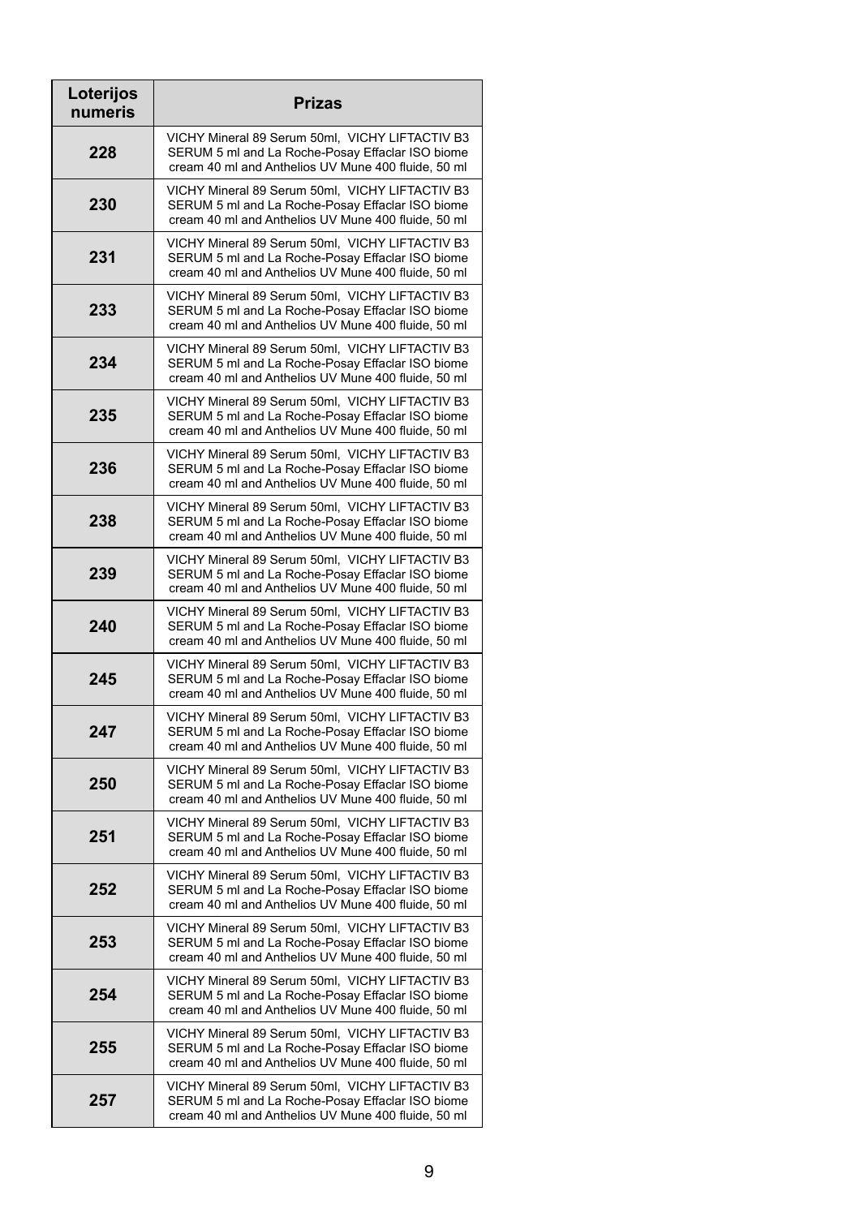| Loterijos<br>numeris | <b>Prizas</b>                                                                                                                                              |
|----------------------|------------------------------------------------------------------------------------------------------------------------------------------------------------|
| 228                  | VICHY Mineral 89 Serum 50ml, VICHY LIFTACTIV B3<br>SERUM 5 ml and La Roche-Posay Effaclar ISO biome<br>cream 40 ml and Anthelios UV Mune 400 fluide, 50 ml |
| 230                  | VICHY Mineral 89 Serum 50ml, VICHY LIFTACTIV B3<br>SERUM 5 ml and La Roche-Posay Effaclar ISO biome<br>cream 40 ml and Anthelios UV Mune 400 fluide, 50 ml |
| 231                  | VICHY Mineral 89 Serum 50ml, VICHY LIFTACTIV B3<br>SERUM 5 ml and La Roche-Posay Effaclar ISO biome<br>cream 40 ml and Anthelios UV Mune 400 fluide, 50 ml |
| 233                  | VICHY Mineral 89 Serum 50ml, VICHY LIFTACTIV B3<br>SERUM 5 ml and La Roche-Posay Effaclar ISO biome<br>cream 40 ml and Anthelios UV Mune 400 fluide, 50 ml |
| 234                  | VICHY Mineral 89 Serum 50ml, VICHY LIFTACTIV B3<br>SERUM 5 ml and La Roche-Posay Effaclar ISO biome<br>cream 40 ml and Anthelios UV Mune 400 fluide, 50 ml |
| 235                  | VICHY Mineral 89 Serum 50ml, VICHY LIFTACTIV B3<br>SERUM 5 ml and La Roche-Posay Effaclar ISO biome<br>cream 40 ml and Anthelios UV Mune 400 fluide, 50 ml |
| 236                  | VICHY Mineral 89 Serum 50ml, VICHY LIFTACTIV B3<br>SERUM 5 ml and La Roche-Posay Effaclar ISO biome<br>cream 40 ml and Anthelios UV Mune 400 fluide, 50 ml |
| 238                  | VICHY Mineral 89 Serum 50ml, VICHY LIFTACTIV B3<br>SERUM 5 ml and La Roche-Posay Effaclar ISO biome<br>cream 40 ml and Anthelios UV Mune 400 fluide, 50 ml |
| 239                  | VICHY Mineral 89 Serum 50ml, VICHY LIFTACTIV B3<br>SERUM 5 ml and La Roche-Posay Effaclar ISO biome<br>cream 40 ml and Anthelios UV Mune 400 fluide, 50 ml |
| 240                  | VICHY Mineral 89 Serum 50ml, VICHY LIFTACTIV B3<br>SERUM 5 ml and La Roche-Posay Effaclar ISO biome<br>cream 40 ml and Anthelios UV Mune 400 fluide, 50 ml |
| 245                  | VICHY Mineral 89 Serum 50ml, VICHY LIFTACTIV B3<br>SERUM 5 ml and La Roche-Posay Effaclar ISO biome<br>cream 40 ml and Anthelios UV Mune 400 fluide, 50 ml |
| 247                  | VICHY Mineral 89 Serum 50ml, VICHY LIFTACTIV B3<br>SERUM 5 ml and La Roche-Posay Effaclar ISO biome<br>cream 40 ml and Anthelios UV Mune 400 fluide, 50 ml |
| 250                  | VICHY Mineral 89 Serum 50ml, VICHY LIFTACTIV B3<br>SERUM 5 ml and La Roche-Posay Effaclar ISO biome<br>cream 40 ml and Anthelios UV Mune 400 fluide, 50 ml |
| 251                  | VICHY Mineral 89 Serum 50ml, VICHY LIFTACTIV B3<br>SERUM 5 ml and La Roche-Posay Effaclar ISO biome<br>cream 40 ml and Anthelios UV Mune 400 fluide, 50 ml |
| 252                  | VICHY Mineral 89 Serum 50ml, VICHY LIFTACTIV B3<br>SERUM 5 ml and La Roche-Posay Effaclar ISO biome<br>cream 40 ml and Anthelios UV Mune 400 fluide, 50 ml |
| 253                  | VICHY Mineral 89 Serum 50ml, VICHY LIFTACTIV B3<br>SERUM 5 ml and La Roche-Posay Effaclar ISO biome<br>cream 40 ml and Anthelios UV Mune 400 fluide, 50 ml |
| 254                  | VICHY Mineral 89 Serum 50ml, VICHY LIFTACTIV B3<br>SERUM 5 ml and La Roche-Posay Effaclar ISO biome<br>cream 40 ml and Anthelios UV Mune 400 fluide, 50 ml |
| 255                  | VICHY Mineral 89 Serum 50ml, VICHY LIFTACTIV B3<br>SERUM 5 ml and La Roche-Posay Effaclar ISO biome<br>cream 40 ml and Anthelios UV Mune 400 fluide, 50 ml |
| 257                  | VICHY Mineral 89 Serum 50ml, VICHY LIFTACTIV B3<br>SERUM 5 ml and La Roche-Posay Effaclar ISO biome<br>cream 40 ml and Anthelios UV Mune 400 fluide, 50 ml |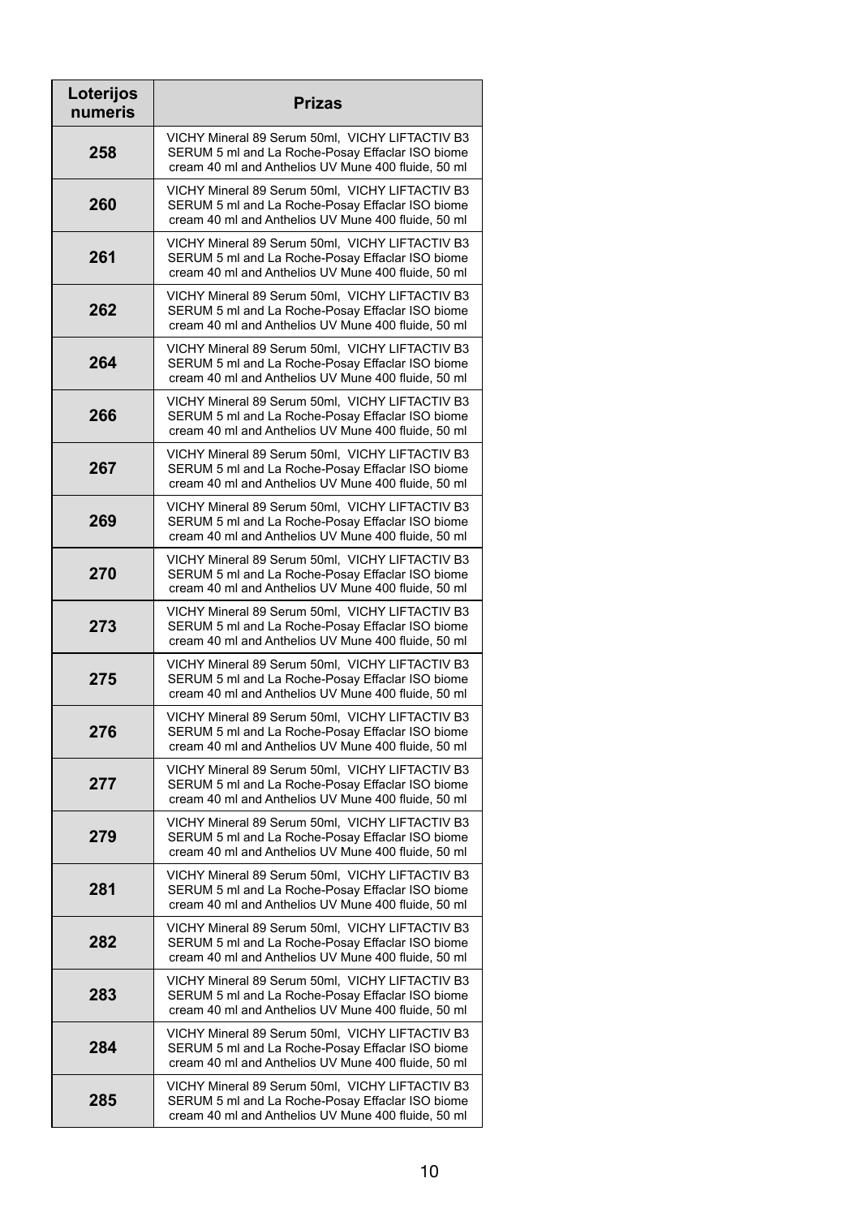| Loterijos<br>numeris | <b>Prizas</b>                                                                                                                                              |
|----------------------|------------------------------------------------------------------------------------------------------------------------------------------------------------|
| 258                  | VICHY Mineral 89 Serum 50ml, VICHY LIFTACTIV B3<br>SERUM 5 ml and La Roche-Posay Effaclar ISO biome<br>cream 40 ml and Anthelios UV Mune 400 fluide, 50 ml |
| 260                  | VICHY Mineral 89 Serum 50ml, VICHY LIFTACTIV B3<br>SERUM 5 ml and La Roche-Posay Effaclar ISO biome<br>cream 40 ml and Anthelios UV Mune 400 fluide, 50 ml |
| 261                  | VICHY Mineral 89 Serum 50ml, VICHY LIFTACTIV B3<br>SERUM 5 ml and La Roche-Posay Effaclar ISO biome<br>cream 40 ml and Anthelios UV Mune 400 fluide, 50 ml |
| 262                  | VICHY Mineral 89 Serum 50ml, VICHY LIFTACTIV B3<br>SERUM 5 ml and La Roche-Posay Effaclar ISO biome<br>cream 40 ml and Anthelios UV Mune 400 fluide, 50 ml |
| 264                  | VICHY Mineral 89 Serum 50ml, VICHY LIFTACTIV B3<br>SERUM 5 ml and La Roche-Posay Effaclar ISO biome<br>cream 40 ml and Anthelios UV Mune 400 fluide, 50 ml |
| 266                  | VICHY Mineral 89 Serum 50ml, VICHY LIFTACTIV B3<br>SERUM 5 ml and La Roche-Posay Effaclar ISO biome<br>cream 40 ml and Anthelios UV Mune 400 fluide, 50 ml |
| 267                  | VICHY Mineral 89 Serum 50ml, VICHY LIFTACTIV B3<br>SERUM 5 ml and La Roche-Posay Effaclar ISO biome<br>cream 40 ml and Anthelios UV Mune 400 fluide, 50 ml |
| 269                  | VICHY Mineral 89 Serum 50ml, VICHY LIFTACTIV B3<br>SERUM 5 ml and La Roche-Posay Effaclar ISO biome<br>cream 40 ml and Anthelios UV Mune 400 fluide, 50 ml |
| 270                  | VICHY Mineral 89 Serum 50ml, VICHY LIFTACTIV B3<br>SERUM 5 ml and La Roche-Posay Effaclar ISO biome<br>cream 40 ml and Anthelios UV Mune 400 fluide, 50 ml |
| 273                  | VICHY Mineral 89 Serum 50ml, VICHY LIFTACTIV B3<br>SERUM 5 ml and La Roche-Posay Effaclar ISO biome<br>cream 40 ml and Anthelios UV Mune 400 fluide, 50 ml |
| 275                  | VICHY Mineral 89 Serum 50ml, VICHY LIFTACTIV B3<br>SERUM 5 ml and La Roche-Posay Effaclar ISO biome<br>cream 40 ml and Anthelios UV Mune 400 fluide, 50 ml |
| 276                  | VICHY Mineral 89 Serum 50ml, VICHY LIFTACTIV B3<br>SERUM 5 ml and La Roche-Posay Effaclar ISO biome<br>cream 40 ml and Anthelios UV Mune 400 fluide, 50 ml |
| 277                  | VICHY Mineral 89 Serum 50ml, VICHY LIFTACTIV B3<br>SERUM 5 ml and La Roche-Posay Effaclar ISO biome<br>cream 40 ml and Anthelios UV Mune 400 fluide, 50 ml |
| 279                  | VICHY Mineral 89 Serum 50ml, VICHY LIFTACTIV B3<br>SERUM 5 ml and La Roche-Posay Effaclar ISO biome<br>cream 40 ml and Anthelios UV Mune 400 fluide, 50 ml |
| 281                  | VICHY Mineral 89 Serum 50ml, VICHY LIFTACTIV B3<br>SERUM 5 ml and La Roche-Posay Effaclar ISO biome<br>cream 40 ml and Anthelios UV Mune 400 fluide, 50 ml |
| 282                  | VICHY Mineral 89 Serum 50ml, VICHY LIFTACTIV B3<br>SERUM 5 ml and La Roche-Posay Effaclar ISO biome<br>cream 40 ml and Anthelios UV Mune 400 fluide, 50 ml |
| 283                  | VICHY Mineral 89 Serum 50ml, VICHY LIFTACTIV B3<br>SERUM 5 ml and La Roche-Posay Effaclar ISO biome<br>cream 40 ml and Anthelios UV Mune 400 fluide, 50 ml |
| 284                  | VICHY Mineral 89 Serum 50ml, VICHY LIFTACTIV B3<br>SERUM 5 ml and La Roche-Posay Effaclar ISO biome<br>cream 40 ml and Anthelios UV Mune 400 fluide, 50 ml |
| 285                  | VICHY Mineral 89 Serum 50ml, VICHY LIFTACTIV B3<br>SERUM 5 ml and La Roche-Posay Effaclar ISO biome<br>cream 40 ml and Anthelios UV Mune 400 fluide, 50 ml |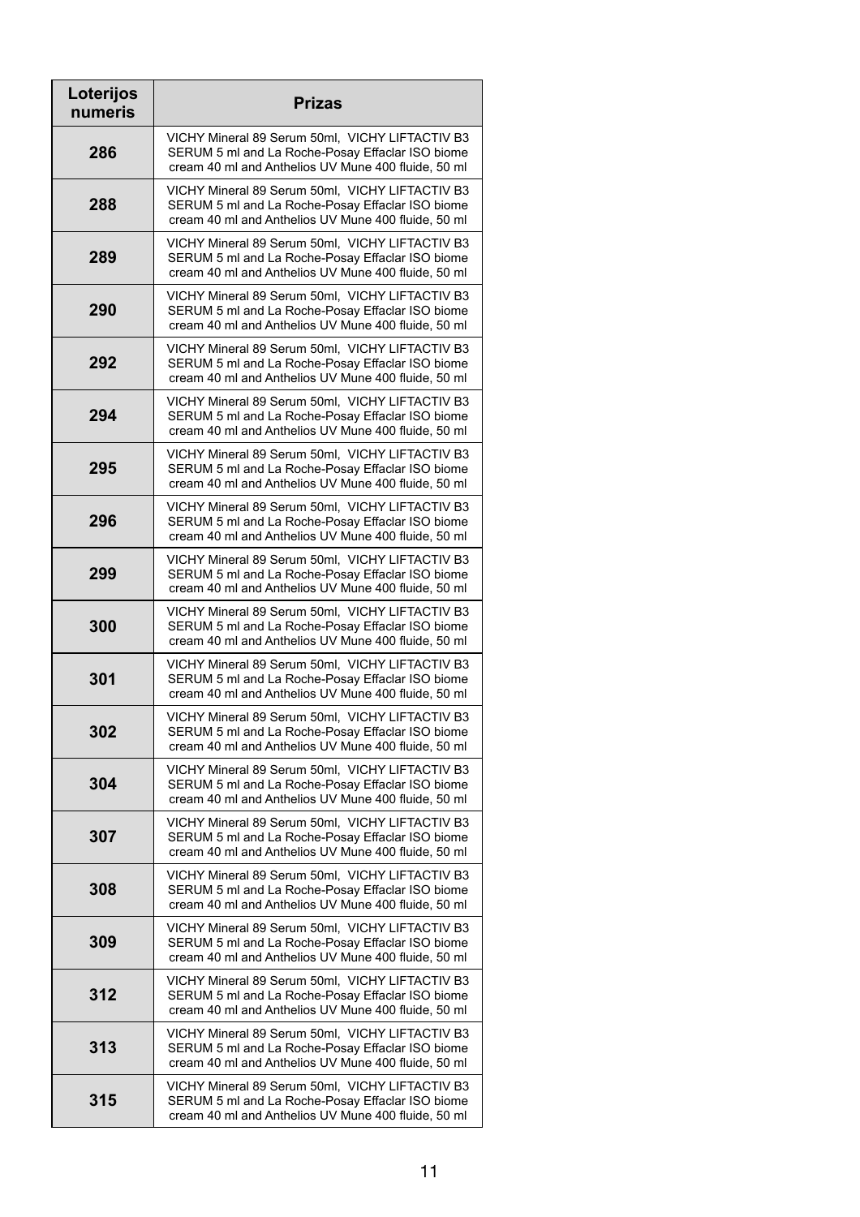| Loterijos<br>numeris | <b>Prizas</b>                                                                                                                                              |
|----------------------|------------------------------------------------------------------------------------------------------------------------------------------------------------|
| 286                  | VICHY Mineral 89 Serum 50ml, VICHY LIFTACTIV B3<br>SERUM 5 ml and La Roche-Posay Effaclar ISO biome<br>cream 40 ml and Anthelios UV Mune 400 fluide, 50 ml |
| 288                  | VICHY Mineral 89 Serum 50ml, VICHY LIFTACTIV B3<br>SERUM 5 ml and La Roche-Posay Effaclar ISO biome<br>cream 40 ml and Anthelios UV Mune 400 fluide, 50 ml |
| 289                  | VICHY Mineral 89 Serum 50ml, VICHY LIFTACTIV B3<br>SERUM 5 ml and La Roche-Posay Effaclar ISO biome<br>cream 40 ml and Anthelios UV Mune 400 fluide, 50 ml |
| 290                  | VICHY Mineral 89 Serum 50ml, VICHY LIFTACTIV B3<br>SERUM 5 ml and La Roche-Posay Effaclar ISO biome<br>cream 40 ml and Anthelios UV Mune 400 fluide, 50 ml |
| 292                  | VICHY Mineral 89 Serum 50ml, VICHY LIFTACTIV B3<br>SERUM 5 ml and La Roche-Posay Effaclar ISO biome<br>cream 40 ml and Anthelios UV Mune 400 fluide, 50 ml |
| 294                  | VICHY Mineral 89 Serum 50ml, VICHY LIFTACTIV B3<br>SERUM 5 ml and La Roche-Posay Effaclar ISO biome<br>cream 40 ml and Anthelios UV Mune 400 fluide, 50 ml |
| 295                  | VICHY Mineral 89 Serum 50ml, VICHY LIFTACTIV B3<br>SERUM 5 ml and La Roche-Posay Effaclar ISO biome<br>cream 40 ml and Anthelios UV Mune 400 fluide, 50 ml |
| 296                  | VICHY Mineral 89 Serum 50ml, VICHY LIFTACTIV B3<br>SERUM 5 ml and La Roche-Posay Effaclar ISO biome<br>cream 40 ml and Anthelios UV Mune 400 fluide, 50 ml |
| 299                  | VICHY Mineral 89 Serum 50ml, VICHY LIFTACTIV B3<br>SERUM 5 ml and La Roche-Posay Effaclar ISO biome<br>cream 40 ml and Anthelios UV Mune 400 fluide, 50 ml |
| 300                  | VICHY Mineral 89 Serum 50ml, VICHY LIFTACTIV B3<br>SERUM 5 ml and La Roche-Posay Effaclar ISO biome<br>cream 40 ml and Anthelios UV Mune 400 fluide, 50 ml |
| 301                  | VICHY Mineral 89 Serum 50ml, VICHY LIFTACTIV B3<br>SERUM 5 ml and La Roche-Posay Effaclar ISO biome<br>cream 40 ml and Anthelios UV Mune 400 fluide, 50 ml |
| 302                  | VICHY Mineral 89 Serum 50ml, VICHY LIFTACTIV B3<br>SERUM 5 ml and La Roche-Posay Effaclar ISO biome<br>cream 40 ml and Anthelios UV Mune 400 fluide, 50 ml |
| 304                  | VICHY Mineral 89 Serum 50ml, VICHY LIFTACTIV B3<br>SERUM 5 ml and La Roche-Posay Effaclar ISO biome<br>cream 40 ml and Anthelios UV Mune 400 fluide, 50 ml |
| 307                  | VICHY Mineral 89 Serum 50ml, VICHY LIFTACTIV B3<br>SERUM 5 ml and La Roche-Posay Effaclar ISO biome<br>cream 40 ml and Anthelios UV Mune 400 fluide, 50 ml |
| 308                  | VICHY Mineral 89 Serum 50ml, VICHY LIFTACTIV B3<br>SERUM 5 ml and La Roche-Posay Effaclar ISO biome<br>cream 40 ml and Anthelios UV Mune 400 fluide, 50 ml |
| 309                  | VICHY Mineral 89 Serum 50ml, VICHY LIFTACTIV B3<br>SERUM 5 ml and La Roche-Posay Effaclar ISO biome<br>cream 40 ml and Anthelios UV Mune 400 fluide, 50 ml |
| 312                  | VICHY Mineral 89 Serum 50ml, VICHY LIFTACTIV B3<br>SERUM 5 ml and La Roche-Posay Effaclar ISO biome<br>cream 40 ml and Anthelios UV Mune 400 fluide, 50 ml |
| 313                  | VICHY Mineral 89 Serum 50ml, VICHY LIFTACTIV B3<br>SERUM 5 ml and La Roche-Posay Effaclar ISO biome<br>cream 40 ml and Anthelios UV Mune 400 fluide, 50 ml |
| 315                  | VICHY Mineral 89 Serum 50ml, VICHY LIFTACTIV B3<br>SERUM 5 ml and La Roche-Posay Effaclar ISO biome<br>cream 40 ml and Anthelios UV Mune 400 fluide, 50 ml |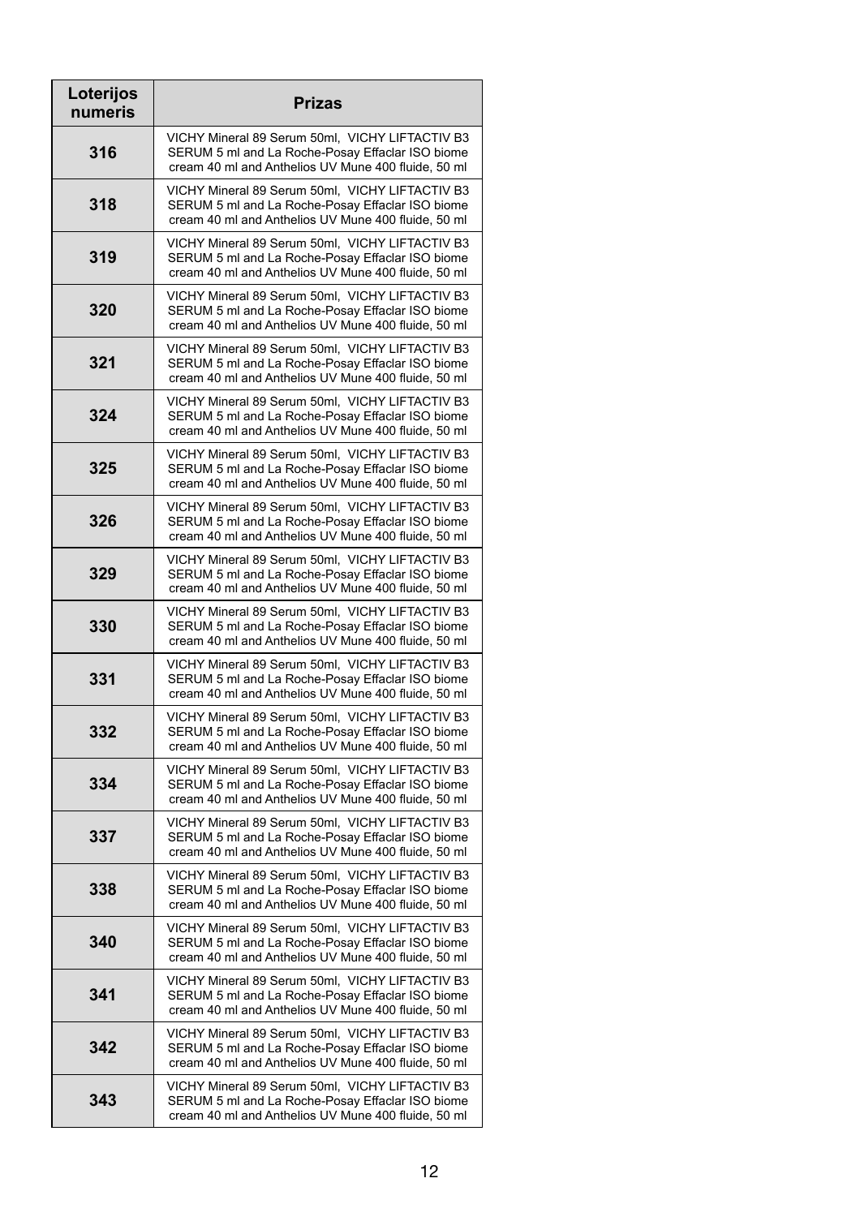| Loterijos<br>numeris | <b>Prizas</b>                                                                                                                                              |
|----------------------|------------------------------------------------------------------------------------------------------------------------------------------------------------|
| 316                  | VICHY Mineral 89 Serum 50ml, VICHY LIFTACTIV B3<br>SERUM 5 ml and La Roche-Posay Effaclar ISO biome<br>cream 40 ml and Anthelios UV Mune 400 fluide, 50 ml |
| 318                  | VICHY Mineral 89 Serum 50ml, VICHY LIFTACTIV B3<br>SERUM 5 ml and La Roche-Posay Effaclar ISO biome<br>cream 40 ml and Anthelios UV Mune 400 fluide, 50 ml |
| 319                  | VICHY Mineral 89 Serum 50ml, VICHY LIFTACTIV B3<br>SERUM 5 ml and La Roche-Posay Effaclar ISO biome<br>cream 40 ml and Anthelios UV Mune 400 fluide, 50 ml |
| 320                  | VICHY Mineral 89 Serum 50ml, VICHY LIFTACTIV B3<br>SERUM 5 ml and La Roche-Posay Effaclar ISO biome<br>cream 40 ml and Anthelios UV Mune 400 fluide, 50 ml |
| 321                  | VICHY Mineral 89 Serum 50ml, VICHY LIFTACTIV B3<br>SERUM 5 ml and La Roche-Posay Effaclar ISO biome<br>cream 40 ml and Anthelios UV Mune 400 fluide, 50 ml |
| 324                  | VICHY Mineral 89 Serum 50ml, VICHY LIFTACTIV B3<br>SERUM 5 ml and La Roche-Posay Effaclar ISO biome<br>cream 40 ml and Anthelios UV Mune 400 fluide, 50 ml |
| 325                  | VICHY Mineral 89 Serum 50ml, VICHY LIFTACTIV B3<br>SERUM 5 ml and La Roche-Posay Effaclar ISO biome<br>cream 40 ml and Anthelios UV Mune 400 fluide, 50 ml |
| 326                  | VICHY Mineral 89 Serum 50ml, VICHY LIFTACTIV B3<br>SERUM 5 ml and La Roche-Posay Effaclar ISO biome<br>cream 40 ml and Anthelios UV Mune 400 fluide, 50 ml |
| 329                  | VICHY Mineral 89 Serum 50ml, VICHY LIFTACTIV B3<br>SERUM 5 ml and La Roche-Posay Effaclar ISO biome<br>cream 40 ml and Anthelios UV Mune 400 fluide, 50 ml |
| 330                  | VICHY Mineral 89 Serum 50ml, VICHY LIFTACTIV B3<br>SERUM 5 ml and La Roche-Posay Effaclar ISO biome<br>cream 40 ml and Anthelios UV Mune 400 fluide, 50 ml |
| 331                  | VICHY Mineral 89 Serum 50ml, VICHY LIFTACTIV B3<br>SERUM 5 ml and La Roche-Posay Effaclar ISO biome<br>cream 40 ml and Anthelios UV Mune 400 fluide, 50 ml |
| 332                  | VICHY Mineral 89 Serum 50ml, VICHY LIFTACTIV B3<br>SERUM 5 ml and La Roche-Posay Effaclar ISO biome<br>cream 40 ml and Anthelios UV Mune 400 fluide, 50 ml |
| 334                  | VICHY Mineral 89 Serum 50ml, VICHY LIFTACTIV B3<br>SERUM 5 ml and La Roche-Posay Effaclar ISO biome<br>cream 40 ml and Anthelios UV Mune 400 fluide, 50 ml |
| 337                  | VICHY Mineral 89 Serum 50ml, VICHY LIFTACTIV B3<br>SERUM 5 ml and La Roche-Posay Effaclar ISO biome<br>cream 40 ml and Anthelios UV Mune 400 fluide, 50 ml |
| 338                  | VICHY Mineral 89 Serum 50ml, VICHY LIFTACTIV B3<br>SERUM 5 ml and La Roche-Posay Effaclar ISO biome<br>cream 40 ml and Anthelios UV Mune 400 fluide, 50 ml |
| 340                  | VICHY Mineral 89 Serum 50ml, VICHY LIFTACTIV B3<br>SERUM 5 ml and La Roche-Posay Effaclar ISO biome<br>cream 40 ml and Anthelios UV Mune 400 fluide, 50 ml |
| 341                  | VICHY Mineral 89 Serum 50ml, VICHY LIFTACTIV B3<br>SERUM 5 ml and La Roche-Posay Effaclar ISO biome<br>cream 40 ml and Anthelios UV Mune 400 fluide, 50 ml |
| 342                  | VICHY Mineral 89 Serum 50ml, VICHY LIFTACTIV B3<br>SERUM 5 ml and La Roche-Posay Effaclar ISO biome<br>cream 40 ml and Anthelios UV Mune 400 fluide, 50 ml |
| 343                  | VICHY Mineral 89 Serum 50ml, VICHY LIFTACTIV B3<br>SERUM 5 ml and La Roche-Posay Effaclar ISO biome<br>cream 40 ml and Anthelios UV Mune 400 fluide, 50 ml |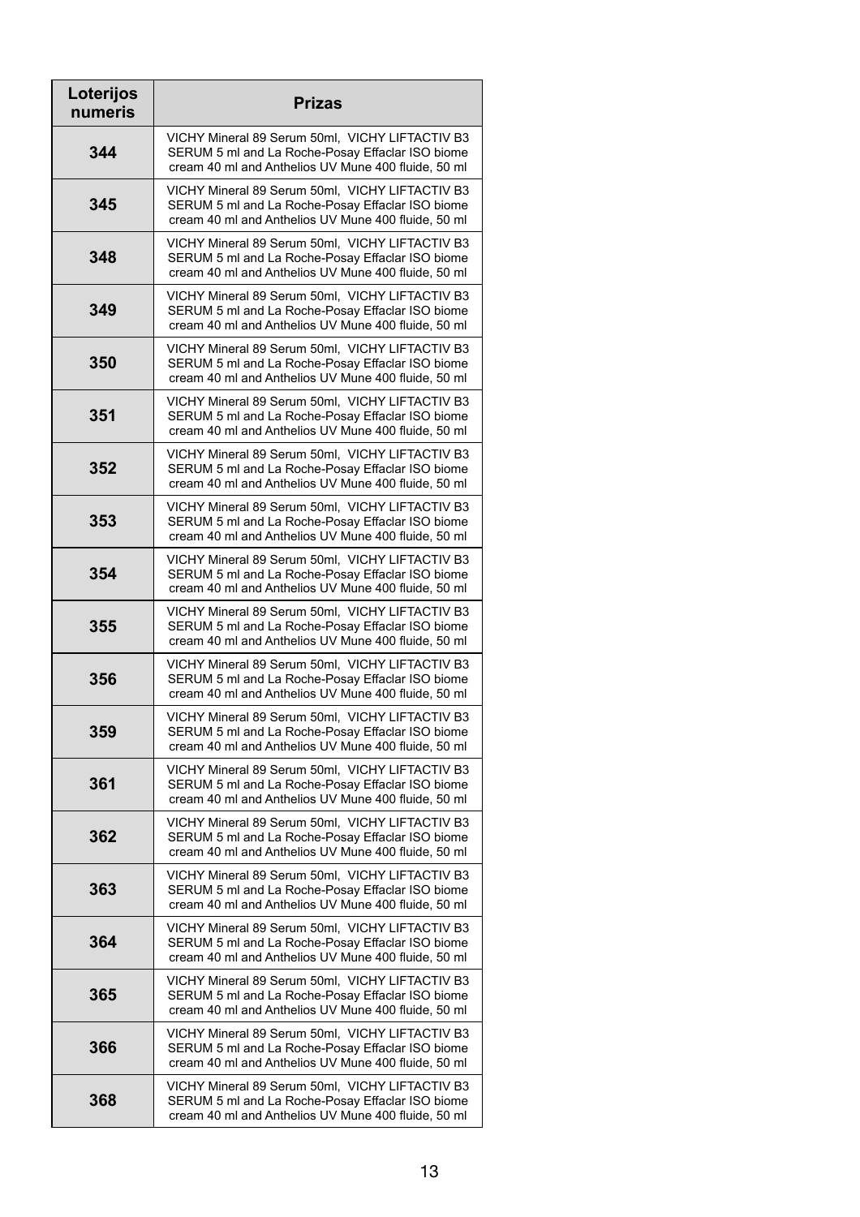| Loterijos<br>numeris | <b>Prizas</b>                                                                                                                                              |
|----------------------|------------------------------------------------------------------------------------------------------------------------------------------------------------|
| 344                  | VICHY Mineral 89 Serum 50ml, VICHY LIFTACTIV B3<br>SERUM 5 ml and La Roche-Posay Effaclar ISO biome<br>cream 40 ml and Anthelios UV Mune 400 fluide, 50 ml |
| 345                  | VICHY Mineral 89 Serum 50ml, VICHY LIFTACTIV B3<br>SERUM 5 ml and La Roche-Posay Effaclar ISO biome<br>cream 40 ml and Anthelios UV Mune 400 fluide, 50 ml |
| 348                  | VICHY Mineral 89 Serum 50ml, VICHY LIFTACTIV B3<br>SERUM 5 ml and La Roche-Posay Effaclar ISO biome<br>cream 40 ml and Anthelios UV Mune 400 fluide, 50 ml |
| 349                  | VICHY Mineral 89 Serum 50ml, VICHY LIFTACTIV B3<br>SERUM 5 ml and La Roche-Posay Effaclar ISO biome<br>cream 40 ml and Anthelios UV Mune 400 fluide, 50 ml |
| 350                  | VICHY Mineral 89 Serum 50ml, VICHY LIFTACTIV B3<br>SERUM 5 ml and La Roche-Posay Effaclar ISO biome<br>cream 40 ml and Anthelios UV Mune 400 fluide, 50 ml |
| 351                  | VICHY Mineral 89 Serum 50ml, VICHY LIFTACTIV B3<br>SERUM 5 ml and La Roche-Posay Effaclar ISO biome<br>cream 40 ml and Anthelios UV Mune 400 fluide, 50 ml |
| 352                  | VICHY Mineral 89 Serum 50ml, VICHY LIFTACTIV B3<br>SERUM 5 ml and La Roche-Posay Effaclar ISO biome<br>cream 40 ml and Anthelios UV Mune 400 fluide, 50 ml |
| 353                  | VICHY Mineral 89 Serum 50ml, VICHY LIFTACTIV B3<br>SERUM 5 ml and La Roche-Posay Effaclar ISO biome<br>cream 40 ml and Anthelios UV Mune 400 fluide, 50 ml |
| 354                  | VICHY Mineral 89 Serum 50ml, VICHY LIFTACTIV B3<br>SERUM 5 ml and La Roche-Posay Effaclar ISO biome<br>cream 40 ml and Anthelios UV Mune 400 fluide, 50 ml |
| 355                  | VICHY Mineral 89 Serum 50ml, VICHY LIFTACTIV B3<br>SERUM 5 ml and La Roche-Posay Effaclar ISO biome<br>cream 40 ml and Anthelios UV Mune 400 fluide, 50 ml |
| 356                  | VICHY Mineral 89 Serum 50ml, VICHY LIFTACTIV B3<br>SERUM 5 ml and La Roche-Posay Effaclar ISO biome<br>cream 40 ml and Anthelios UV Mune 400 fluide, 50 ml |
| 359                  | VICHY Mineral 89 Serum 50ml, VICHY LIFTACTIV B3<br>SERUM 5 ml and La Roche-Posay Effaclar ISO biome<br>cream 40 ml and Anthelios UV Mune 400 fluide, 50 ml |
| 361                  | VICHY Mineral 89 Serum 50ml, VICHY LIFTACTIV B3<br>SERUM 5 ml and La Roche-Posay Effaclar ISO biome<br>cream 40 ml and Anthelios UV Mune 400 fluide, 50 ml |
| 362                  | VICHY Mineral 89 Serum 50ml, VICHY LIFTACTIV B3<br>SERUM 5 ml and La Roche-Posay Effaclar ISO biome<br>cream 40 ml and Anthelios UV Mune 400 fluide, 50 ml |
| 363                  | VICHY Mineral 89 Serum 50ml, VICHY LIFTACTIV B3<br>SERUM 5 ml and La Roche-Posay Effaclar ISO biome<br>cream 40 ml and Anthelios UV Mune 400 fluide, 50 ml |
| 364                  | VICHY Mineral 89 Serum 50ml, VICHY LIFTACTIV B3<br>SERUM 5 ml and La Roche-Posay Effaclar ISO biome<br>cream 40 ml and Anthelios UV Mune 400 fluide, 50 ml |
| 365                  | VICHY Mineral 89 Serum 50ml, VICHY LIFTACTIV B3<br>SERUM 5 ml and La Roche-Posay Effaclar ISO biome<br>cream 40 ml and Anthelios UV Mune 400 fluide, 50 ml |
| 366                  | VICHY Mineral 89 Serum 50ml, VICHY LIFTACTIV B3<br>SERUM 5 ml and La Roche-Posay Effaclar ISO biome<br>cream 40 ml and Anthelios UV Mune 400 fluide, 50 ml |
| 368                  | VICHY Mineral 89 Serum 50ml, VICHY LIFTACTIV B3<br>SERUM 5 ml and La Roche-Posay Effaclar ISO biome<br>cream 40 ml and Anthelios UV Mune 400 fluide, 50 ml |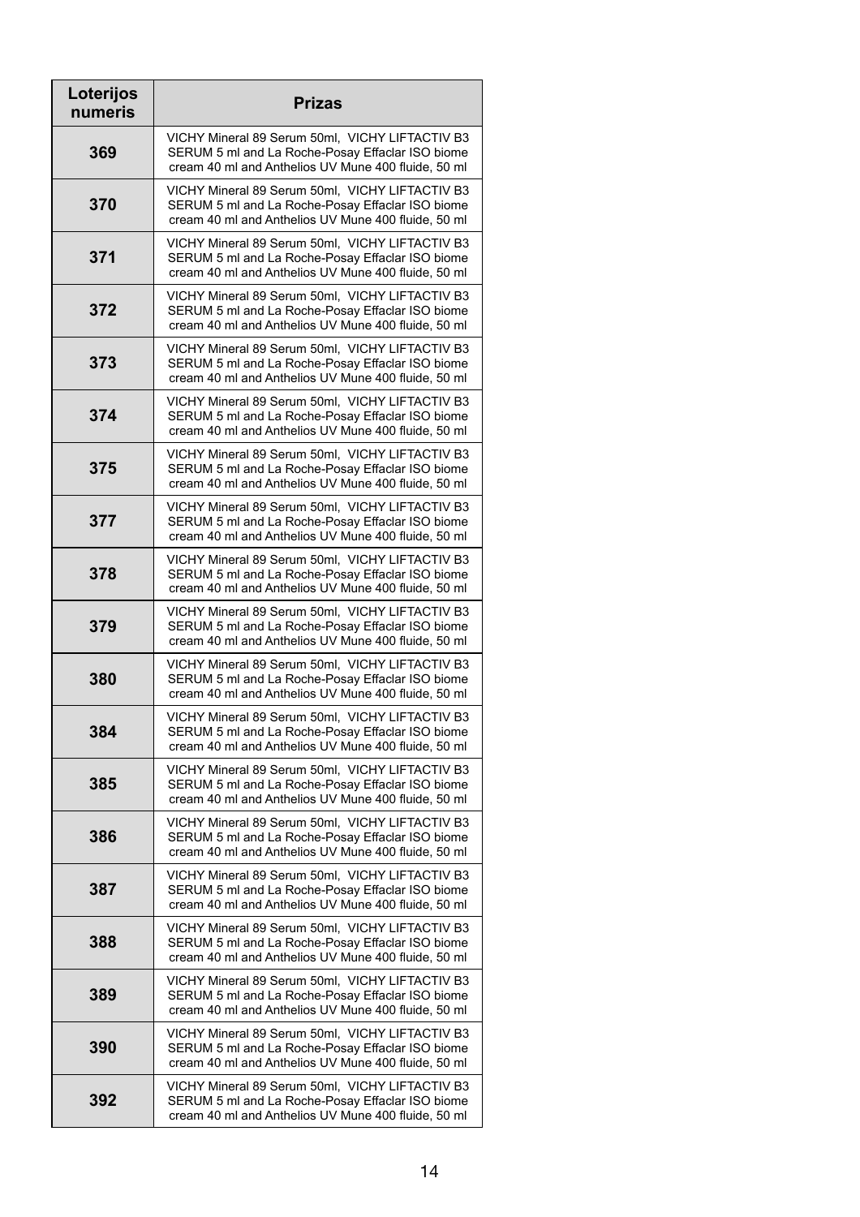| Loterijos<br>numeris | <b>Prizas</b>                                                                                                                                              |
|----------------------|------------------------------------------------------------------------------------------------------------------------------------------------------------|
| 369                  | VICHY Mineral 89 Serum 50ml, VICHY LIFTACTIV B3<br>SERUM 5 ml and La Roche-Posay Effaclar ISO biome<br>cream 40 ml and Anthelios UV Mune 400 fluide, 50 ml |
| 370                  | VICHY Mineral 89 Serum 50ml, VICHY LIFTACTIV B3<br>SERUM 5 ml and La Roche-Posay Effaclar ISO biome<br>cream 40 ml and Anthelios UV Mune 400 fluide, 50 ml |
| 371                  | VICHY Mineral 89 Serum 50ml, VICHY LIFTACTIV B3<br>SERUM 5 ml and La Roche-Posay Effaclar ISO biome<br>cream 40 ml and Anthelios UV Mune 400 fluide, 50 ml |
| 372                  | VICHY Mineral 89 Serum 50ml, VICHY LIFTACTIV B3<br>SERUM 5 ml and La Roche-Posay Effaclar ISO biome<br>cream 40 ml and Anthelios UV Mune 400 fluide, 50 ml |
| 373                  | VICHY Mineral 89 Serum 50ml, VICHY LIFTACTIV B3<br>SERUM 5 ml and La Roche-Posay Effaclar ISO biome<br>cream 40 ml and Anthelios UV Mune 400 fluide, 50 ml |
| 374                  | VICHY Mineral 89 Serum 50ml, VICHY LIFTACTIV B3<br>SERUM 5 ml and La Roche-Posay Effaclar ISO biome<br>cream 40 ml and Anthelios UV Mune 400 fluide, 50 ml |
| 375                  | VICHY Mineral 89 Serum 50ml, VICHY LIFTACTIV B3<br>SERUM 5 ml and La Roche-Posay Effaclar ISO biome<br>cream 40 ml and Anthelios UV Mune 400 fluide, 50 ml |
| 377                  | VICHY Mineral 89 Serum 50ml, VICHY LIFTACTIV B3<br>SERUM 5 ml and La Roche-Posay Effaclar ISO biome<br>cream 40 ml and Anthelios UV Mune 400 fluide, 50 ml |
| 378                  | VICHY Mineral 89 Serum 50ml, VICHY LIFTACTIV B3<br>SERUM 5 ml and La Roche-Posay Effaclar ISO biome<br>cream 40 ml and Anthelios UV Mune 400 fluide, 50 ml |
| 379                  | VICHY Mineral 89 Serum 50ml, VICHY LIFTACTIV B3<br>SERUM 5 ml and La Roche-Posay Effaclar ISO biome<br>cream 40 ml and Anthelios UV Mune 400 fluide, 50 ml |
| 380                  | VICHY Mineral 89 Serum 50ml, VICHY LIFTACTIV B3<br>SERUM 5 ml and La Roche-Posay Effaclar ISO biome<br>cream 40 ml and Anthelios UV Mune 400 fluide, 50 ml |
| 384                  | VICHY Mineral 89 Serum 50ml, VICHY LIFTACTIV B3<br>SERUM 5 ml and La Roche-Posay Effaclar ISO biome<br>cream 40 ml and Anthelios UV Mune 400 fluide, 50 ml |
| 385                  | VICHY Mineral 89 Serum 50ml, VICHY LIFTACTIV B3<br>SERUM 5 ml and La Roche-Posay Effaclar ISO biome<br>cream 40 ml and Anthelios UV Mune 400 fluide, 50 ml |
| 386                  | VICHY Mineral 89 Serum 50ml, VICHY LIFTACTIV B3<br>SERUM 5 ml and La Roche-Posay Effaclar ISO biome<br>cream 40 ml and Anthelios UV Mune 400 fluide, 50 ml |
| 387                  | VICHY Mineral 89 Serum 50ml, VICHY LIFTACTIV B3<br>SERUM 5 ml and La Roche-Posay Effaclar ISO biome<br>cream 40 ml and Anthelios UV Mune 400 fluide, 50 ml |
| 388                  | VICHY Mineral 89 Serum 50ml, VICHY LIFTACTIV B3<br>SERUM 5 ml and La Roche-Posay Effaclar ISO biome<br>cream 40 ml and Anthelios UV Mune 400 fluide, 50 ml |
| 389                  | VICHY Mineral 89 Serum 50ml, VICHY LIFTACTIV B3<br>SERUM 5 ml and La Roche-Posay Effaclar ISO biome<br>cream 40 ml and Anthelios UV Mune 400 fluide, 50 ml |
| 390                  | VICHY Mineral 89 Serum 50ml, VICHY LIFTACTIV B3<br>SERUM 5 ml and La Roche-Posay Effaclar ISO biome<br>cream 40 ml and Anthelios UV Mune 400 fluide, 50 ml |
| 392                  | VICHY Mineral 89 Serum 50ml, VICHY LIFTACTIV B3<br>SERUM 5 ml and La Roche-Posay Effaclar ISO biome<br>cream 40 ml and Anthelios UV Mune 400 fluide, 50 ml |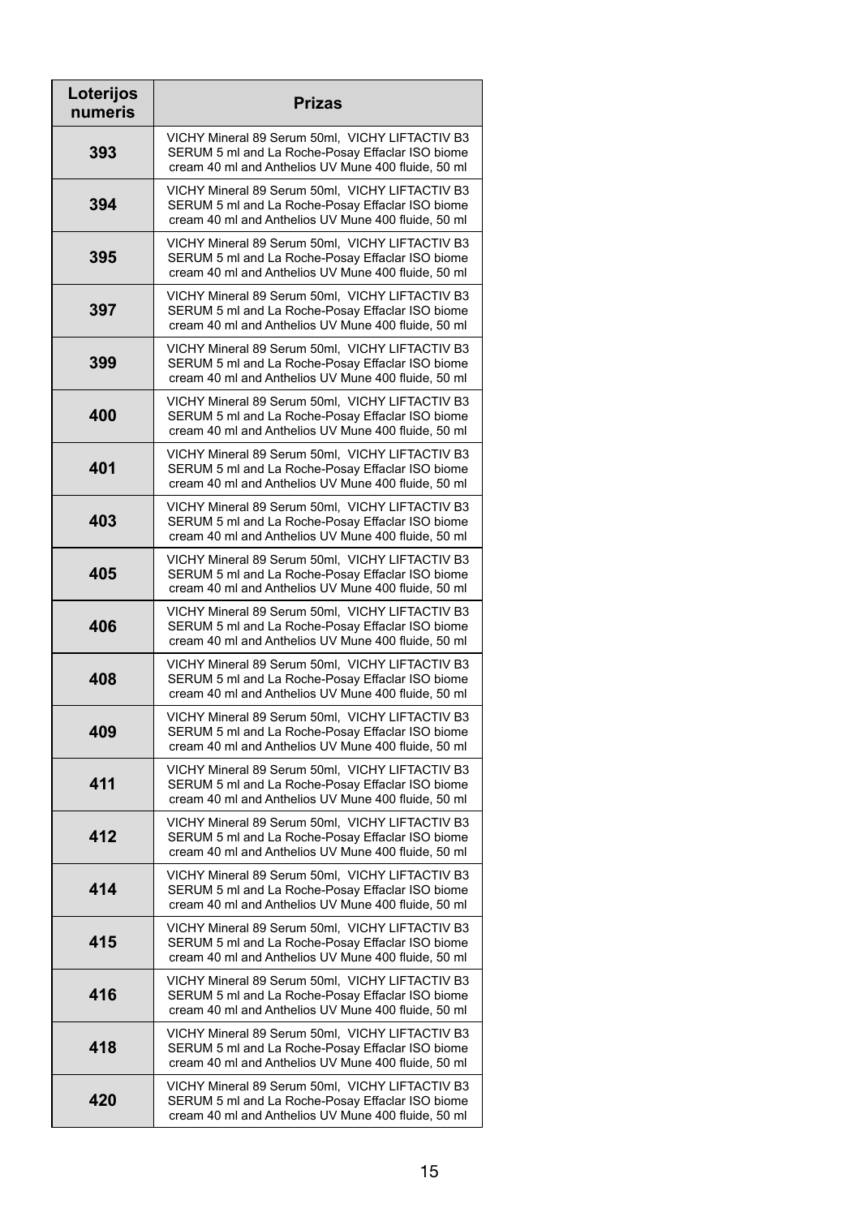| Loterijos<br>numeris | <b>Prizas</b>                                                                                                                                              |
|----------------------|------------------------------------------------------------------------------------------------------------------------------------------------------------|
| 393                  | VICHY Mineral 89 Serum 50ml, VICHY LIFTACTIV B3<br>SERUM 5 ml and La Roche-Posay Effaclar ISO biome<br>cream 40 ml and Anthelios UV Mune 400 fluide, 50 ml |
| 394                  | VICHY Mineral 89 Serum 50ml, VICHY LIFTACTIV B3<br>SERUM 5 ml and La Roche-Posay Effaclar ISO biome<br>cream 40 ml and Anthelios UV Mune 400 fluide, 50 ml |
| 395                  | VICHY Mineral 89 Serum 50ml, VICHY LIFTACTIV B3<br>SERUM 5 ml and La Roche-Posay Effaclar ISO biome<br>cream 40 ml and Anthelios UV Mune 400 fluide, 50 ml |
| 397                  | VICHY Mineral 89 Serum 50ml, VICHY LIFTACTIV B3<br>SERUM 5 ml and La Roche-Posay Effaclar ISO biome<br>cream 40 ml and Anthelios UV Mune 400 fluide, 50 ml |
| 399                  | VICHY Mineral 89 Serum 50ml, VICHY LIFTACTIV B3<br>SERUM 5 ml and La Roche-Posay Effaclar ISO biome<br>cream 40 ml and Anthelios UV Mune 400 fluide, 50 ml |
| 400                  | VICHY Mineral 89 Serum 50ml, VICHY LIFTACTIV B3<br>SERUM 5 ml and La Roche-Posay Effaclar ISO biome<br>cream 40 ml and Anthelios UV Mune 400 fluide, 50 ml |
| 401                  | VICHY Mineral 89 Serum 50ml, VICHY LIFTACTIV B3<br>SERUM 5 ml and La Roche-Posay Effaclar ISO biome<br>cream 40 ml and Anthelios UV Mune 400 fluide, 50 ml |
| 403                  | VICHY Mineral 89 Serum 50ml, VICHY LIFTACTIV B3<br>SERUM 5 ml and La Roche-Posay Effaclar ISO biome<br>cream 40 ml and Anthelios UV Mune 400 fluide, 50 ml |
| 405                  | VICHY Mineral 89 Serum 50ml, VICHY LIFTACTIV B3<br>SERUM 5 ml and La Roche-Posay Effaclar ISO biome<br>cream 40 ml and Anthelios UV Mune 400 fluide, 50 ml |
| 406                  | VICHY Mineral 89 Serum 50ml, VICHY LIFTACTIV B3<br>SERUM 5 ml and La Roche-Posay Effaclar ISO biome<br>cream 40 ml and Anthelios UV Mune 400 fluide, 50 ml |
| 408                  | VICHY Mineral 89 Serum 50ml, VICHY LIFTACTIV B3<br>SERUM 5 ml and La Roche-Posay Effaclar ISO biome<br>cream 40 ml and Anthelios UV Mune 400 fluide, 50 ml |
| 409                  | VICHY Mineral 89 Serum 50ml, VICHY LIFTACTIV B3<br>SERUM 5 ml and La Roche-Posay Effaclar ISO biome<br>cream 40 ml and Anthelios UV Mune 400 fluide, 50 ml |
| 411                  | VICHY Mineral 89 Serum 50ml, VICHY LIFTACTIV B3<br>SERUM 5 ml and La Roche-Posay Effaclar ISO biome<br>cream 40 ml and Anthelios UV Mune 400 fluide, 50 ml |
| 412                  | VICHY Mineral 89 Serum 50ml, VICHY LIFTACTIV B3<br>SERUM 5 ml and La Roche-Posay Effaclar ISO biome<br>cream 40 ml and Anthelios UV Mune 400 fluide, 50 ml |
| 414                  | VICHY Mineral 89 Serum 50ml, VICHY LIFTACTIV B3<br>SERUM 5 ml and La Roche-Posay Effaclar ISO biome<br>cream 40 ml and Anthelios UV Mune 400 fluide, 50 ml |
| 415                  | VICHY Mineral 89 Serum 50ml, VICHY LIFTACTIV B3<br>SERUM 5 ml and La Roche-Posay Effaclar ISO biome<br>cream 40 ml and Anthelios UV Mune 400 fluide, 50 ml |
| 416                  | VICHY Mineral 89 Serum 50ml, VICHY LIFTACTIV B3<br>SERUM 5 ml and La Roche-Posay Effaclar ISO biome<br>cream 40 ml and Anthelios UV Mune 400 fluide, 50 ml |
| 418                  | VICHY Mineral 89 Serum 50ml, VICHY LIFTACTIV B3<br>SERUM 5 ml and La Roche-Posay Effaclar ISO biome<br>cream 40 ml and Anthelios UV Mune 400 fluide, 50 ml |
| 420                  | VICHY Mineral 89 Serum 50ml, VICHY LIFTACTIV B3<br>SERUM 5 ml and La Roche-Posay Effaclar ISO biome<br>cream 40 ml and Anthelios UV Mune 400 fluide, 50 ml |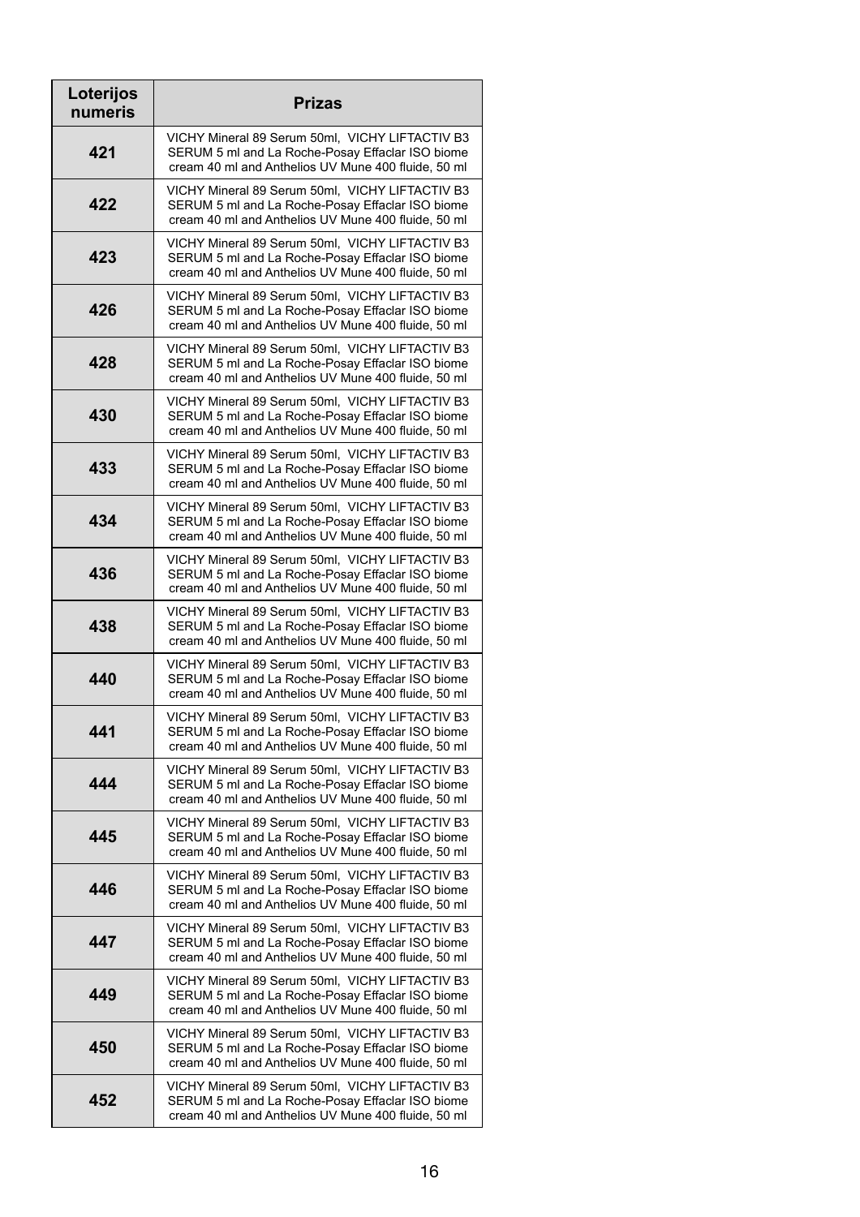| Loterijos<br>numeris | <b>Prizas</b>                                                                                                                                              |
|----------------------|------------------------------------------------------------------------------------------------------------------------------------------------------------|
| 421                  | VICHY Mineral 89 Serum 50ml, VICHY LIFTACTIV B3<br>SERUM 5 ml and La Roche-Posay Effaclar ISO biome<br>cream 40 ml and Anthelios UV Mune 400 fluide, 50 ml |
| 422                  | VICHY Mineral 89 Serum 50ml, VICHY LIFTACTIV B3<br>SERUM 5 ml and La Roche-Posay Effaclar ISO biome<br>cream 40 ml and Anthelios UV Mune 400 fluide, 50 ml |
| 423                  | VICHY Mineral 89 Serum 50ml, VICHY LIFTACTIV B3<br>SERUM 5 ml and La Roche-Posay Effaclar ISO biome<br>cream 40 ml and Anthelios UV Mune 400 fluide, 50 ml |
| 426                  | VICHY Mineral 89 Serum 50ml, VICHY LIFTACTIV B3<br>SERUM 5 ml and La Roche-Posay Effaclar ISO biome<br>cream 40 ml and Anthelios UV Mune 400 fluide, 50 ml |
| 428                  | VICHY Mineral 89 Serum 50ml, VICHY LIFTACTIV B3<br>SERUM 5 ml and La Roche-Posay Effaclar ISO biome<br>cream 40 ml and Anthelios UV Mune 400 fluide, 50 ml |
| 430                  | VICHY Mineral 89 Serum 50ml, VICHY LIFTACTIV B3<br>SERUM 5 ml and La Roche-Posay Effaclar ISO biome<br>cream 40 ml and Anthelios UV Mune 400 fluide, 50 ml |
| 433                  | VICHY Mineral 89 Serum 50ml, VICHY LIFTACTIV B3<br>SERUM 5 ml and La Roche-Posay Effaclar ISO biome<br>cream 40 ml and Anthelios UV Mune 400 fluide, 50 ml |
| 434                  | VICHY Mineral 89 Serum 50ml, VICHY LIFTACTIV B3<br>SERUM 5 ml and La Roche-Posay Effaclar ISO biome<br>cream 40 ml and Anthelios UV Mune 400 fluide, 50 ml |
| 436                  | VICHY Mineral 89 Serum 50ml, VICHY LIFTACTIV B3<br>SERUM 5 ml and La Roche-Posay Effaclar ISO biome<br>cream 40 ml and Anthelios UV Mune 400 fluide, 50 ml |
| 438                  | VICHY Mineral 89 Serum 50ml, VICHY LIFTACTIV B3<br>SERUM 5 ml and La Roche-Posay Effaclar ISO biome<br>cream 40 ml and Anthelios UV Mune 400 fluide, 50 ml |
| 440                  | VICHY Mineral 89 Serum 50ml, VICHY LIFTACTIV B3<br>SERUM 5 ml and La Roche-Posay Effaclar ISO biome<br>cream 40 ml and Anthelios UV Mune 400 fluide, 50 ml |
| 441                  | VICHY Mineral 89 Serum 50ml, VICHY LIFTACTIV B3<br>SERUM 5 ml and La Roche-Posay Effaclar ISO biome<br>cream 40 ml and Anthelios UV Mune 400 fluide, 50 ml |
| 444                  | VICHY Mineral 89 Serum 50ml, VICHY LIFTACTIV B3<br>SERUM 5 ml and La Roche-Posay Effaclar ISO biome<br>cream 40 ml and Anthelios UV Mune 400 fluide, 50 ml |
| 445                  | VICHY Mineral 89 Serum 50ml, VICHY LIFTACTIV B3<br>SERUM 5 ml and La Roche-Posay Effaclar ISO biome<br>cream 40 ml and Anthelios UV Mune 400 fluide, 50 ml |
| 446                  | VICHY Mineral 89 Serum 50ml, VICHY LIFTACTIV B3<br>SERUM 5 ml and La Roche-Posay Effaclar ISO biome<br>cream 40 ml and Anthelios UV Mune 400 fluide, 50 ml |
| 447                  | VICHY Mineral 89 Serum 50ml, VICHY LIFTACTIV B3<br>SERUM 5 ml and La Roche-Posay Effaclar ISO biome<br>cream 40 ml and Anthelios UV Mune 400 fluide, 50 ml |
| 449                  | VICHY Mineral 89 Serum 50ml, VICHY LIFTACTIV B3<br>SERUM 5 ml and La Roche-Posay Effaclar ISO biome<br>cream 40 ml and Anthelios UV Mune 400 fluide, 50 ml |
| 450                  | VICHY Mineral 89 Serum 50ml, VICHY LIFTACTIV B3<br>SERUM 5 ml and La Roche-Posay Effaclar ISO biome<br>cream 40 ml and Anthelios UV Mune 400 fluide, 50 ml |
| 452                  | VICHY Mineral 89 Serum 50ml, VICHY LIFTACTIV B3<br>SERUM 5 ml and La Roche-Posay Effaclar ISO biome<br>cream 40 ml and Anthelios UV Mune 400 fluide, 50 ml |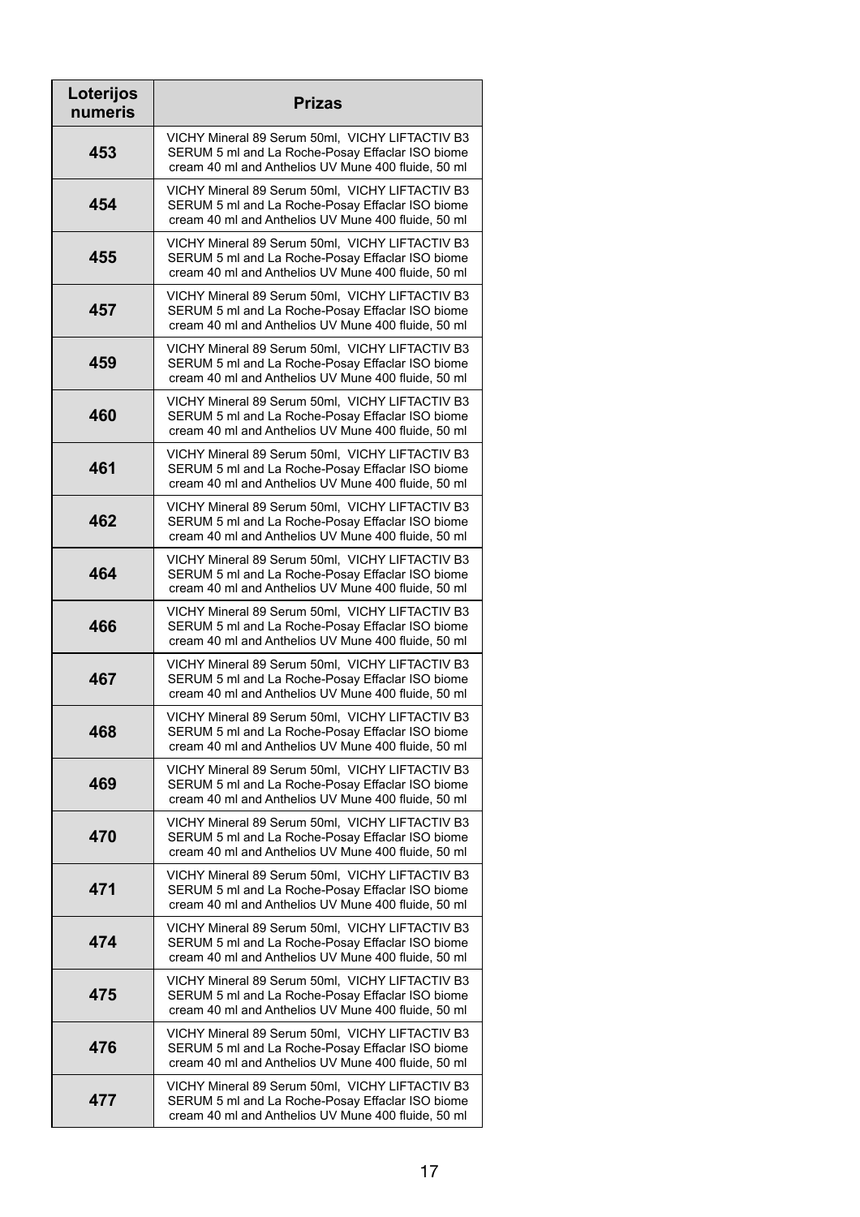| Loterijos<br>numeris | <b>Prizas</b>                                                                                                                                              |
|----------------------|------------------------------------------------------------------------------------------------------------------------------------------------------------|
| 453                  | VICHY Mineral 89 Serum 50ml, VICHY LIFTACTIV B3<br>SERUM 5 ml and La Roche-Posay Effaclar ISO biome<br>cream 40 ml and Anthelios UV Mune 400 fluide, 50 ml |
| 454                  | VICHY Mineral 89 Serum 50ml, VICHY LIFTACTIV B3<br>SERUM 5 ml and La Roche-Posay Effaclar ISO biome<br>cream 40 ml and Anthelios UV Mune 400 fluide, 50 ml |
| 455                  | VICHY Mineral 89 Serum 50ml, VICHY LIFTACTIV B3<br>SERUM 5 ml and La Roche-Posay Effaclar ISO biome<br>cream 40 ml and Anthelios UV Mune 400 fluide, 50 ml |
| 457                  | VICHY Mineral 89 Serum 50ml, VICHY LIFTACTIV B3<br>SERUM 5 ml and La Roche-Posay Effaclar ISO biome<br>cream 40 ml and Anthelios UV Mune 400 fluide, 50 ml |
| 459                  | VICHY Mineral 89 Serum 50ml, VICHY LIFTACTIV B3<br>SERUM 5 ml and La Roche-Posay Effaclar ISO biome<br>cream 40 ml and Anthelios UV Mune 400 fluide, 50 ml |
| 460                  | VICHY Mineral 89 Serum 50ml, VICHY LIFTACTIV B3<br>SERUM 5 ml and La Roche-Posay Effaclar ISO biome<br>cream 40 ml and Anthelios UV Mune 400 fluide, 50 ml |
| 461                  | VICHY Mineral 89 Serum 50ml, VICHY LIFTACTIV B3<br>SERUM 5 ml and La Roche-Posay Effaclar ISO biome<br>cream 40 ml and Anthelios UV Mune 400 fluide, 50 ml |
| 462                  | VICHY Mineral 89 Serum 50ml, VICHY LIFTACTIV B3<br>SERUM 5 ml and La Roche-Posay Effaclar ISO biome<br>cream 40 ml and Anthelios UV Mune 400 fluide, 50 ml |
| 464                  | VICHY Mineral 89 Serum 50ml, VICHY LIFTACTIV B3<br>SERUM 5 ml and La Roche-Posay Effaclar ISO biome<br>cream 40 ml and Anthelios UV Mune 400 fluide, 50 ml |
| 466                  | VICHY Mineral 89 Serum 50ml, VICHY LIFTACTIV B3<br>SERUM 5 ml and La Roche-Posay Effaclar ISO biome<br>cream 40 ml and Anthelios UV Mune 400 fluide, 50 ml |
| 467                  | VICHY Mineral 89 Serum 50ml, VICHY LIFTACTIV B3<br>SERUM 5 ml and La Roche-Posay Effaclar ISO biome<br>cream 40 ml and Anthelios UV Mune 400 fluide, 50 ml |
| 468                  | VICHY Mineral 89 Serum 50ml, VICHY LIFTACTIV B3<br>SERUM 5 ml and La Roche-Posay Effaclar ISO biome<br>cream 40 ml and Anthelios UV Mune 400 fluide, 50 ml |
| 469                  | VICHY Mineral 89 Serum 50ml, VICHY LIFTACTIV B3<br>SERUM 5 ml and La Roche-Posay Effaclar ISO biome<br>cream 40 ml and Anthelios UV Mune 400 fluide, 50 ml |
| 470                  | VICHY Mineral 89 Serum 50ml, VICHY LIFTACTIV B3<br>SERUM 5 ml and La Roche-Posay Effaclar ISO biome<br>cream 40 ml and Anthelios UV Mune 400 fluide, 50 ml |
| 471                  | VICHY Mineral 89 Serum 50ml, VICHY LIFTACTIV B3<br>SERUM 5 ml and La Roche-Posay Effaclar ISO biome<br>cream 40 ml and Anthelios UV Mune 400 fluide, 50 ml |
| 474                  | VICHY Mineral 89 Serum 50ml, VICHY LIFTACTIV B3<br>SERUM 5 ml and La Roche-Posay Effaclar ISO biome<br>cream 40 ml and Anthelios UV Mune 400 fluide, 50 ml |
| 475                  | VICHY Mineral 89 Serum 50ml, VICHY LIFTACTIV B3<br>SERUM 5 ml and La Roche-Posay Effaclar ISO biome<br>cream 40 ml and Anthelios UV Mune 400 fluide, 50 ml |
| 476                  | VICHY Mineral 89 Serum 50ml, VICHY LIFTACTIV B3<br>SERUM 5 ml and La Roche-Posay Effaclar ISO biome<br>cream 40 ml and Anthelios UV Mune 400 fluide, 50 ml |
| 477                  | VICHY Mineral 89 Serum 50ml, VICHY LIFTACTIV B3<br>SERUM 5 ml and La Roche-Posay Effaclar ISO biome<br>cream 40 ml and Anthelios UV Mune 400 fluide, 50 ml |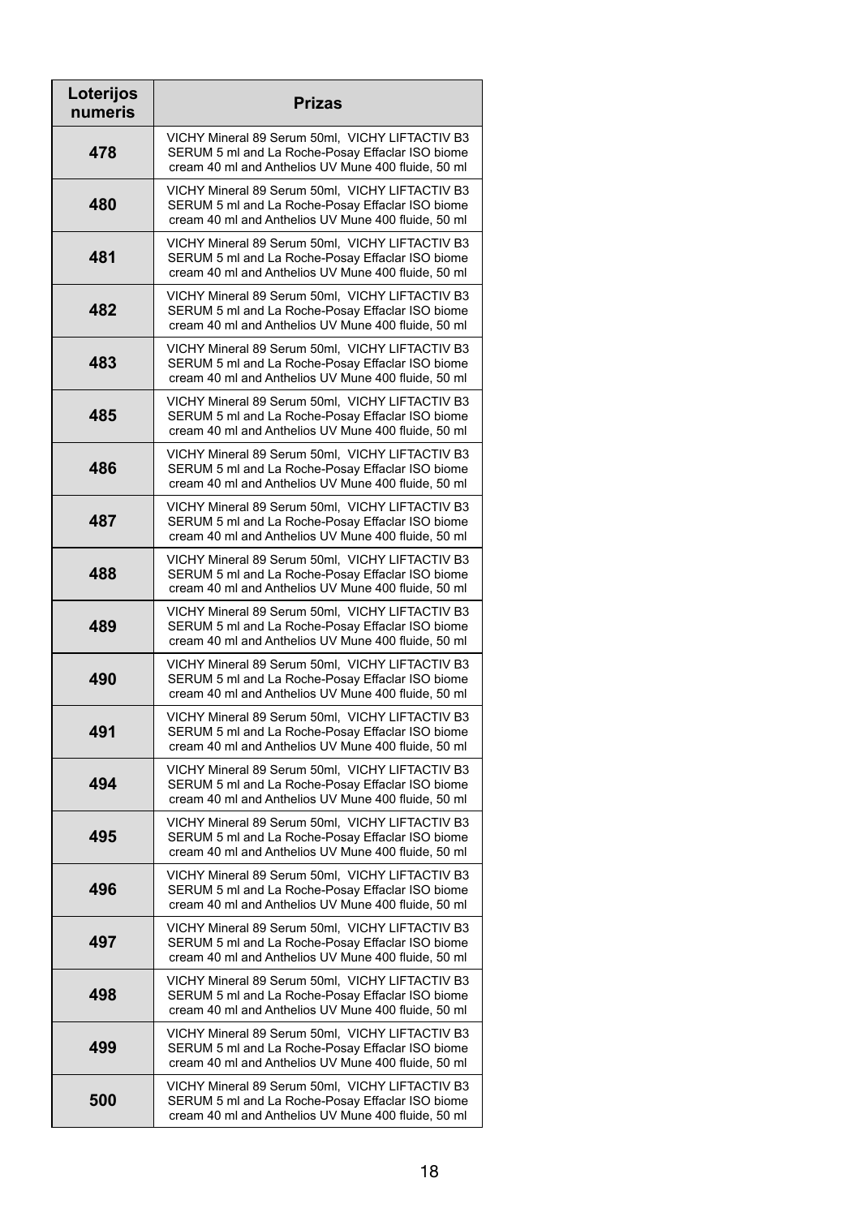| Loterijos<br>numeris | <b>Prizas</b>                                                                                                                                              |
|----------------------|------------------------------------------------------------------------------------------------------------------------------------------------------------|
| 478                  | VICHY Mineral 89 Serum 50ml, VICHY LIFTACTIV B3<br>SERUM 5 ml and La Roche-Posay Effaclar ISO biome<br>cream 40 ml and Anthelios UV Mune 400 fluide, 50 ml |
| 480                  | VICHY Mineral 89 Serum 50ml, VICHY LIFTACTIV B3<br>SERUM 5 ml and La Roche-Posay Effaclar ISO biome<br>cream 40 ml and Anthelios UV Mune 400 fluide, 50 ml |
| 481                  | VICHY Mineral 89 Serum 50ml, VICHY LIFTACTIV B3<br>SERUM 5 ml and La Roche-Posay Effaclar ISO biome<br>cream 40 ml and Anthelios UV Mune 400 fluide, 50 ml |
| 482                  | VICHY Mineral 89 Serum 50ml, VICHY LIFTACTIV B3<br>SERUM 5 ml and La Roche-Posay Effaclar ISO biome<br>cream 40 ml and Anthelios UV Mune 400 fluide, 50 ml |
| 483                  | VICHY Mineral 89 Serum 50ml, VICHY LIFTACTIV B3<br>SERUM 5 ml and La Roche-Posay Effaclar ISO biome<br>cream 40 ml and Anthelios UV Mune 400 fluide, 50 ml |
| 485                  | VICHY Mineral 89 Serum 50ml, VICHY LIFTACTIV B3<br>SERUM 5 ml and La Roche-Posay Effaclar ISO biome<br>cream 40 ml and Anthelios UV Mune 400 fluide, 50 ml |
| 486                  | VICHY Mineral 89 Serum 50ml, VICHY LIFTACTIV B3<br>SERUM 5 ml and La Roche-Posay Effaclar ISO biome<br>cream 40 ml and Anthelios UV Mune 400 fluide, 50 ml |
| 487                  | VICHY Mineral 89 Serum 50ml, VICHY LIFTACTIV B3<br>SERUM 5 ml and La Roche-Posay Effaclar ISO biome<br>cream 40 ml and Anthelios UV Mune 400 fluide, 50 ml |
| 488                  | VICHY Mineral 89 Serum 50ml, VICHY LIFTACTIV B3<br>SERUM 5 ml and La Roche-Posay Effaclar ISO biome<br>cream 40 ml and Anthelios UV Mune 400 fluide, 50 ml |
| 489                  | VICHY Mineral 89 Serum 50ml, VICHY LIFTACTIV B3<br>SERUM 5 ml and La Roche-Posay Effaclar ISO biome<br>cream 40 ml and Anthelios UV Mune 400 fluide, 50 ml |
| 490                  | VICHY Mineral 89 Serum 50ml, VICHY LIFTACTIV B3<br>SERUM 5 ml and La Roche-Posay Effaclar ISO biome<br>cream 40 ml and Anthelios UV Mune 400 fluide, 50 ml |
| 491                  | VICHY Mineral 89 Serum 50ml, VICHY LIFTACTIV B3<br>SERUM 5 ml and La Roche-Posay Effaclar ISO biome<br>cream 40 ml and Anthelios UV Mune 400 fluide, 50 ml |
| 494                  | VICHY Mineral 89 Serum 50ml, VICHY LIFTACTIV B3<br>SERUM 5 ml and La Roche-Posay Effaclar ISO biome<br>cream 40 ml and Anthelios UV Mune 400 fluide, 50 ml |
| 495                  | VICHY Mineral 89 Serum 50ml, VICHY LIFTACTIV B3<br>SERUM 5 ml and La Roche-Posay Effaclar ISO biome<br>cream 40 ml and Anthelios UV Mune 400 fluide, 50 ml |
| 496                  | VICHY Mineral 89 Serum 50ml, VICHY LIFTACTIV B3<br>SERUM 5 ml and La Roche-Posay Effaclar ISO biome<br>cream 40 ml and Anthelios UV Mune 400 fluide, 50 ml |
| 497                  | VICHY Mineral 89 Serum 50ml, VICHY LIFTACTIV B3<br>SERUM 5 ml and La Roche-Posay Effaclar ISO biome<br>cream 40 ml and Anthelios UV Mune 400 fluide, 50 ml |
| 498                  | VICHY Mineral 89 Serum 50ml, VICHY LIFTACTIV B3<br>SERUM 5 ml and La Roche-Posay Effaclar ISO biome<br>cream 40 ml and Anthelios UV Mune 400 fluide, 50 ml |
| 499                  | VICHY Mineral 89 Serum 50ml, VICHY LIFTACTIV B3<br>SERUM 5 ml and La Roche-Posay Effaclar ISO biome<br>cream 40 ml and Anthelios UV Mune 400 fluide, 50 ml |
| 500                  | VICHY Mineral 89 Serum 50ml, VICHY LIFTACTIV B3<br>SERUM 5 ml and La Roche-Posay Effaclar ISO biome<br>cream 40 ml and Anthelios UV Mune 400 fluide, 50 ml |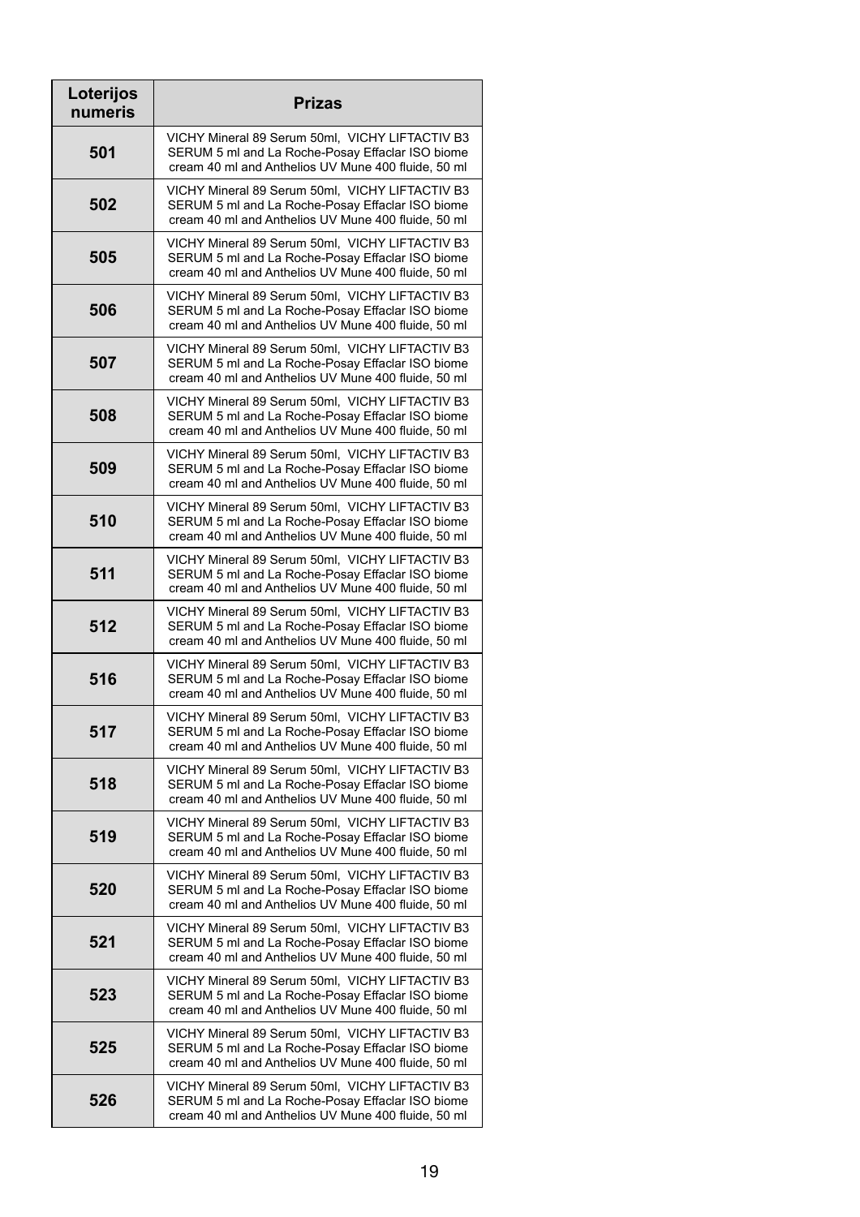| Loterijos<br>numeris | <b>Prizas</b>                                                                                                                                              |
|----------------------|------------------------------------------------------------------------------------------------------------------------------------------------------------|
| 501                  | VICHY Mineral 89 Serum 50ml, VICHY LIFTACTIV B3<br>SERUM 5 ml and La Roche-Posay Effaclar ISO biome<br>cream 40 ml and Anthelios UV Mune 400 fluide, 50 ml |
| 502                  | VICHY Mineral 89 Serum 50ml, VICHY LIFTACTIV B3<br>SERUM 5 ml and La Roche-Posay Effaclar ISO biome<br>cream 40 ml and Anthelios UV Mune 400 fluide, 50 ml |
| 505                  | VICHY Mineral 89 Serum 50ml, VICHY LIFTACTIV B3<br>SERUM 5 ml and La Roche-Posay Effaclar ISO biome<br>cream 40 ml and Anthelios UV Mune 400 fluide, 50 ml |
| 506                  | VICHY Mineral 89 Serum 50ml, VICHY LIFTACTIV B3<br>SERUM 5 ml and La Roche-Posay Effaclar ISO biome<br>cream 40 ml and Anthelios UV Mune 400 fluide, 50 ml |
| 507                  | VICHY Mineral 89 Serum 50ml, VICHY LIFTACTIV B3<br>SERUM 5 ml and La Roche-Posay Effaclar ISO biome<br>cream 40 ml and Anthelios UV Mune 400 fluide, 50 ml |
| 508                  | VICHY Mineral 89 Serum 50ml, VICHY LIFTACTIV B3<br>SERUM 5 ml and La Roche-Posay Effaclar ISO biome<br>cream 40 ml and Anthelios UV Mune 400 fluide, 50 ml |
| 509                  | VICHY Mineral 89 Serum 50ml, VICHY LIFTACTIV B3<br>SERUM 5 ml and La Roche-Posay Effaclar ISO biome<br>cream 40 ml and Anthelios UV Mune 400 fluide, 50 ml |
| 510                  | VICHY Mineral 89 Serum 50ml, VICHY LIFTACTIV B3<br>SERUM 5 ml and La Roche-Posay Effaclar ISO biome<br>cream 40 ml and Anthelios UV Mune 400 fluide, 50 ml |
| 511                  | VICHY Mineral 89 Serum 50ml, VICHY LIFTACTIV B3<br>SERUM 5 ml and La Roche-Posay Effaclar ISO biome<br>cream 40 ml and Anthelios UV Mune 400 fluide, 50 ml |
| 512                  | VICHY Mineral 89 Serum 50ml, VICHY LIFTACTIV B3<br>SERUM 5 ml and La Roche-Posay Effaclar ISO biome<br>cream 40 ml and Anthelios UV Mune 400 fluide, 50 ml |
| 516                  | VICHY Mineral 89 Serum 50ml, VICHY LIFTACTIV B3<br>SERUM 5 ml and La Roche-Posay Effaclar ISO biome<br>cream 40 ml and Anthelios UV Mune 400 fluide, 50 ml |
| 517                  | VICHY Mineral 89 Serum 50ml, VICHY LIFTACTIV B3<br>SERUM 5 ml and La Roche-Posay Effaclar ISO biome<br>cream 40 ml and Anthelios UV Mune 400 fluide, 50 ml |
| 518                  | VICHY Mineral 89 Serum 50ml, VICHY LIFTACTIV B3<br>SERUM 5 ml and La Roche-Posay Effaclar ISO biome<br>cream 40 ml and Anthelios UV Mune 400 fluide, 50 ml |
| 519                  | VICHY Mineral 89 Serum 50ml, VICHY LIFTACTIV B3<br>SERUM 5 ml and La Roche-Posay Effaclar ISO biome<br>cream 40 ml and Anthelios UV Mune 400 fluide, 50 ml |
| 520                  | VICHY Mineral 89 Serum 50ml, VICHY LIFTACTIV B3<br>SERUM 5 ml and La Roche-Posay Effaclar ISO biome<br>cream 40 ml and Anthelios UV Mune 400 fluide, 50 ml |
| 521                  | VICHY Mineral 89 Serum 50ml, VICHY LIFTACTIV B3<br>SERUM 5 ml and La Roche-Posay Effaclar ISO biome<br>cream 40 ml and Anthelios UV Mune 400 fluide, 50 ml |
| 523                  | VICHY Mineral 89 Serum 50ml, VICHY LIFTACTIV B3<br>SERUM 5 ml and La Roche-Posay Effaclar ISO biome<br>cream 40 ml and Anthelios UV Mune 400 fluide, 50 ml |
| 525                  | VICHY Mineral 89 Serum 50ml, VICHY LIFTACTIV B3<br>SERUM 5 ml and La Roche-Posay Effaclar ISO biome<br>cream 40 ml and Anthelios UV Mune 400 fluide, 50 ml |
| 526                  | VICHY Mineral 89 Serum 50ml, VICHY LIFTACTIV B3<br>SERUM 5 ml and La Roche-Posay Effaclar ISO biome<br>cream 40 ml and Anthelios UV Mune 400 fluide, 50 ml |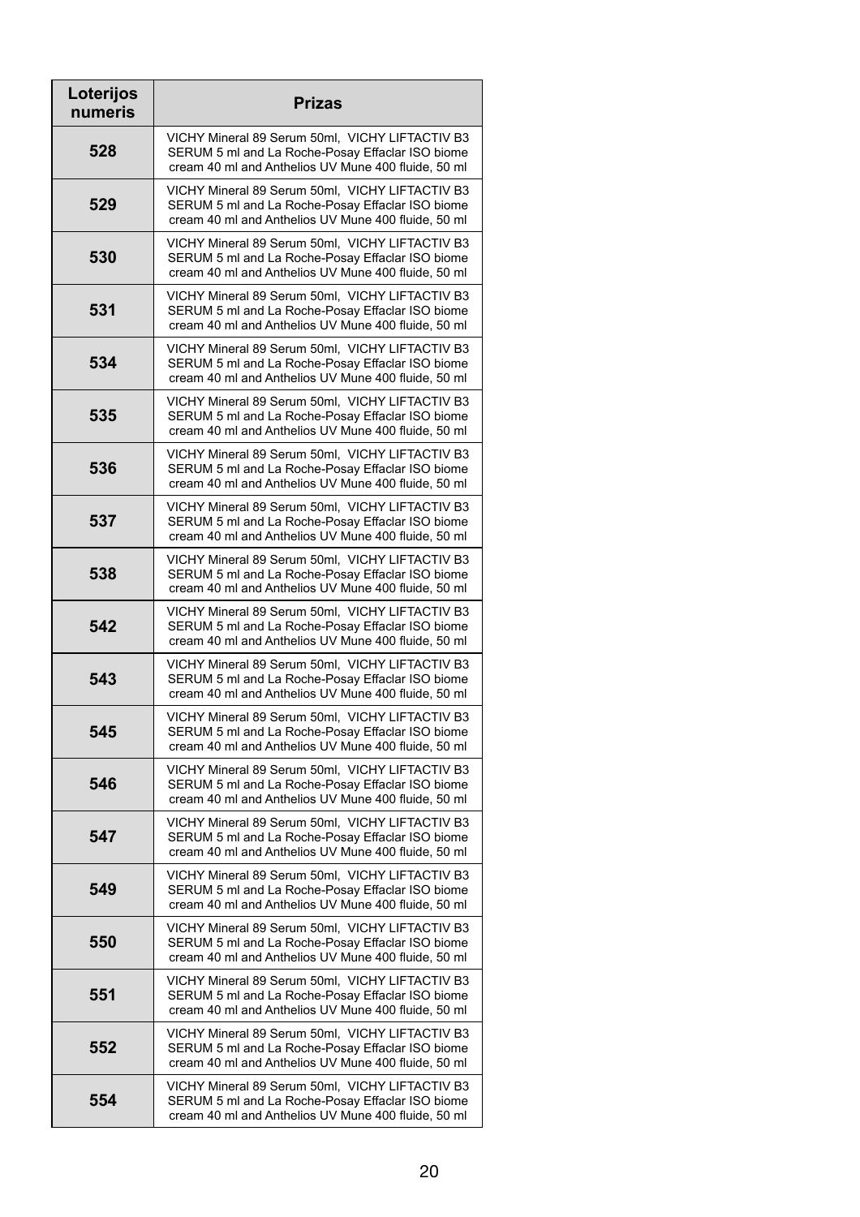| Loterijos<br>numeris | <b>Prizas</b>                                                                                                                                              |
|----------------------|------------------------------------------------------------------------------------------------------------------------------------------------------------|
| 528                  | VICHY Mineral 89 Serum 50ml, VICHY LIFTACTIV B3<br>SERUM 5 ml and La Roche-Posay Effaclar ISO biome<br>cream 40 ml and Anthelios UV Mune 400 fluide, 50 ml |
| 529                  | VICHY Mineral 89 Serum 50ml, VICHY LIFTACTIV B3<br>SERUM 5 ml and La Roche-Posay Effaclar ISO biome<br>cream 40 ml and Anthelios UV Mune 400 fluide, 50 ml |
| 530                  | VICHY Mineral 89 Serum 50ml, VICHY LIFTACTIV B3<br>SERUM 5 ml and La Roche-Posay Effaclar ISO biome<br>cream 40 ml and Anthelios UV Mune 400 fluide, 50 ml |
| 531                  | VICHY Mineral 89 Serum 50ml, VICHY LIFTACTIV B3<br>SERUM 5 ml and La Roche-Posay Effaclar ISO biome<br>cream 40 ml and Anthelios UV Mune 400 fluide, 50 ml |
| 534                  | VICHY Mineral 89 Serum 50ml, VICHY LIFTACTIV B3<br>SERUM 5 ml and La Roche-Posay Effaclar ISO biome<br>cream 40 ml and Anthelios UV Mune 400 fluide, 50 ml |
| 535                  | VICHY Mineral 89 Serum 50ml, VICHY LIFTACTIV B3<br>SERUM 5 ml and La Roche-Posay Effaclar ISO biome<br>cream 40 ml and Anthelios UV Mune 400 fluide, 50 ml |
| 536                  | VICHY Mineral 89 Serum 50ml, VICHY LIFTACTIV B3<br>SERUM 5 ml and La Roche-Posay Effaclar ISO biome<br>cream 40 ml and Anthelios UV Mune 400 fluide, 50 ml |
| 537                  | VICHY Mineral 89 Serum 50ml, VICHY LIFTACTIV B3<br>SERUM 5 ml and La Roche-Posay Effaclar ISO biome<br>cream 40 ml and Anthelios UV Mune 400 fluide, 50 ml |
| 538                  | VICHY Mineral 89 Serum 50ml, VICHY LIFTACTIV B3<br>SERUM 5 ml and La Roche-Posay Effaclar ISO biome<br>cream 40 ml and Anthelios UV Mune 400 fluide, 50 ml |
| 542                  | VICHY Mineral 89 Serum 50ml, VICHY LIFTACTIV B3<br>SERUM 5 ml and La Roche-Posay Effaclar ISO biome<br>cream 40 ml and Anthelios UV Mune 400 fluide, 50 ml |
| 543                  | VICHY Mineral 89 Serum 50ml, VICHY LIFTACTIV B3<br>SERUM 5 ml and La Roche-Posay Effaclar ISO biome<br>cream 40 ml and Anthelios UV Mune 400 fluide, 50 ml |
| 545                  | VICHY Mineral 89 Serum 50ml, VICHY LIFTACTIV B3<br>SERUM 5 ml and La Roche-Posay Effaclar ISO biome<br>cream 40 ml and Anthelios UV Mune 400 fluide, 50 ml |
| 546                  | VICHY Mineral 89 Serum 50ml, VICHY LIFTACTIV B3<br>SERUM 5 ml and La Roche-Posay Effaclar ISO biome<br>cream 40 ml and Anthelios UV Mune 400 fluide, 50 ml |
| 547                  | VICHY Mineral 89 Serum 50ml, VICHY LIFTACTIV B3<br>SERUM 5 ml and La Roche-Posay Effaclar ISO biome<br>cream 40 ml and Anthelios UV Mune 400 fluide, 50 ml |
| 549                  | VICHY Mineral 89 Serum 50ml, VICHY LIFTACTIV B3<br>SERUM 5 ml and La Roche-Posay Effaclar ISO biome<br>cream 40 ml and Anthelios UV Mune 400 fluide, 50 ml |
| 550                  | VICHY Mineral 89 Serum 50ml, VICHY LIFTACTIV B3<br>SERUM 5 ml and La Roche-Posay Effaclar ISO biome<br>cream 40 ml and Anthelios UV Mune 400 fluide, 50 ml |
| 551                  | VICHY Mineral 89 Serum 50ml, VICHY LIFTACTIV B3<br>SERUM 5 ml and La Roche-Posay Effaclar ISO biome<br>cream 40 ml and Anthelios UV Mune 400 fluide, 50 ml |
| 552                  | VICHY Mineral 89 Serum 50ml, VICHY LIFTACTIV B3<br>SERUM 5 ml and La Roche-Posay Effaclar ISO biome<br>cream 40 ml and Anthelios UV Mune 400 fluide, 50 ml |
| 554                  | VICHY Mineral 89 Serum 50ml, VICHY LIFTACTIV B3<br>SERUM 5 ml and La Roche-Posay Effaclar ISO biome<br>cream 40 ml and Anthelios UV Mune 400 fluide, 50 ml |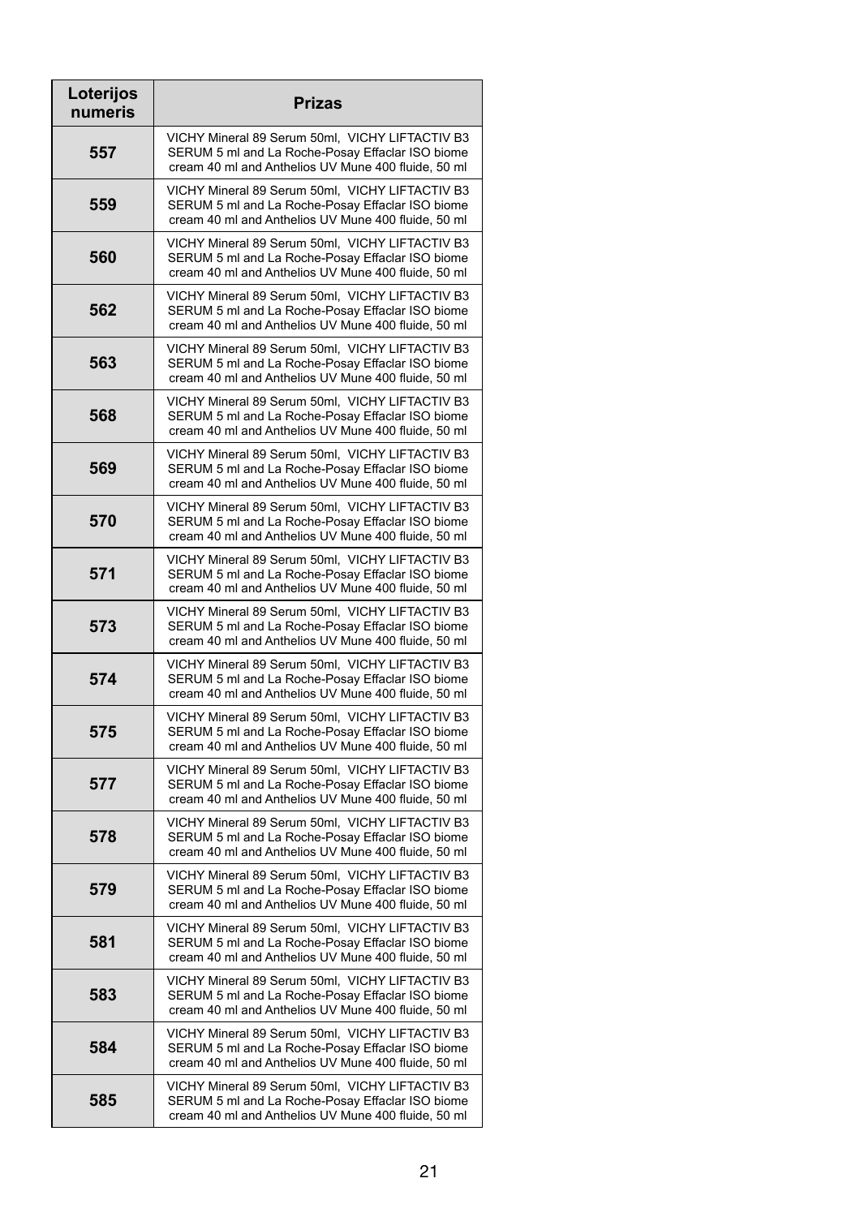| Loterijos<br>numeris | <b>Prizas</b>                                                                                                                                              |
|----------------------|------------------------------------------------------------------------------------------------------------------------------------------------------------|
| 557                  | VICHY Mineral 89 Serum 50ml, VICHY LIFTACTIV B3<br>SERUM 5 ml and La Roche-Posay Effaclar ISO biome<br>cream 40 ml and Anthelios UV Mune 400 fluide, 50 ml |
| 559                  | VICHY Mineral 89 Serum 50ml, VICHY LIFTACTIV B3<br>SERUM 5 ml and La Roche-Posay Effaclar ISO biome<br>cream 40 ml and Anthelios UV Mune 400 fluide, 50 ml |
| 560                  | VICHY Mineral 89 Serum 50ml, VICHY LIFTACTIV B3<br>SERUM 5 ml and La Roche-Posay Effaclar ISO biome<br>cream 40 ml and Anthelios UV Mune 400 fluide, 50 ml |
| 562                  | VICHY Mineral 89 Serum 50ml, VICHY LIFTACTIV B3<br>SERUM 5 ml and La Roche-Posay Effaclar ISO biome<br>cream 40 ml and Anthelios UV Mune 400 fluide, 50 ml |
| 563                  | VICHY Mineral 89 Serum 50ml, VICHY LIFTACTIV B3<br>SERUM 5 ml and La Roche-Posay Effaclar ISO biome<br>cream 40 ml and Anthelios UV Mune 400 fluide, 50 ml |
| 568                  | VICHY Mineral 89 Serum 50ml, VICHY LIFTACTIV B3<br>SERUM 5 ml and La Roche-Posay Effaclar ISO biome<br>cream 40 ml and Anthelios UV Mune 400 fluide, 50 ml |
| 569                  | VICHY Mineral 89 Serum 50ml, VICHY LIFTACTIV B3<br>SERUM 5 ml and La Roche-Posay Effaclar ISO biome<br>cream 40 ml and Anthelios UV Mune 400 fluide, 50 ml |
| 570                  | VICHY Mineral 89 Serum 50ml, VICHY LIFTACTIV B3<br>SERUM 5 ml and La Roche-Posay Effaclar ISO biome<br>cream 40 ml and Anthelios UV Mune 400 fluide, 50 ml |
| 571                  | VICHY Mineral 89 Serum 50ml, VICHY LIFTACTIV B3<br>SERUM 5 ml and La Roche-Posay Effaclar ISO biome<br>cream 40 ml and Anthelios UV Mune 400 fluide, 50 ml |
| 573                  | VICHY Mineral 89 Serum 50ml, VICHY LIFTACTIV B3<br>SERUM 5 ml and La Roche-Posay Effaclar ISO biome<br>cream 40 ml and Anthelios UV Mune 400 fluide, 50 ml |
| 574                  | VICHY Mineral 89 Serum 50ml, VICHY LIFTACTIV B3<br>SERUM 5 ml and La Roche-Posay Effaclar ISO biome<br>cream 40 ml and Anthelios UV Mune 400 fluide, 50 ml |
| 575                  | VICHY Mineral 89 Serum 50ml, VICHY LIFTACTIV B3<br>SERUM 5 ml and La Roche-Posay Effaclar ISO biome<br>cream 40 ml and Anthelios UV Mune 400 fluide, 50 ml |
| 577                  | VICHY Mineral 89 Serum 50ml, VICHY LIFTACTIV B3<br>SERUM 5 ml and La Roche-Posay Effaclar ISO biome<br>cream 40 ml and Anthelios UV Mune 400 fluide, 50 ml |
| 578                  | VICHY Mineral 89 Serum 50ml, VICHY LIFTACTIV B3<br>SERUM 5 ml and La Roche-Posay Effaclar ISO biome<br>cream 40 ml and Anthelios UV Mune 400 fluide, 50 ml |
| 579                  | VICHY Mineral 89 Serum 50ml, VICHY LIFTACTIV B3<br>SERUM 5 ml and La Roche-Posay Effaclar ISO biome<br>cream 40 ml and Anthelios UV Mune 400 fluide, 50 ml |
| 581                  | VICHY Mineral 89 Serum 50ml, VICHY LIFTACTIV B3<br>SERUM 5 ml and La Roche-Posay Effaclar ISO biome<br>cream 40 ml and Anthelios UV Mune 400 fluide, 50 ml |
| 583                  | VICHY Mineral 89 Serum 50ml, VICHY LIFTACTIV B3<br>SERUM 5 ml and La Roche-Posay Effaclar ISO biome<br>cream 40 ml and Anthelios UV Mune 400 fluide, 50 ml |
| 584                  | VICHY Mineral 89 Serum 50ml, VICHY LIFTACTIV B3<br>SERUM 5 ml and La Roche-Posay Effaclar ISO biome<br>cream 40 ml and Anthelios UV Mune 400 fluide, 50 ml |
| 585                  | VICHY Mineral 89 Serum 50ml, VICHY LIFTACTIV B3<br>SERUM 5 ml and La Roche-Posay Effaclar ISO biome<br>cream 40 ml and Anthelios UV Mune 400 fluide, 50 ml |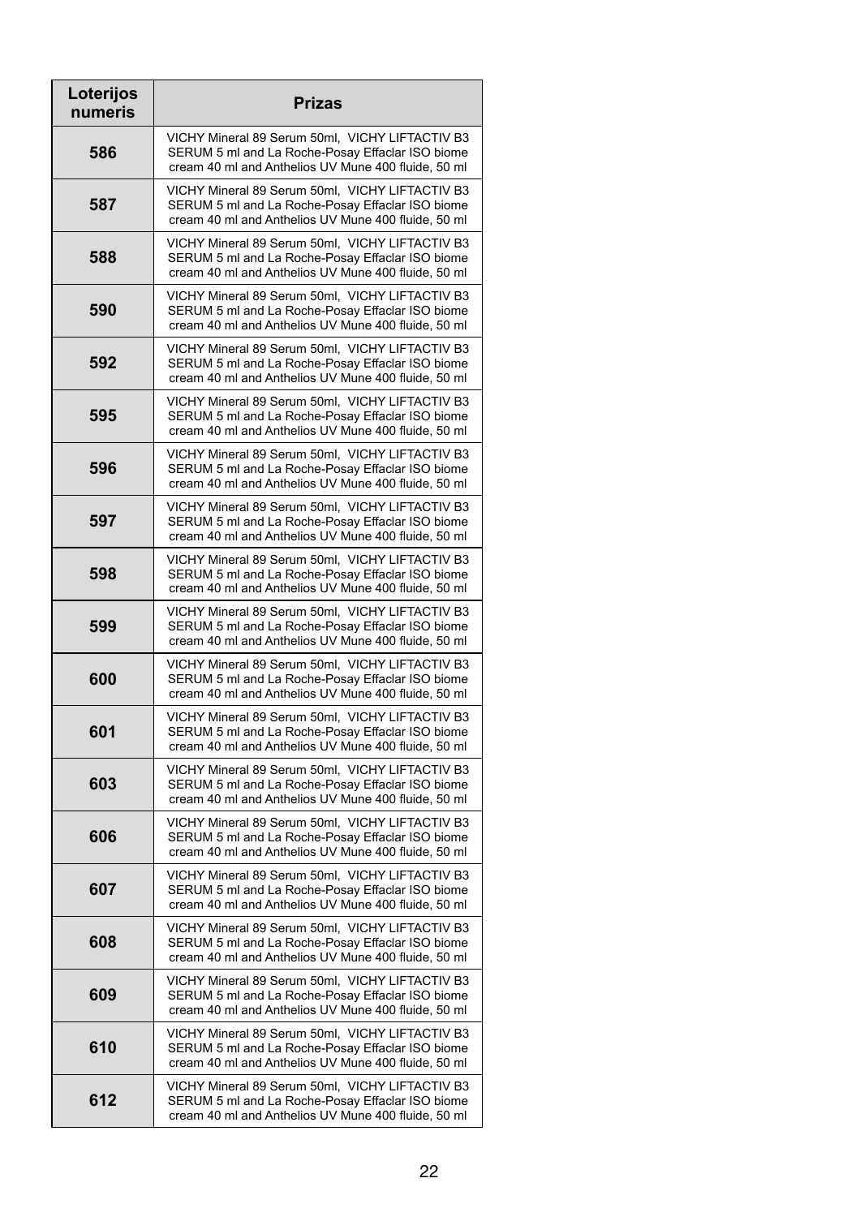| Loterijos<br>numeris | <b>Prizas</b>                                                                                                                                              |
|----------------------|------------------------------------------------------------------------------------------------------------------------------------------------------------|
| 586                  | VICHY Mineral 89 Serum 50ml, VICHY LIFTACTIV B3<br>SERUM 5 ml and La Roche-Posay Effaclar ISO biome<br>cream 40 ml and Anthelios UV Mune 400 fluide, 50 ml |
| 587                  | VICHY Mineral 89 Serum 50ml, VICHY LIFTACTIV B3<br>SERUM 5 ml and La Roche-Posay Effaclar ISO biome<br>cream 40 ml and Anthelios UV Mune 400 fluide, 50 ml |
| 588                  | VICHY Mineral 89 Serum 50ml, VICHY LIFTACTIV B3<br>SERUM 5 ml and La Roche-Posay Effaclar ISO biome<br>cream 40 ml and Anthelios UV Mune 400 fluide, 50 ml |
| 590                  | VICHY Mineral 89 Serum 50ml, VICHY LIFTACTIV B3<br>SERUM 5 ml and La Roche-Posay Effaclar ISO biome<br>cream 40 ml and Anthelios UV Mune 400 fluide, 50 ml |
| 592                  | VICHY Mineral 89 Serum 50ml, VICHY LIFTACTIV B3<br>SERUM 5 ml and La Roche-Posay Effaclar ISO biome<br>cream 40 ml and Anthelios UV Mune 400 fluide, 50 ml |
| 595                  | VICHY Mineral 89 Serum 50ml, VICHY LIFTACTIV B3<br>SERUM 5 ml and La Roche-Posay Effaclar ISO biome<br>cream 40 ml and Anthelios UV Mune 400 fluide, 50 ml |
| 596                  | VICHY Mineral 89 Serum 50ml, VICHY LIFTACTIV B3<br>SERUM 5 ml and La Roche-Posay Effaclar ISO biome<br>cream 40 ml and Anthelios UV Mune 400 fluide, 50 ml |
| 597                  | VICHY Mineral 89 Serum 50ml, VICHY LIFTACTIV B3<br>SERUM 5 ml and La Roche-Posay Effaclar ISO biome<br>cream 40 ml and Anthelios UV Mune 400 fluide, 50 ml |
| 598                  | VICHY Mineral 89 Serum 50ml, VICHY LIFTACTIV B3<br>SERUM 5 ml and La Roche-Posay Effaclar ISO biome<br>cream 40 ml and Anthelios UV Mune 400 fluide, 50 ml |
| 599                  | VICHY Mineral 89 Serum 50ml, VICHY LIFTACTIV B3<br>SERUM 5 ml and La Roche-Posay Effaclar ISO biome<br>cream 40 ml and Anthelios UV Mune 400 fluide, 50 ml |
| 600                  | VICHY Mineral 89 Serum 50ml, VICHY LIFTACTIV B3<br>SERUM 5 ml and La Roche-Posay Effaclar ISO biome<br>cream 40 ml and Anthelios UV Mune 400 fluide, 50 ml |
| 601                  | VICHY Mineral 89 Serum 50ml, VICHY LIFTACTIV B3<br>SERUM 5 ml and La Roche-Posay Effaclar ISO biome<br>cream 40 ml and Anthelios UV Mune 400 fluide, 50 ml |
| 603                  | VICHY Mineral 89 Serum 50ml, VICHY LIFTACTIV B3<br>SERUM 5 ml and La Roche-Posay Effaclar ISO biome<br>cream 40 ml and Anthelios UV Mune 400 fluide, 50 ml |
| 606                  | VICHY Mineral 89 Serum 50ml, VICHY LIFTACTIV B3<br>SERUM 5 ml and La Roche-Posay Effaclar ISO biome<br>cream 40 ml and Anthelios UV Mune 400 fluide, 50 ml |
| 607                  | VICHY Mineral 89 Serum 50ml, VICHY LIFTACTIV B3<br>SERUM 5 ml and La Roche-Posay Effaclar ISO biome<br>cream 40 ml and Anthelios UV Mune 400 fluide, 50 ml |
| 608                  | VICHY Mineral 89 Serum 50ml, VICHY LIFTACTIV B3<br>SERUM 5 ml and La Roche-Posay Effaclar ISO biome<br>cream 40 ml and Anthelios UV Mune 400 fluide, 50 ml |
| 609                  | VICHY Mineral 89 Serum 50ml, VICHY LIFTACTIV B3<br>SERUM 5 ml and La Roche-Posay Effaclar ISO biome<br>cream 40 ml and Anthelios UV Mune 400 fluide, 50 ml |
| 610                  | VICHY Mineral 89 Serum 50ml, VICHY LIFTACTIV B3<br>SERUM 5 ml and La Roche-Posay Effaclar ISO biome<br>cream 40 ml and Anthelios UV Mune 400 fluide, 50 ml |
| 612                  | VICHY Mineral 89 Serum 50ml, VICHY LIFTACTIV B3<br>SERUM 5 ml and La Roche-Posay Effaclar ISO biome<br>cream 40 ml and Anthelios UV Mune 400 fluide, 50 ml |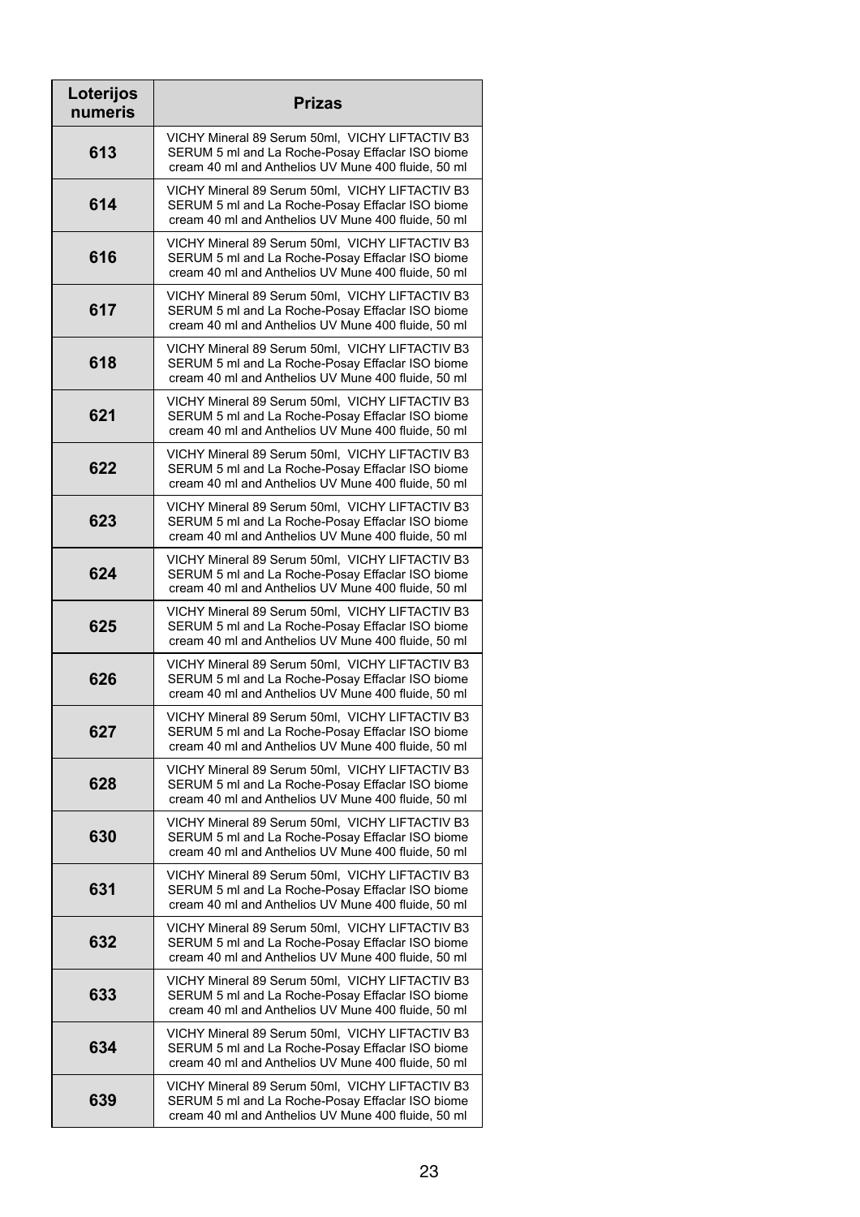| Loterijos<br>numeris | <b>Prizas</b>                                                                                                                                              |
|----------------------|------------------------------------------------------------------------------------------------------------------------------------------------------------|
| 613                  | VICHY Mineral 89 Serum 50ml, VICHY LIFTACTIV B3<br>SERUM 5 ml and La Roche-Posay Effaclar ISO biome<br>cream 40 ml and Anthelios UV Mune 400 fluide, 50 ml |
| 614                  | VICHY Mineral 89 Serum 50ml, VICHY LIFTACTIV B3<br>SERUM 5 ml and La Roche-Posay Effaclar ISO biome<br>cream 40 ml and Anthelios UV Mune 400 fluide, 50 ml |
| 616                  | VICHY Mineral 89 Serum 50ml, VICHY LIFTACTIV B3<br>SERUM 5 ml and La Roche-Posay Effaclar ISO biome<br>cream 40 ml and Anthelios UV Mune 400 fluide, 50 ml |
| 617                  | VICHY Mineral 89 Serum 50ml, VICHY LIFTACTIV B3<br>SERUM 5 ml and La Roche-Posay Effaclar ISO biome<br>cream 40 ml and Anthelios UV Mune 400 fluide, 50 ml |
| 618                  | VICHY Mineral 89 Serum 50ml, VICHY LIFTACTIV B3<br>SERUM 5 ml and La Roche-Posay Effaclar ISO biome<br>cream 40 ml and Anthelios UV Mune 400 fluide, 50 ml |
| 621                  | VICHY Mineral 89 Serum 50ml, VICHY LIFTACTIV B3<br>SERUM 5 ml and La Roche-Posay Effaclar ISO biome<br>cream 40 ml and Anthelios UV Mune 400 fluide, 50 ml |
| 622                  | VICHY Mineral 89 Serum 50ml, VICHY LIFTACTIV B3<br>SERUM 5 ml and La Roche-Posay Effaclar ISO biome<br>cream 40 ml and Anthelios UV Mune 400 fluide, 50 ml |
| 623                  | VICHY Mineral 89 Serum 50ml, VICHY LIFTACTIV B3<br>SERUM 5 ml and La Roche-Posay Effaclar ISO biome<br>cream 40 ml and Anthelios UV Mune 400 fluide, 50 ml |
| 624                  | VICHY Mineral 89 Serum 50ml, VICHY LIFTACTIV B3<br>SERUM 5 ml and La Roche-Posay Effaclar ISO biome<br>cream 40 ml and Anthelios UV Mune 400 fluide, 50 ml |
| 625                  | VICHY Mineral 89 Serum 50ml, VICHY LIFTACTIV B3<br>SERUM 5 ml and La Roche-Posay Effaclar ISO biome<br>cream 40 ml and Anthelios UV Mune 400 fluide, 50 ml |
| 626                  | VICHY Mineral 89 Serum 50ml, VICHY LIFTACTIV B3<br>SERUM 5 ml and La Roche-Posay Effaclar ISO biome<br>cream 40 ml and Anthelios UV Mune 400 fluide, 50 ml |
| 627                  | VICHY Mineral 89 Serum 50ml, VICHY LIFTACTIV B3<br>SERUM 5 ml and La Roche-Posay Effaclar ISO biome<br>cream 40 ml and Anthelios UV Mune 400 fluide, 50 ml |
| 628                  | VICHY Mineral 89 Serum 50ml, VICHY LIFTACTIV B3<br>SERUM 5 ml and La Roche-Posay Effaclar ISO biome<br>cream 40 ml and Anthelios UV Mune 400 fluide, 50 ml |
| 630                  | VICHY Mineral 89 Serum 50ml, VICHY LIFTACTIV B3<br>SERUM 5 ml and La Roche-Posay Effaclar ISO biome<br>cream 40 ml and Anthelios UV Mune 400 fluide, 50 ml |
| 631                  | VICHY Mineral 89 Serum 50ml, VICHY LIFTACTIV B3<br>SERUM 5 ml and La Roche-Posay Effaclar ISO biome<br>cream 40 ml and Anthelios UV Mune 400 fluide, 50 ml |
| 632                  | VICHY Mineral 89 Serum 50ml, VICHY LIFTACTIV B3<br>SERUM 5 ml and La Roche-Posay Effaclar ISO biome<br>cream 40 ml and Anthelios UV Mune 400 fluide, 50 ml |
| 633                  | VICHY Mineral 89 Serum 50ml, VICHY LIFTACTIV B3<br>SERUM 5 ml and La Roche-Posay Effaclar ISO biome<br>cream 40 ml and Anthelios UV Mune 400 fluide, 50 ml |
| 634                  | VICHY Mineral 89 Serum 50ml, VICHY LIFTACTIV B3<br>SERUM 5 ml and La Roche-Posay Effaclar ISO biome<br>cream 40 ml and Anthelios UV Mune 400 fluide, 50 ml |
| 639                  | VICHY Mineral 89 Serum 50ml, VICHY LIFTACTIV B3<br>SERUM 5 ml and La Roche-Posay Effaclar ISO biome<br>cream 40 ml and Anthelios UV Mune 400 fluide, 50 ml |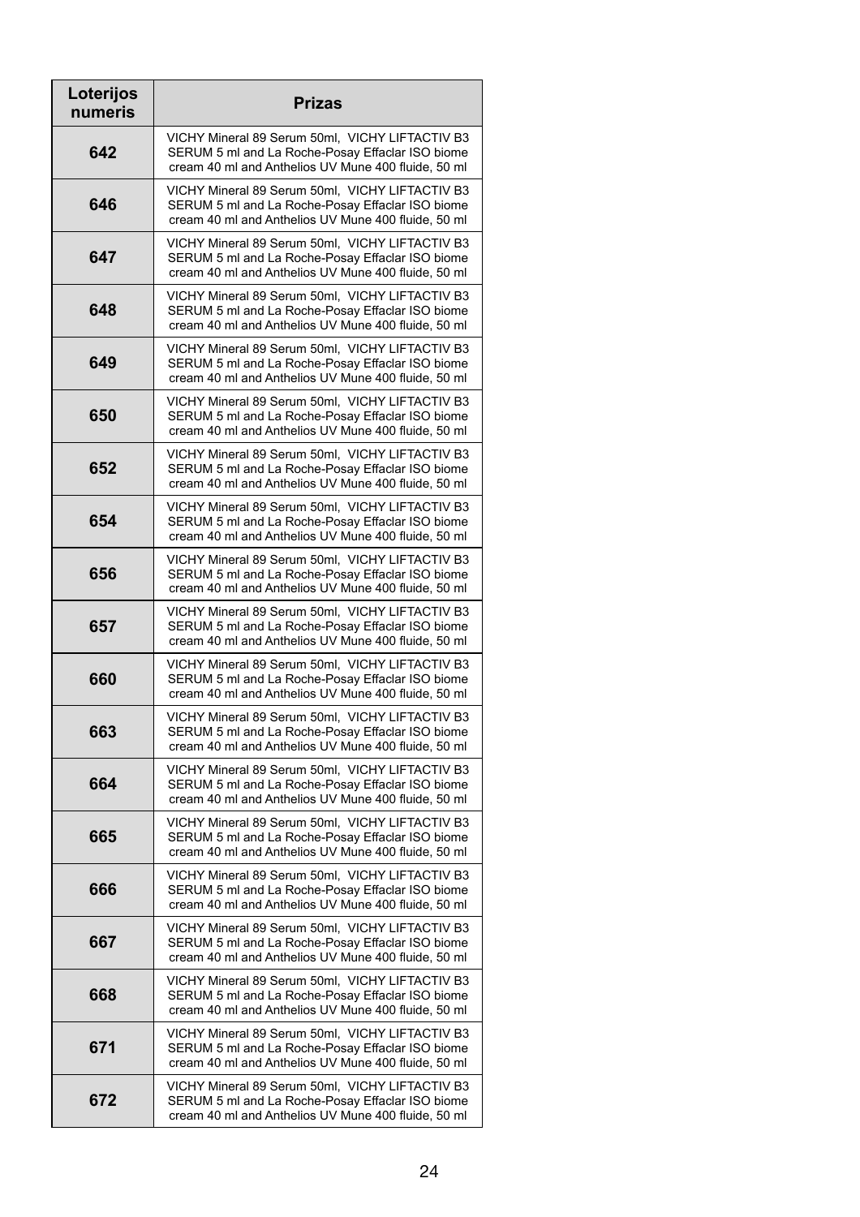| Loterijos<br>numeris | <b>Prizas</b>                                                                                                                                              |
|----------------------|------------------------------------------------------------------------------------------------------------------------------------------------------------|
| 642                  | VICHY Mineral 89 Serum 50ml, VICHY LIFTACTIV B3<br>SERUM 5 ml and La Roche-Posay Effaclar ISO biome<br>cream 40 ml and Anthelios UV Mune 400 fluide, 50 ml |
| 646                  | VICHY Mineral 89 Serum 50ml, VICHY LIFTACTIV B3<br>SERUM 5 ml and La Roche-Posay Effaclar ISO biome<br>cream 40 ml and Anthelios UV Mune 400 fluide, 50 ml |
| 647                  | VICHY Mineral 89 Serum 50ml, VICHY LIFTACTIV B3<br>SERUM 5 ml and La Roche-Posay Effaclar ISO biome<br>cream 40 ml and Anthelios UV Mune 400 fluide, 50 ml |
| 648                  | VICHY Mineral 89 Serum 50ml, VICHY LIFTACTIV B3<br>SERUM 5 ml and La Roche-Posay Effaclar ISO biome<br>cream 40 ml and Anthelios UV Mune 400 fluide, 50 ml |
| 649                  | VICHY Mineral 89 Serum 50ml, VICHY LIFTACTIV B3<br>SERUM 5 ml and La Roche-Posay Effaclar ISO biome<br>cream 40 ml and Anthelios UV Mune 400 fluide, 50 ml |
| 650                  | VICHY Mineral 89 Serum 50ml, VICHY LIFTACTIV B3<br>SERUM 5 ml and La Roche-Posay Effaclar ISO biome<br>cream 40 ml and Anthelios UV Mune 400 fluide, 50 ml |
| 652                  | VICHY Mineral 89 Serum 50ml, VICHY LIFTACTIV B3<br>SERUM 5 ml and La Roche-Posay Effaclar ISO biome<br>cream 40 ml and Anthelios UV Mune 400 fluide, 50 ml |
| 654                  | VICHY Mineral 89 Serum 50ml, VICHY LIFTACTIV B3<br>SERUM 5 ml and La Roche-Posay Effaclar ISO biome<br>cream 40 ml and Anthelios UV Mune 400 fluide, 50 ml |
| 656                  | VICHY Mineral 89 Serum 50ml, VICHY LIFTACTIV B3<br>SERUM 5 ml and La Roche-Posay Effaclar ISO biome<br>cream 40 ml and Anthelios UV Mune 400 fluide, 50 ml |
| 657                  | VICHY Mineral 89 Serum 50ml, VICHY LIFTACTIV B3<br>SERUM 5 ml and La Roche-Posay Effaclar ISO biome<br>cream 40 ml and Anthelios UV Mune 400 fluide, 50 ml |
| 660                  | VICHY Mineral 89 Serum 50ml, VICHY LIFTACTIV B3<br>SERUM 5 ml and La Roche-Posay Effaclar ISO biome<br>cream 40 ml and Anthelios UV Mune 400 fluide, 50 ml |
| 663                  | VICHY Mineral 89 Serum 50ml, VICHY LIFTACTIV B3<br>SERUM 5 ml and La Roche-Posay Effaclar ISO biome<br>cream 40 ml and Anthelios UV Mune 400 fluide, 50 ml |
| 664                  | VICHY Mineral 89 Serum 50ml, VICHY LIFTACTIV B3<br>SERUM 5 ml and La Roche-Posay Effaclar ISO biome<br>cream 40 ml and Anthelios UV Mune 400 fluide, 50 ml |
| 665                  | VICHY Mineral 89 Serum 50ml, VICHY LIFTACTIV B3<br>SERUM 5 ml and La Roche-Posay Effaclar ISO biome<br>cream 40 ml and Anthelios UV Mune 400 fluide, 50 ml |
| 666                  | VICHY Mineral 89 Serum 50ml, VICHY LIFTACTIV B3<br>SERUM 5 ml and La Roche-Posay Effaclar ISO biome<br>cream 40 ml and Anthelios UV Mune 400 fluide, 50 ml |
| 667                  | VICHY Mineral 89 Serum 50ml, VICHY LIFTACTIV B3<br>SERUM 5 ml and La Roche-Posay Effaclar ISO biome<br>cream 40 ml and Anthelios UV Mune 400 fluide, 50 ml |
| 668                  | VICHY Mineral 89 Serum 50ml, VICHY LIFTACTIV B3<br>SERUM 5 ml and La Roche-Posay Effaclar ISO biome<br>cream 40 ml and Anthelios UV Mune 400 fluide, 50 ml |
| 671                  | VICHY Mineral 89 Serum 50ml, VICHY LIFTACTIV B3<br>SERUM 5 ml and La Roche-Posay Effaclar ISO biome<br>cream 40 ml and Anthelios UV Mune 400 fluide, 50 ml |
| 672                  | VICHY Mineral 89 Serum 50ml, VICHY LIFTACTIV B3<br>SERUM 5 ml and La Roche-Posay Effaclar ISO biome<br>cream 40 ml and Anthelios UV Mune 400 fluide, 50 ml |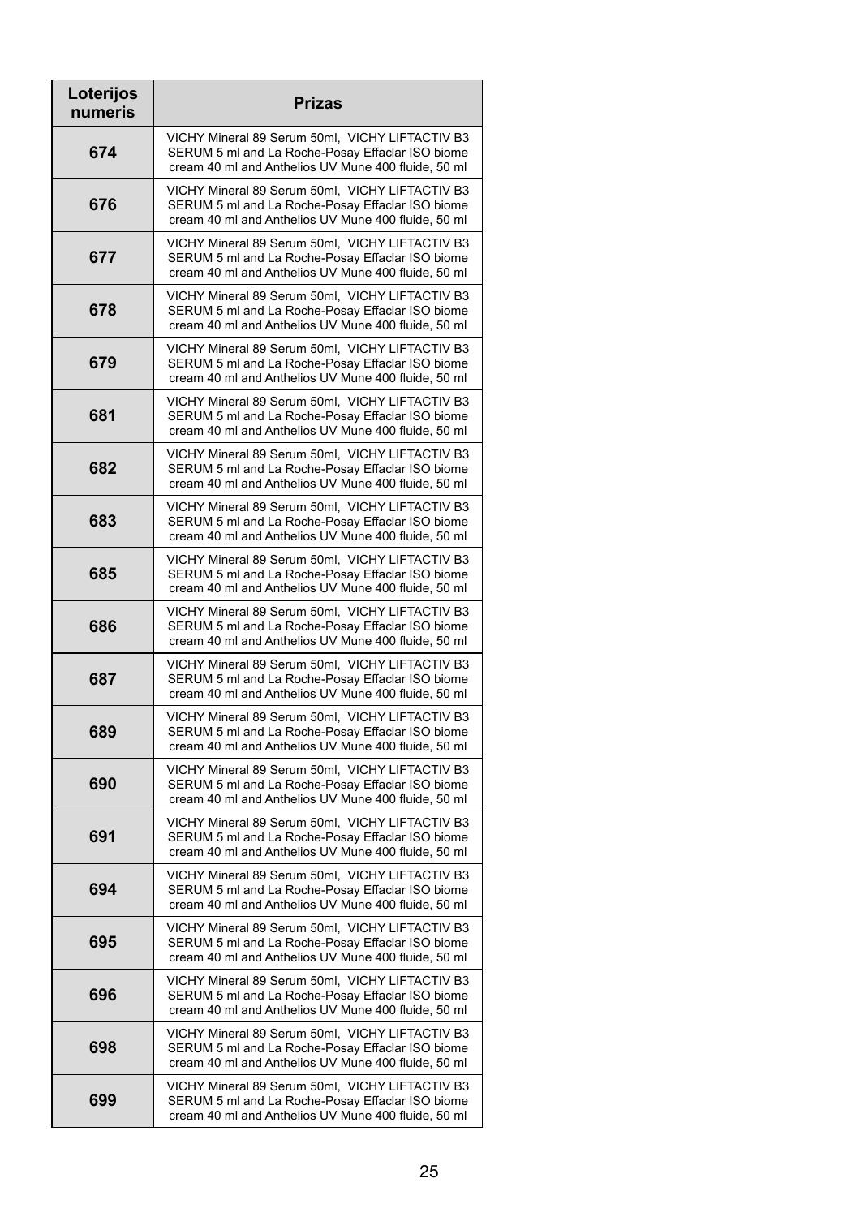| Loterijos<br>numeris | <b>Prizas</b>                                                                                                                                              |
|----------------------|------------------------------------------------------------------------------------------------------------------------------------------------------------|
| 674                  | VICHY Mineral 89 Serum 50ml, VICHY LIFTACTIV B3<br>SERUM 5 ml and La Roche-Posay Effaclar ISO biome<br>cream 40 ml and Anthelios UV Mune 400 fluide, 50 ml |
| 676                  | VICHY Mineral 89 Serum 50ml, VICHY LIFTACTIV B3<br>SERUM 5 ml and La Roche-Posay Effaclar ISO biome<br>cream 40 ml and Anthelios UV Mune 400 fluide, 50 ml |
| 677                  | VICHY Mineral 89 Serum 50ml, VICHY LIFTACTIV B3<br>SERUM 5 ml and La Roche-Posay Effaclar ISO biome<br>cream 40 ml and Anthelios UV Mune 400 fluide, 50 ml |
| 678                  | VICHY Mineral 89 Serum 50ml, VICHY LIFTACTIV B3<br>SERUM 5 ml and La Roche-Posay Effaclar ISO biome<br>cream 40 ml and Anthelios UV Mune 400 fluide, 50 ml |
| 679                  | VICHY Mineral 89 Serum 50ml, VICHY LIFTACTIV B3<br>SERUM 5 ml and La Roche-Posay Effaclar ISO biome<br>cream 40 ml and Anthelios UV Mune 400 fluide, 50 ml |
| 681                  | VICHY Mineral 89 Serum 50ml, VICHY LIFTACTIV B3<br>SERUM 5 ml and La Roche-Posay Effaclar ISO biome<br>cream 40 ml and Anthelios UV Mune 400 fluide, 50 ml |
| 682                  | VICHY Mineral 89 Serum 50ml, VICHY LIFTACTIV B3<br>SERUM 5 ml and La Roche-Posay Effaclar ISO biome<br>cream 40 ml and Anthelios UV Mune 400 fluide, 50 ml |
| 683                  | VICHY Mineral 89 Serum 50ml, VICHY LIFTACTIV B3<br>SERUM 5 ml and La Roche-Posay Effaclar ISO biome<br>cream 40 ml and Anthelios UV Mune 400 fluide, 50 ml |
| 685                  | VICHY Mineral 89 Serum 50ml, VICHY LIFTACTIV B3<br>SERUM 5 ml and La Roche-Posay Effaclar ISO biome<br>cream 40 ml and Anthelios UV Mune 400 fluide, 50 ml |
| 686                  | VICHY Mineral 89 Serum 50ml, VICHY LIFTACTIV B3<br>SERUM 5 ml and La Roche-Posay Effaclar ISO biome<br>cream 40 ml and Anthelios UV Mune 400 fluide, 50 ml |
| 687                  | VICHY Mineral 89 Serum 50ml, VICHY LIFTACTIV B3<br>SERUM 5 ml and La Roche-Posay Effaclar ISO biome<br>cream 40 ml and Anthelios UV Mune 400 fluide, 50 ml |
| 689                  | VICHY Mineral 89 Serum 50ml, VICHY LIFTACTIV B3<br>SERUM 5 ml and La Roche-Posay Effaclar ISO biome<br>cream 40 ml and Anthelios UV Mune 400 fluide, 50 ml |
| 690                  | VICHY Mineral 89 Serum 50ml, VICHY LIFTACTIV B3<br>SERUM 5 ml and La Roche-Posay Effaclar ISO biome<br>cream 40 ml and Anthelios UV Mune 400 fluide, 50 ml |
| 691                  | VICHY Mineral 89 Serum 50ml, VICHY LIFTACTIV B3<br>SERUM 5 ml and La Roche-Posay Effaclar ISO biome<br>cream 40 ml and Anthelios UV Mune 400 fluide, 50 ml |
| 694                  | VICHY Mineral 89 Serum 50ml, VICHY LIFTACTIV B3<br>SERUM 5 ml and La Roche-Posay Effaclar ISO biome<br>cream 40 ml and Anthelios UV Mune 400 fluide, 50 ml |
| 695                  | VICHY Mineral 89 Serum 50ml, VICHY LIFTACTIV B3<br>SERUM 5 ml and La Roche-Posay Effaclar ISO biome<br>cream 40 ml and Anthelios UV Mune 400 fluide, 50 ml |
| 696                  | VICHY Mineral 89 Serum 50ml, VICHY LIFTACTIV B3<br>SERUM 5 ml and La Roche-Posay Effaclar ISO biome<br>cream 40 ml and Anthelios UV Mune 400 fluide, 50 ml |
| 698                  | VICHY Mineral 89 Serum 50ml, VICHY LIFTACTIV B3<br>SERUM 5 ml and La Roche-Posay Effaclar ISO biome<br>cream 40 ml and Anthelios UV Mune 400 fluide, 50 ml |
| 699                  | VICHY Mineral 89 Serum 50ml, VICHY LIFTACTIV B3<br>SERUM 5 ml and La Roche-Posay Effaclar ISO biome<br>cream 40 ml and Anthelios UV Mune 400 fluide, 50 ml |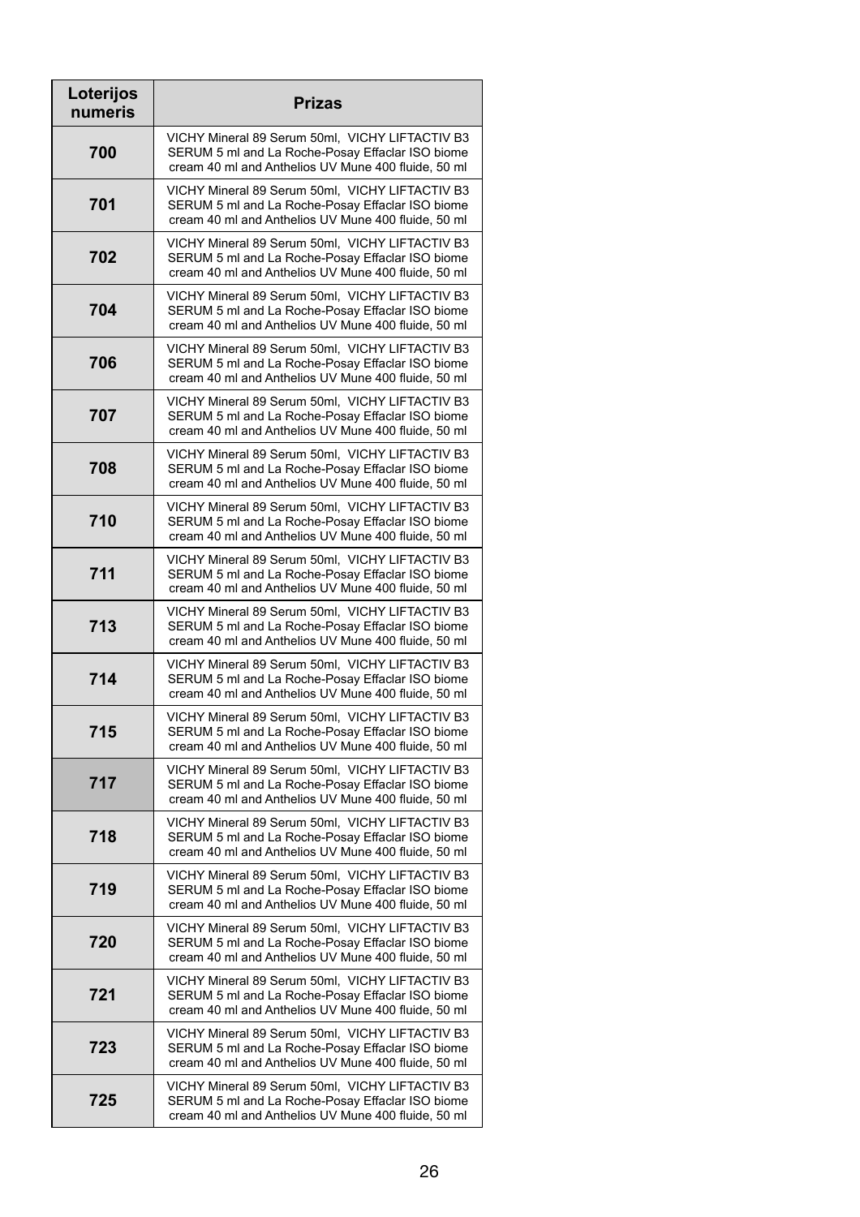| Loterijos<br>numeris | <b>Prizas</b>                                                                                                                                              |
|----------------------|------------------------------------------------------------------------------------------------------------------------------------------------------------|
| 700                  | VICHY Mineral 89 Serum 50ml, VICHY LIFTACTIV B3<br>SERUM 5 ml and La Roche-Posay Effaclar ISO biome<br>cream 40 ml and Anthelios UV Mune 400 fluide, 50 ml |
| 701                  | VICHY Mineral 89 Serum 50ml, VICHY LIFTACTIV B3<br>SERUM 5 ml and La Roche-Posay Effaclar ISO biome<br>cream 40 ml and Anthelios UV Mune 400 fluide, 50 ml |
| 702                  | VICHY Mineral 89 Serum 50ml, VICHY LIFTACTIV B3<br>SERUM 5 ml and La Roche-Posay Effaclar ISO biome<br>cream 40 ml and Anthelios UV Mune 400 fluide, 50 ml |
| 704                  | VICHY Mineral 89 Serum 50ml, VICHY LIFTACTIV B3<br>SERUM 5 ml and La Roche-Posay Effaclar ISO biome<br>cream 40 ml and Anthelios UV Mune 400 fluide, 50 ml |
| 706                  | VICHY Mineral 89 Serum 50ml, VICHY LIFTACTIV B3<br>SERUM 5 ml and La Roche-Posay Effaclar ISO biome<br>cream 40 ml and Anthelios UV Mune 400 fluide, 50 ml |
| 707                  | VICHY Mineral 89 Serum 50ml, VICHY LIFTACTIV B3<br>SERUM 5 ml and La Roche-Posay Effaclar ISO biome<br>cream 40 ml and Anthelios UV Mune 400 fluide, 50 ml |
| 708                  | VICHY Mineral 89 Serum 50ml, VICHY LIFTACTIV B3<br>SERUM 5 ml and La Roche-Posay Effaclar ISO biome<br>cream 40 ml and Anthelios UV Mune 400 fluide, 50 ml |
| 710                  | VICHY Mineral 89 Serum 50ml, VICHY LIFTACTIV B3<br>SERUM 5 ml and La Roche-Posay Effaclar ISO biome<br>cream 40 ml and Anthelios UV Mune 400 fluide, 50 ml |
| 711                  | VICHY Mineral 89 Serum 50ml, VICHY LIFTACTIV B3<br>SERUM 5 ml and La Roche-Posay Effaclar ISO biome<br>cream 40 ml and Anthelios UV Mune 400 fluide, 50 ml |
| 713                  | VICHY Mineral 89 Serum 50ml, VICHY LIFTACTIV B3<br>SERUM 5 ml and La Roche-Posay Effaclar ISO biome<br>cream 40 ml and Anthelios UV Mune 400 fluide, 50 ml |
| 714                  | VICHY Mineral 89 Serum 50ml, VICHY LIFTACTIV B3<br>SERUM 5 ml and La Roche-Posay Effaclar ISO biome<br>cream 40 ml and Anthelios UV Mune 400 fluide, 50 ml |
| 715                  | VICHY Mineral 89 Serum 50ml, VICHY LIFTACTIV B3<br>SERUM 5 ml and La Roche-Posay Effaclar ISO biome<br>cream 40 ml and Anthelios UV Mune 400 fluide, 50 ml |
| 717                  | VICHY Mineral 89 Serum 50ml, VICHY LIFTACTIV B3<br>SERUM 5 ml and La Roche-Posay Effaclar ISO biome<br>cream 40 ml and Anthelios UV Mune 400 fluide, 50 ml |
| 718                  | VICHY Mineral 89 Serum 50ml, VICHY LIFTACTIV B3<br>SERUM 5 ml and La Roche-Posay Effaclar ISO biome<br>cream 40 ml and Anthelios UV Mune 400 fluide, 50 ml |
| 719                  | VICHY Mineral 89 Serum 50ml, VICHY LIFTACTIV B3<br>SERUM 5 ml and La Roche-Posay Effaclar ISO biome<br>cream 40 ml and Anthelios UV Mune 400 fluide, 50 ml |
| 720                  | VICHY Mineral 89 Serum 50ml, VICHY LIFTACTIV B3<br>SERUM 5 ml and La Roche-Posay Effaclar ISO biome<br>cream 40 ml and Anthelios UV Mune 400 fluide, 50 ml |
| 721                  | VICHY Mineral 89 Serum 50ml, VICHY LIFTACTIV B3<br>SERUM 5 ml and La Roche-Posay Effaclar ISO biome<br>cream 40 ml and Anthelios UV Mune 400 fluide, 50 ml |
| 723                  | VICHY Mineral 89 Serum 50ml, VICHY LIFTACTIV B3<br>SERUM 5 ml and La Roche-Posay Effaclar ISO biome<br>cream 40 ml and Anthelios UV Mune 400 fluide, 50 ml |
| 725                  | VICHY Mineral 89 Serum 50ml, VICHY LIFTACTIV B3<br>SERUM 5 ml and La Roche-Posay Effaclar ISO biome<br>cream 40 ml and Anthelios UV Mune 400 fluide, 50 ml |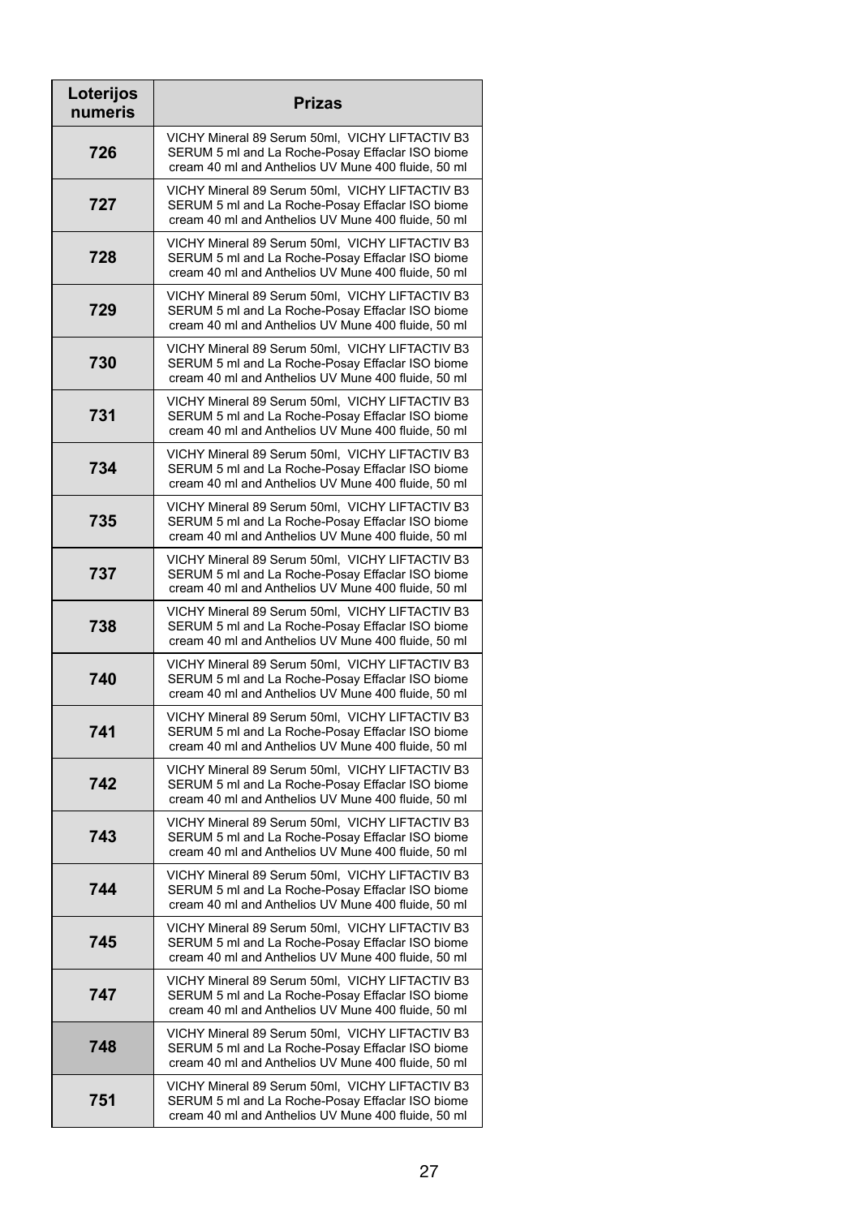| Loterijos<br>numeris | <b>Prizas</b>                                                                                                                                              |
|----------------------|------------------------------------------------------------------------------------------------------------------------------------------------------------|
| 726                  | VICHY Mineral 89 Serum 50ml, VICHY LIFTACTIV B3<br>SERUM 5 ml and La Roche-Posay Effaclar ISO biome<br>cream 40 ml and Anthelios UV Mune 400 fluide, 50 ml |
| 727                  | VICHY Mineral 89 Serum 50ml, VICHY LIFTACTIV B3<br>SERUM 5 ml and La Roche-Posay Effaclar ISO biome<br>cream 40 ml and Anthelios UV Mune 400 fluide, 50 ml |
| 728                  | VICHY Mineral 89 Serum 50ml, VICHY LIFTACTIV B3<br>SERUM 5 ml and La Roche-Posay Effaclar ISO biome<br>cream 40 ml and Anthelios UV Mune 400 fluide, 50 ml |
| 729                  | VICHY Mineral 89 Serum 50ml, VICHY LIFTACTIV B3<br>SERUM 5 ml and La Roche-Posay Effaclar ISO biome<br>cream 40 ml and Anthelios UV Mune 400 fluide, 50 ml |
| 730                  | VICHY Mineral 89 Serum 50ml, VICHY LIFTACTIV B3<br>SERUM 5 ml and La Roche-Posay Effaclar ISO biome<br>cream 40 ml and Anthelios UV Mune 400 fluide, 50 ml |
| 731                  | VICHY Mineral 89 Serum 50ml, VICHY LIFTACTIV B3<br>SERUM 5 ml and La Roche-Posay Effaclar ISO biome<br>cream 40 ml and Anthelios UV Mune 400 fluide, 50 ml |
| 734                  | VICHY Mineral 89 Serum 50ml, VICHY LIFTACTIV B3<br>SERUM 5 ml and La Roche-Posay Effaclar ISO biome<br>cream 40 ml and Anthelios UV Mune 400 fluide, 50 ml |
| 735                  | VICHY Mineral 89 Serum 50ml, VICHY LIFTACTIV B3<br>SERUM 5 ml and La Roche-Posay Effaclar ISO biome<br>cream 40 ml and Anthelios UV Mune 400 fluide, 50 ml |
| 737                  | VICHY Mineral 89 Serum 50ml, VICHY LIFTACTIV B3<br>SERUM 5 ml and La Roche-Posay Effaclar ISO biome<br>cream 40 ml and Anthelios UV Mune 400 fluide, 50 ml |
| 738                  | VICHY Mineral 89 Serum 50ml, VICHY LIFTACTIV B3<br>SERUM 5 ml and La Roche-Posay Effaclar ISO biome<br>cream 40 ml and Anthelios UV Mune 400 fluide, 50 ml |
| 740                  | VICHY Mineral 89 Serum 50ml, VICHY LIFTACTIV B3<br>SERUM 5 ml and La Roche-Posay Effaclar ISO biome<br>cream 40 ml and Anthelios UV Mune 400 fluide, 50 ml |
| 741                  | VICHY Mineral 89 Serum 50ml, VICHY LIFTACTIV B3<br>SERUM 5 ml and La Roche-Posay Effaclar ISO biome<br>cream 40 ml and Anthelios UV Mune 400 fluide, 50 ml |
| 742                  | VICHY Mineral 89 Serum 50ml, VICHY LIFTACTIV B3<br>SERUM 5 ml and La Roche-Posay Effaclar ISO biome<br>cream 40 ml and Anthelios UV Mune 400 fluide, 50 ml |
| 743                  | VICHY Mineral 89 Serum 50ml, VICHY LIFTACTIV B3<br>SERUM 5 ml and La Roche-Posay Effaclar ISO biome<br>cream 40 ml and Anthelios UV Mune 400 fluide, 50 ml |
| 744                  | VICHY Mineral 89 Serum 50ml, VICHY LIFTACTIV B3<br>SERUM 5 ml and La Roche-Posay Effaclar ISO biome<br>cream 40 ml and Anthelios UV Mune 400 fluide, 50 ml |
| 745                  | VICHY Mineral 89 Serum 50ml, VICHY LIFTACTIV B3<br>SERUM 5 ml and La Roche-Posay Effaclar ISO biome<br>cream 40 ml and Anthelios UV Mune 400 fluide, 50 ml |
| 747                  | VICHY Mineral 89 Serum 50ml, VICHY LIFTACTIV B3<br>SERUM 5 ml and La Roche-Posay Effaclar ISO biome<br>cream 40 ml and Anthelios UV Mune 400 fluide, 50 ml |
| 748                  | VICHY Mineral 89 Serum 50ml, VICHY LIFTACTIV B3<br>SERUM 5 ml and La Roche-Posay Effaclar ISO biome<br>cream 40 ml and Anthelios UV Mune 400 fluide, 50 ml |
| 751                  | VICHY Mineral 89 Serum 50ml, VICHY LIFTACTIV B3<br>SERUM 5 ml and La Roche-Posay Effaclar ISO biome<br>cream 40 ml and Anthelios UV Mune 400 fluide, 50 ml |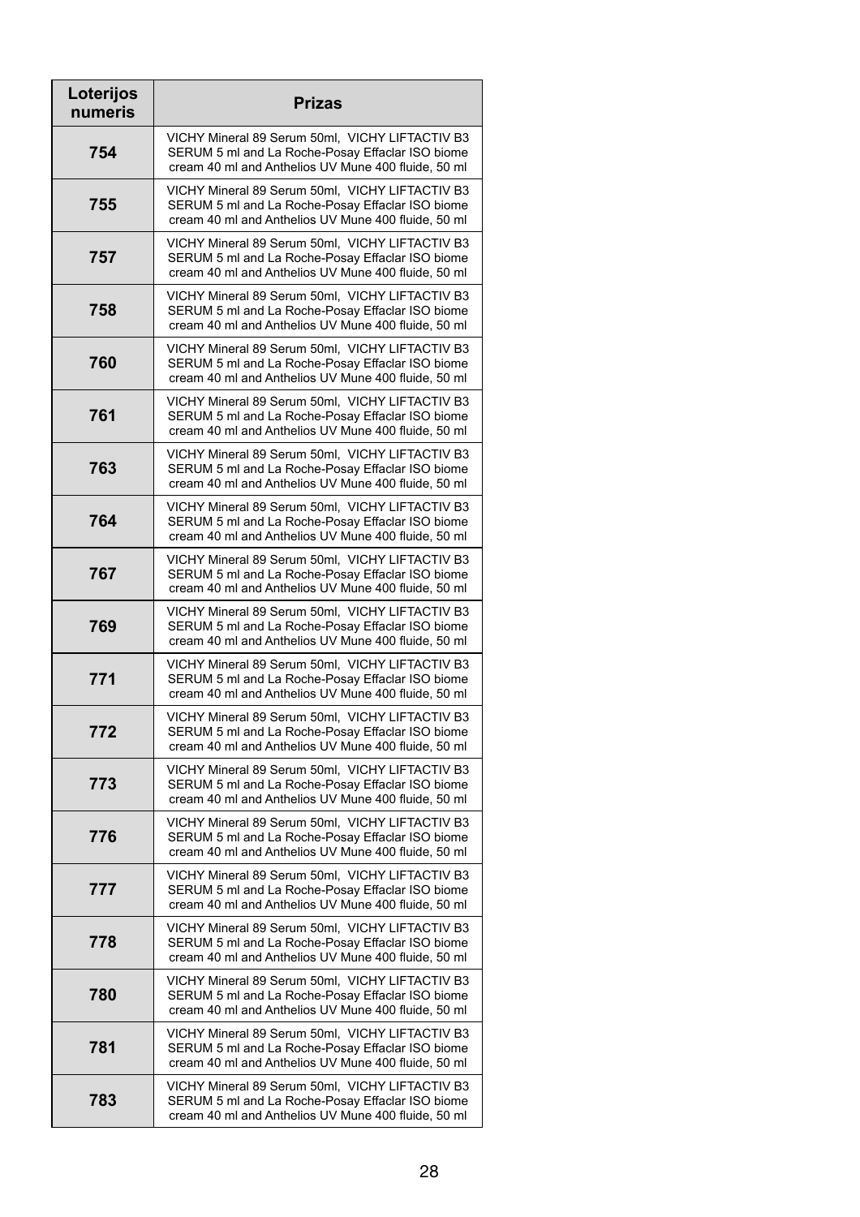| Loterijos<br>numeris | <b>Prizas</b>                                                                                                                                              |
|----------------------|------------------------------------------------------------------------------------------------------------------------------------------------------------|
| 754                  | VICHY Mineral 89 Serum 50ml, VICHY LIFTACTIV B3<br>SERUM 5 ml and La Roche-Posay Effaclar ISO biome<br>cream 40 ml and Anthelios UV Mune 400 fluide, 50 ml |
| 755                  | VICHY Mineral 89 Serum 50ml, VICHY LIFTACTIV B3<br>SERUM 5 ml and La Roche-Posay Effaclar ISO biome<br>cream 40 ml and Anthelios UV Mune 400 fluide, 50 ml |
| 757                  | VICHY Mineral 89 Serum 50ml, VICHY LIFTACTIV B3<br>SERUM 5 ml and La Roche-Posay Effaclar ISO biome<br>cream 40 ml and Anthelios UV Mune 400 fluide, 50 ml |
| 758                  | VICHY Mineral 89 Serum 50ml, VICHY LIFTACTIV B3<br>SERUM 5 ml and La Roche-Posay Effaclar ISO biome<br>cream 40 ml and Anthelios UV Mune 400 fluide, 50 ml |
| 760                  | VICHY Mineral 89 Serum 50ml, VICHY LIFTACTIV B3<br>SERUM 5 ml and La Roche-Posay Effaclar ISO biome<br>cream 40 ml and Anthelios UV Mune 400 fluide, 50 ml |
| 761                  | VICHY Mineral 89 Serum 50ml, VICHY LIFTACTIV B3<br>SERUM 5 ml and La Roche-Posay Effaclar ISO biome<br>cream 40 ml and Anthelios UV Mune 400 fluide, 50 ml |
| 763                  | VICHY Mineral 89 Serum 50ml, VICHY LIFTACTIV B3<br>SERUM 5 ml and La Roche-Posay Effaclar ISO biome<br>cream 40 ml and Anthelios UV Mune 400 fluide, 50 ml |
| 764                  | VICHY Mineral 89 Serum 50ml, VICHY LIFTACTIV B3<br>SERUM 5 ml and La Roche-Posay Effaclar ISO biome<br>cream 40 ml and Anthelios UV Mune 400 fluide, 50 ml |
| 767                  | VICHY Mineral 89 Serum 50ml, VICHY LIFTACTIV B3<br>SERUM 5 ml and La Roche-Posay Effaclar ISO biome<br>cream 40 ml and Anthelios UV Mune 400 fluide, 50 ml |
| 769                  | VICHY Mineral 89 Serum 50ml, VICHY LIFTACTIV B3<br>SERUM 5 ml and La Roche-Posay Effaclar ISO biome<br>cream 40 ml and Anthelios UV Mune 400 fluide, 50 ml |
| 771                  | VICHY Mineral 89 Serum 50ml, VICHY LIFTACTIV B3<br>SERUM 5 ml and La Roche-Posay Effaclar ISO biome<br>cream 40 ml and Anthelios UV Mune 400 fluide, 50 ml |
| 772                  | VICHY Mineral 89 Serum 50ml, VICHY LIFTACTIV B3<br>SERUM 5 ml and La Roche-Posay Effaclar ISO biome<br>cream 40 ml and Anthelios UV Mune 400 fluide, 50 ml |
| 773                  | VICHY Mineral 89 Serum 50ml, VICHY LIFTACTIV B3<br>SERUM 5 ml and La Roche-Posay Effaclar ISO biome<br>cream 40 ml and Anthelios UV Mune 400 fluide, 50 ml |
| 776                  | VICHY Mineral 89 Serum 50ml, VICHY LIFTACTIV B3<br>SERUM 5 ml and La Roche-Posay Effaclar ISO biome<br>cream 40 ml and Anthelios UV Mune 400 fluide, 50 ml |
| 777                  | VICHY Mineral 89 Serum 50ml, VICHY LIFTACTIV B3<br>SERUM 5 ml and La Roche-Posay Effaclar ISO biome<br>cream 40 ml and Anthelios UV Mune 400 fluide, 50 ml |
| 778                  | VICHY Mineral 89 Serum 50ml, VICHY LIFTACTIV B3<br>SERUM 5 ml and La Roche-Posay Effaclar ISO biome<br>cream 40 ml and Anthelios UV Mune 400 fluide, 50 ml |
| 780                  | VICHY Mineral 89 Serum 50ml, VICHY LIFTACTIV B3<br>SERUM 5 ml and La Roche-Posay Effaclar ISO biome<br>cream 40 ml and Anthelios UV Mune 400 fluide, 50 ml |
| 781                  | VICHY Mineral 89 Serum 50ml, VICHY LIFTACTIV B3<br>SERUM 5 ml and La Roche-Posay Effaclar ISO biome<br>cream 40 ml and Anthelios UV Mune 400 fluide, 50 ml |
| 783                  | VICHY Mineral 89 Serum 50ml, VICHY LIFTACTIV B3<br>SERUM 5 ml and La Roche-Posay Effaclar ISO biome<br>cream 40 ml and Anthelios UV Mune 400 fluide, 50 ml |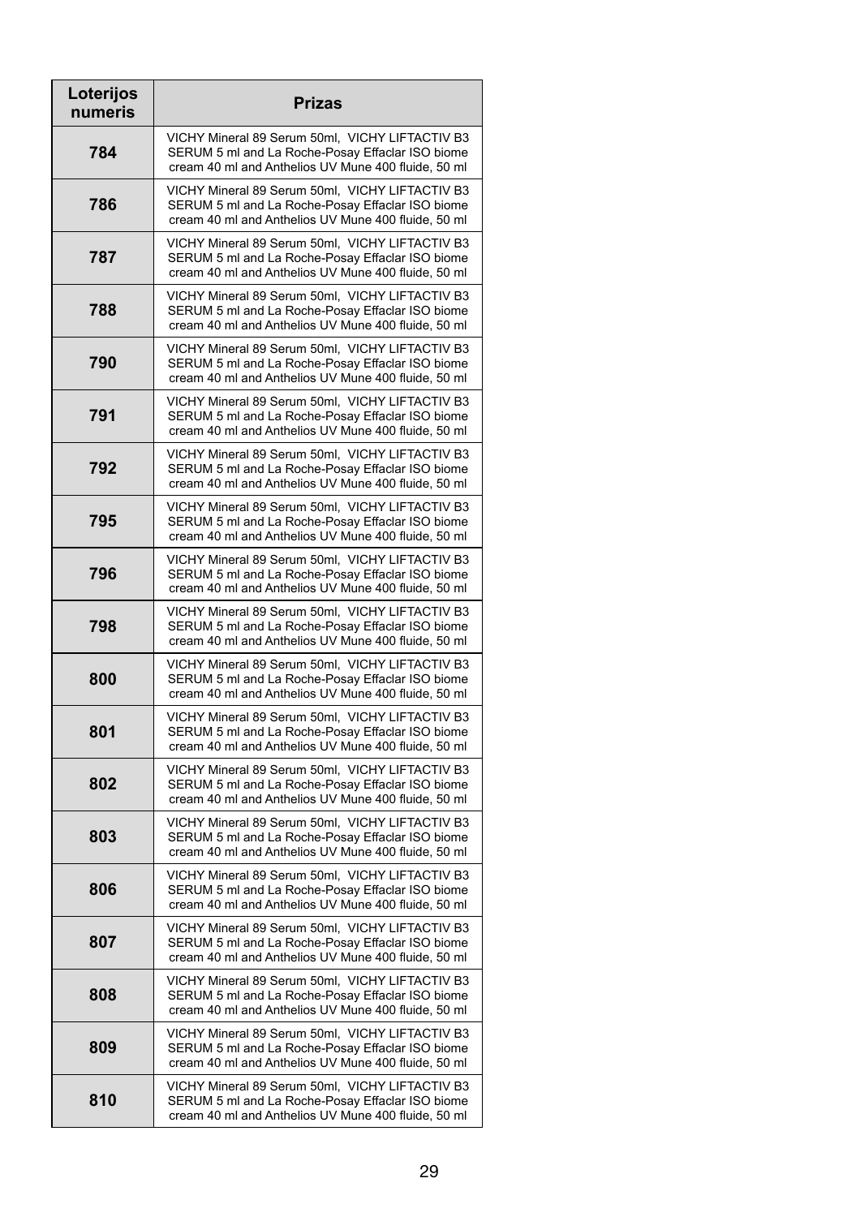| Loterijos<br>numeris | <b>Prizas</b>                                                                                                                                              |
|----------------------|------------------------------------------------------------------------------------------------------------------------------------------------------------|
| 784                  | VICHY Mineral 89 Serum 50ml, VICHY LIFTACTIV B3<br>SERUM 5 ml and La Roche-Posay Effaclar ISO biome<br>cream 40 ml and Anthelios UV Mune 400 fluide, 50 ml |
| 786                  | VICHY Mineral 89 Serum 50ml, VICHY LIFTACTIV B3<br>SERUM 5 ml and La Roche-Posay Effaclar ISO biome<br>cream 40 ml and Anthelios UV Mune 400 fluide, 50 ml |
| 787                  | VICHY Mineral 89 Serum 50ml, VICHY LIFTACTIV B3<br>SERUM 5 ml and La Roche-Posay Effaclar ISO biome<br>cream 40 ml and Anthelios UV Mune 400 fluide, 50 ml |
| 788                  | VICHY Mineral 89 Serum 50ml, VICHY LIFTACTIV B3<br>SERUM 5 ml and La Roche-Posay Effaclar ISO biome<br>cream 40 ml and Anthelios UV Mune 400 fluide, 50 ml |
| 790                  | VICHY Mineral 89 Serum 50ml, VICHY LIFTACTIV B3<br>SERUM 5 ml and La Roche-Posay Effaclar ISO biome<br>cream 40 ml and Anthelios UV Mune 400 fluide, 50 ml |
| 791                  | VICHY Mineral 89 Serum 50ml, VICHY LIFTACTIV B3<br>SERUM 5 ml and La Roche-Posay Effaclar ISO biome<br>cream 40 ml and Anthelios UV Mune 400 fluide, 50 ml |
| 792                  | VICHY Mineral 89 Serum 50ml, VICHY LIFTACTIV B3<br>SERUM 5 ml and La Roche-Posay Effaclar ISO biome<br>cream 40 ml and Anthelios UV Mune 400 fluide, 50 ml |
| 795                  | VICHY Mineral 89 Serum 50ml, VICHY LIFTACTIV B3<br>SERUM 5 ml and La Roche-Posay Effaclar ISO biome<br>cream 40 ml and Anthelios UV Mune 400 fluide, 50 ml |
| 796                  | VICHY Mineral 89 Serum 50ml, VICHY LIFTACTIV B3<br>SERUM 5 ml and La Roche-Posay Effaclar ISO biome<br>cream 40 ml and Anthelios UV Mune 400 fluide, 50 ml |
| 798                  | VICHY Mineral 89 Serum 50ml, VICHY LIFTACTIV B3<br>SERUM 5 ml and La Roche-Posay Effaclar ISO biome<br>cream 40 ml and Anthelios UV Mune 400 fluide, 50 ml |
| 800                  | VICHY Mineral 89 Serum 50ml, VICHY LIFTACTIV B3<br>SERUM 5 ml and La Roche-Posay Effaclar ISO biome<br>cream 40 ml and Anthelios UV Mune 400 fluide, 50 ml |
| 801                  | VICHY Mineral 89 Serum 50ml, VICHY LIFTACTIV B3<br>SERUM 5 ml and La Roche-Posay Effaclar ISO biome<br>cream 40 ml and Anthelios UV Mune 400 fluide, 50 ml |
| 802                  | VICHY Mineral 89 Serum 50ml, VICHY LIFTACTIV B3<br>SERUM 5 ml and La Roche-Posay Effaclar ISO biome<br>cream 40 ml and Anthelios UV Mune 400 fluide, 50 ml |
| 803                  | VICHY Mineral 89 Serum 50ml, VICHY LIFTACTIV B3<br>SERUM 5 ml and La Roche-Posay Effaclar ISO biome<br>cream 40 ml and Anthelios UV Mune 400 fluide, 50 ml |
| 806                  | VICHY Mineral 89 Serum 50ml, VICHY LIFTACTIV B3<br>SERUM 5 ml and La Roche-Posay Effaclar ISO biome<br>cream 40 ml and Anthelios UV Mune 400 fluide, 50 ml |
| 807                  | VICHY Mineral 89 Serum 50ml, VICHY LIFTACTIV B3<br>SERUM 5 ml and La Roche-Posay Effaclar ISO biome<br>cream 40 ml and Anthelios UV Mune 400 fluide, 50 ml |
| 808                  | VICHY Mineral 89 Serum 50ml, VICHY LIFTACTIV B3<br>SERUM 5 ml and La Roche-Posay Effaclar ISO biome<br>cream 40 ml and Anthelios UV Mune 400 fluide, 50 ml |
| 809                  | VICHY Mineral 89 Serum 50ml, VICHY LIFTACTIV B3<br>SERUM 5 ml and La Roche-Posay Effaclar ISO biome<br>cream 40 ml and Anthelios UV Mune 400 fluide, 50 ml |
| 810                  | VICHY Mineral 89 Serum 50ml, VICHY LIFTACTIV B3<br>SERUM 5 ml and La Roche-Posay Effaclar ISO biome<br>cream 40 ml and Anthelios UV Mune 400 fluide, 50 ml |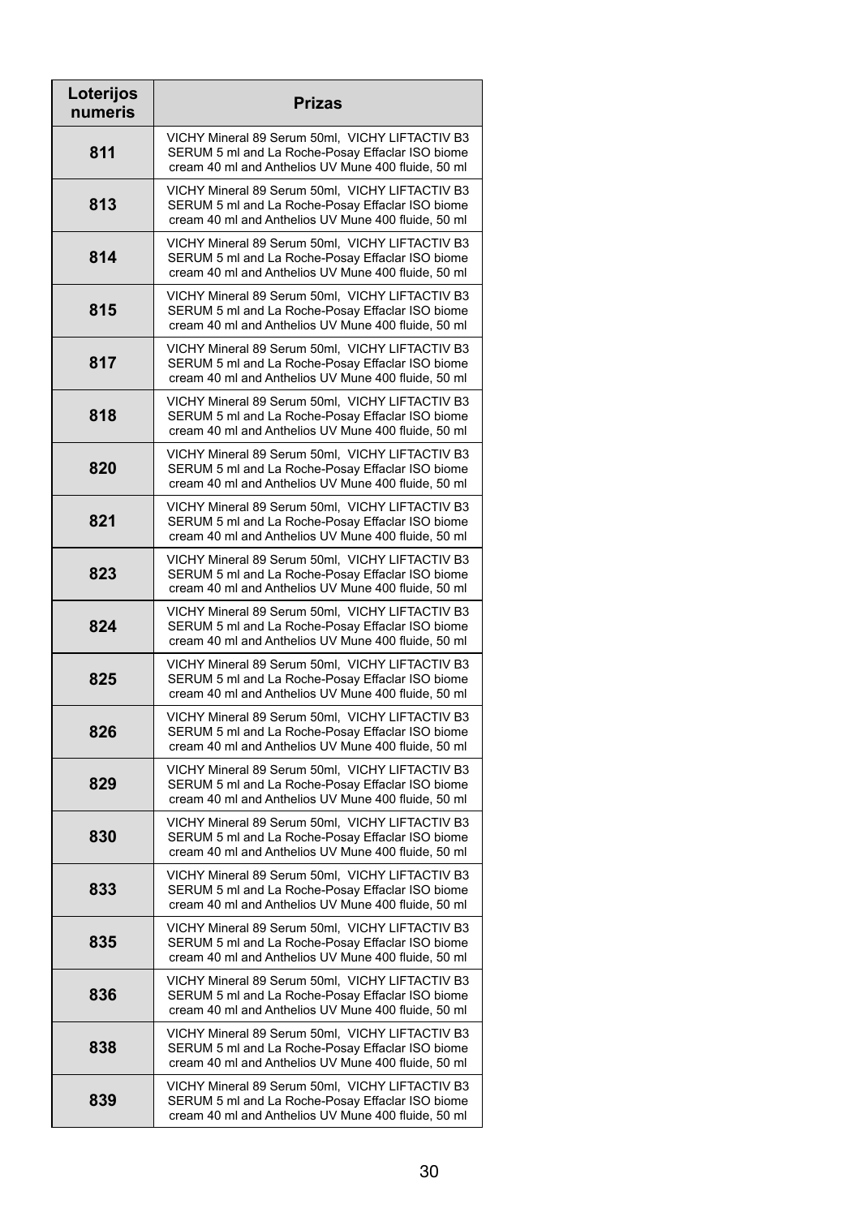| Loterijos<br>numeris | <b>Prizas</b>                                                                                                                                              |
|----------------------|------------------------------------------------------------------------------------------------------------------------------------------------------------|
| 811                  | VICHY Mineral 89 Serum 50ml, VICHY LIFTACTIV B3<br>SERUM 5 ml and La Roche-Posay Effaclar ISO biome<br>cream 40 ml and Anthelios UV Mune 400 fluide, 50 ml |
| 813                  | VICHY Mineral 89 Serum 50ml, VICHY LIFTACTIV B3<br>SERUM 5 ml and La Roche-Posay Effaclar ISO biome<br>cream 40 ml and Anthelios UV Mune 400 fluide, 50 ml |
| 814                  | VICHY Mineral 89 Serum 50ml, VICHY LIFTACTIV B3<br>SERUM 5 ml and La Roche-Posay Effaclar ISO biome<br>cream 40 ml and Anthelios UV Mune 400 fluide, 50 ml |
| 815                  | VICHY Mineral 89 Serum 50ml, VICHY LIFTACTIV B3<br>SERUM 5 ml and La Roche-Posay Effaclar ISO biome<br>cream 40 ml and Anthelios UV Mune 400 fluide, 50 ml |
| 817                  | VICHY Mineral 89 Serum 50ml, VICHY LIFTACTIV B3<br>SERUM 5 ml and La Roche-Posay Effaclar ISO biome<br>cream 40 ml and Anthelios UV Mune 400 fluide, 50 ml |
| 818                  | VICHY Mineral 89 Serum 50ml, VICHY LIFTACTIV B3<br>SERUM 5 ml and La Roche-Posay Effaclar ISO biome<br>cream 40 ml and Anthelios UV Mune 400 fluide, 50 ml |
| 820                  | VICHY Mineral 89 Serum 50ml, VICHY LIFTACTIV B3<br>SERUM 5 ml and La Roche-Posay Effaclar ISO biome<br>cream 40 ml and Anthelios UV Mune 400 fluide, 50 ml |
| 821                  | VICHY Mineral 89 Serum 50ml, VICHY LIFTACTIV B3<br>SERUM 5 ml and La Roche-Posay Effaclar ISO biome<br>cream 40 ml and Anthelios UV Mune 400 fluide, 50 ml |
| 823                  | VICHY Mineral 89 Serum 50ml, VICHY LIFTACTIV B3<br>SERUM 5 ml and La Roche-Posay Effaclar ISO biome<br>cream 40 ml and Anthelios UV Mune 400 fluide, 50 ml |
| 824                  | VICHY Mineral 89 Serum 50ml, VICHY LIFTACTIV B3<br>SERUM 5 ml and La Roche-Posay Effaclar ISO biome<br>cream 40 ml and Anthelios UV Mune 400 fluide, 50 ml |
| 825                  | VICHY Mineral 89 Serum 50ml, VICHY LIFTACTIV B3<br>SERUM 5 ml and La Roche-Posay Effaclar ISO biome<br>cream 40 ml and Anthelios UV Mune 400 fluide, 50 ml |
| 826                  | VICHY Mineral 89 Serum 50ml, VICHY LIFTACTIV B3<br>SERUM 5 ml and La Roche-Posay Effaclar ISO biome<br>cream 40 ml and Anthelios UV Mune 400 fluide, 50 ml |
| 829                  | VICHY Mineral 89 Serum 50ml, VICHY LIFTACTIV B3<br>SERUM 5 ml and La Roche-Posay Effaclar ISO biome<br>cream 40 ml and Anthelios UV Mune 400 fluide, 50 ml |
| 830                  | VICHY Mineral 89 Serum 50ml, VICHY LIFTACTIV B3<br>SERUM 5 ml and La Roche-Posay Effaclar ISO biome<br>cream 40 ml and Anthelios UV Mune 400 fluide, 50 ml |
| 833                  | VICHY Mineral 89 Serum 50ml, VICHY LIFTACTIV B3<br>SERUM 5 ml and La Roche-Posay Effaclar ISO biome<br>cream 40 ml and Anthelios UV Mune 400 fluide, 50 ml |
| 835                  | VICHY Mineral 89 Serum 50ml, VICHY LIFTACTIV B3<br>SERUM 5 ml and La Roche-Posay Effaclar ISO biome<br>cream 40 ml and Anthelios UV Mune 400 fluide, 50 ml |
| 836                  | VICHY Mineral 89 Serum 50ml, VICHY LIFTACTIV B3<br>SERUM 5 ml and La Roche-Posay Effaclar ISO biome<br>cream 40 ml and Anthelios UV Mune 400 fluide, 50 ml |
| 838                  | VICHY Mineral 89 Serum 50ml, VICHY LIFTACTIV B3<br>SERUM 5 ml and La Roche-Posay Effaclar ISO biome<br>cream 40 ml and Anthelios UV Mune 400 fluide, 50 ml |
| 839                  | VICHY Mineral 89 Serum 50ml, VICHY LIFTACTIV B3<br>SERUM 5 ml and La Roche-Posay Effaclar ISO biome<br>cream 40 ml and Anthelios UV Mune 400 fluide, 50 ml |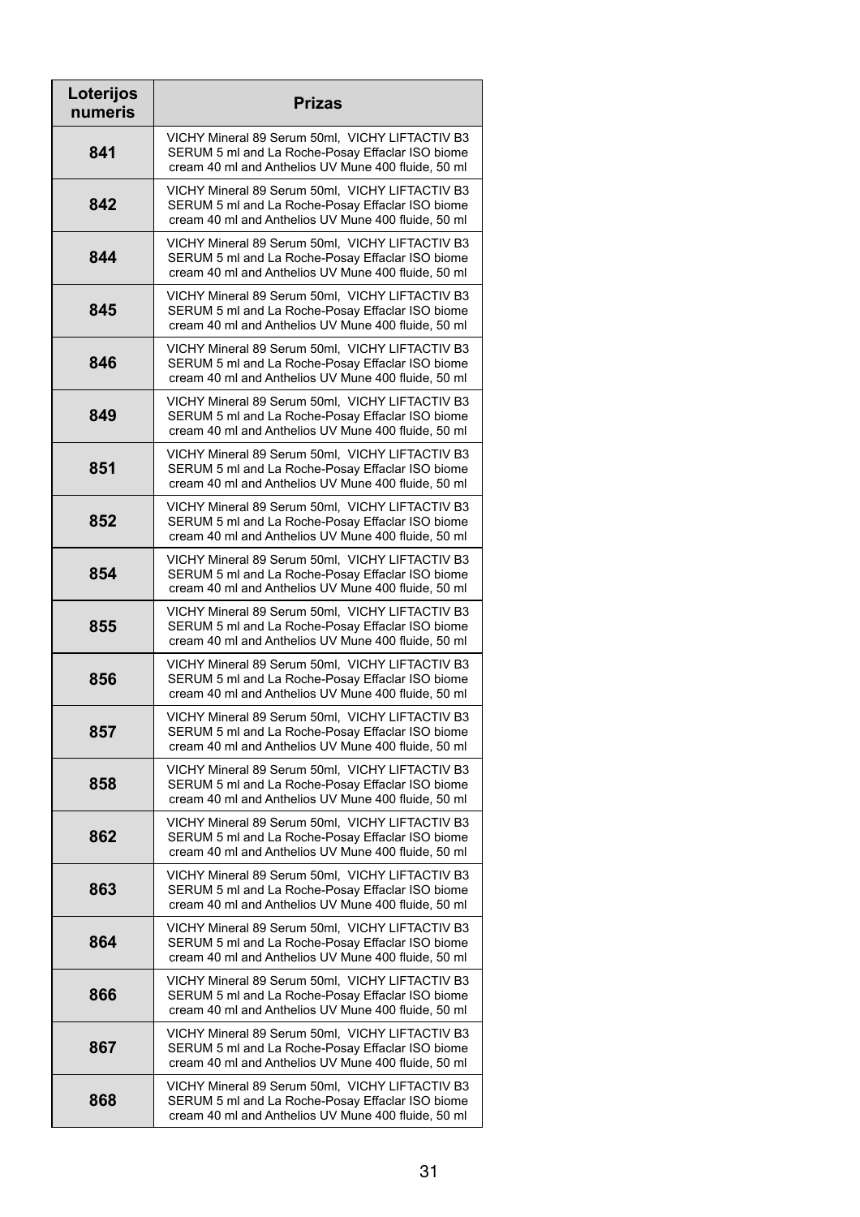| Loterijos<br>numeris | <b>Prizas</b>                                                                                                                                              |
|----------------------|------------------------------------------------------------------------------------------------------------------------------------------------------------|
| 841                  | VICHY Mineral 89 Serum 50ml, VICHY LIFTACTIV B3<br>SERUM 5 ml and La Roche-Posay Effaclar ISO biome<br>cream 40 ml and Anthelios UV Mune 400 fluide, 50 ml |
| 842                  | VICHY Mineral 89 Serum 50ml, VICHY LIFTACTIV B3<br>SERUM 5 ml and La Roche-Posay Effaclar ISO biome<br>cream 40 ml and Anthelios UV Mune 400 fluide, 50 ml |
| 844                  | VICHY Mineral 89 Serum 50ml, VICHY LIFTACTIV B3<br>SERUM 5 ml and La Roche-Posay Effaclar ISO biome<br>cream 40 ml and Anthelios UV Mune 400 fluide, 50 ml |
| 845                  | VICHY Mineral 89 Serum 50ml, VICHY LIFTACTIV B3<br>SERUM 5 ml and La Roche-Posay Effaclar ISO biome<br>cream 40 ml and Anthelios UV Mune 400 fluide, 50 ml |
| 846                  | VICHY Mineral 89 Serum 50ml, VICHY LIFTACTIV B3<br>SERUM 5 ml and La Roche-Posay Effaclar ISO biome<br>cream 40 ml and Anthelios UV Mune 400 fluide, 50 ml |
| 849                  | VICHY Mineral 89 Serum 50ml, VICHY LIFTACTIV B3<br>SERUM 5 ml and La Roche-Posay Effaclar ISO biome<br>cream 40 ml and Anthelios UV Mune 400 fluide, 50 ml |
| 851                  | VICHY Mineral 89 Serum 50ml, VICHY LIFTACTIV B3<br>SERUM 5 ml and La Roche-Posay Effaclar ISO biome<br>cream 40 ml and Anthelios UV Mune 400 fluide, 50 ml |
| 852                  | VICHY Mineral 89 Serum 50ml, VICHY LIFTACTIV B3<br>SERUM 5 ml and La Roche-Posay Effaclar ISO biome<br>cream 40 ml and Anthelios UV Mune 400 fluide, 50 ml |
| 854                  | VICHY Mineral 89 Serum 50ml, VICHY LIFTACTIV B3<br>SERUM 5 ml and La Roche-Posay Effaclar ISO biome<br>cream 40 ml and Anthelios UV Mune 400 fluide, 50 ml |
| 855                  | VICHY Mineral 89 Serum 50ml, VICHY LIFTACTIV B3<br>SERUM 5 ml and La Roche-Posay Effaclar ISO biome<br>cream 40 ml and Anthelios UV Mune 400 fluide, 50 ml |
| 856                  | VICHY Mineral 89 Serum 50ml, VICHY LIFTACTIV B3<br>SERUM 5 ml and La Roche-Posay Effaclar ISO biome<br>cream 40 ml and Anthelios UV Mune 400 fluide, 50 ml |
| 857                  | VICHY Mineral 89 Serum 50ml, VICHY LIFTACTIV B3<br>SERUM 5 ml and La Roche-Posay Effaclar ISO biome<br>cream 40 ml and Anthelios UV Mune 400 fluide, 50 ml |
| 858                  | VICHY Mineral 89 Serum 50ml, VICHY LIFTACTIV B3<br>SERUM 5 ml and La Roche-Posay Effaclar ISO biome<br>cream 40 ml and Anthelios UV Mune 400 fluide, 50 ml |
| 862                  | VICHY Mineral 89 Serum 50ml, VICHY LIFTACTIV B3<br>SERUM 5 ml and La Roche-Posay Effaclar ISO biome<br>cream 40 ml and Anthelios UV Mune 400 fluide, 50 ml |
| 863                  | VICHY Mineral 89 Serum 50ml, VICHY LIFTACTIV B3<br>SERUM 5 ml and La Roche-Posay Effaclar ISO biome<br>cream 40 ml and Anthelios UV Mune 400 fluide, 50 ml |
| 864                  | VICHY Mineral 89 Serum 50ml, VICHY LIFTACTIV B3<br>SERUM 5 ml and La Roche-Posay Effaclar ISO biome<br>cream 40 ml and Anthelios UV Mune 400 fluide, 50 ml |
| 866                  | VICHY Mineral 89 Serum 50ml, VICHY LIFTACTIV B3<br>SERUM 5 ml and La Roche-Posay Effaclar ISO biome<br>cream 40 ml and Anthelios UV Mune 400 fluide, 50 ml |
| 867                  | VICHY Mineral 89 Serum 50ml, VICHY LIFTACTIV B3<br>SERUM 5 ml and La Roche-Posay Effaclar ISO biome<br>cream 40 ml and Anthelios UV Mune 400 fluide, 50 ml |
| 868                  | VICHY Mineral 89 Serum 50ml, VICHY LIFTACTIV B3<br>SERUM 5 ml and La Roche-Posay Effaclar ISO biome<br>cream 40 ml and Anthelios UV Mune 400 fluide, 50 ml |